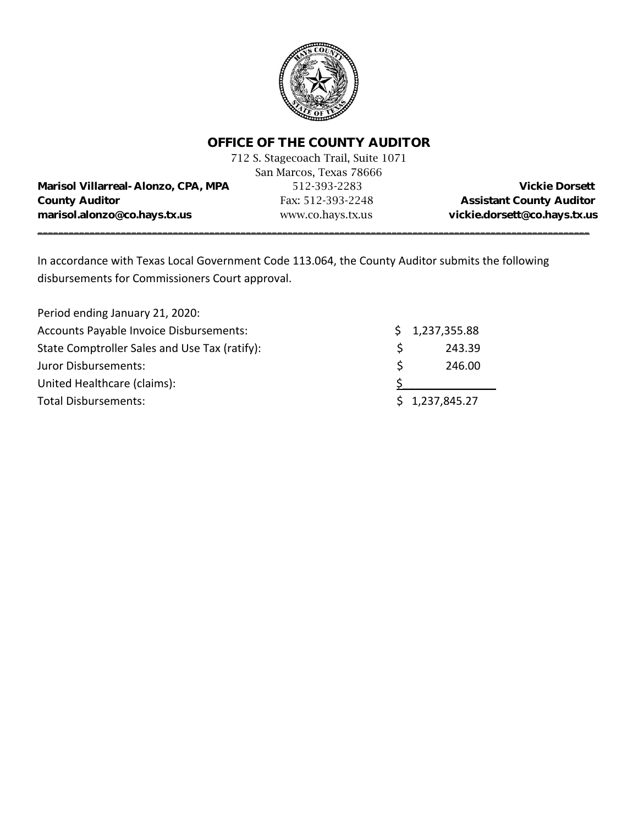

# **OFFICE OF THE COUNTY AUDITOR**

|                                            | 712 S. Stagecoach Trail, Suite 1071 |                                 |
|--------------------------------------------|-------------------------------------|---------------------------------|
|                                            | San Marcos, Texas 78666             |                                 |
| <b>Marisol Villarreal-Alonzo, CPA, MPA</b> | 512-393-2283                        | <b>Vickie Dorsett</b>           |
| <b>County Auditor</b>                      | Fax: 512-393-2248                   | <b>Assistant County Auditor</b> |
| marisol.alonzo@co.hays.tx.us               | www.co.hays.tx.us                   | vickie.dorsett@co.hays.tx.us    |
|                                            |                                     |                                 |

In accordance with Texas Local Government Code 113.064, the County Auditor submits the following disbursements for Commissioners Court approval.

| Period ending January 21, 2020:               |    |                |
|-----------------------------------------------|----|----------------|
| Accounts Payable Invoice Disbursements:       |    | \$1,237,355.88 |
| State Comptroller Sales and Use Tax (ratify): |    | 243.39         |
| Juror Disbursements:                          | S. | 246.00         |
| United Healthcare (claims):                   |    |                |
| <b>Total Disbursements:</b>                   |    | \$1,237,845.27 |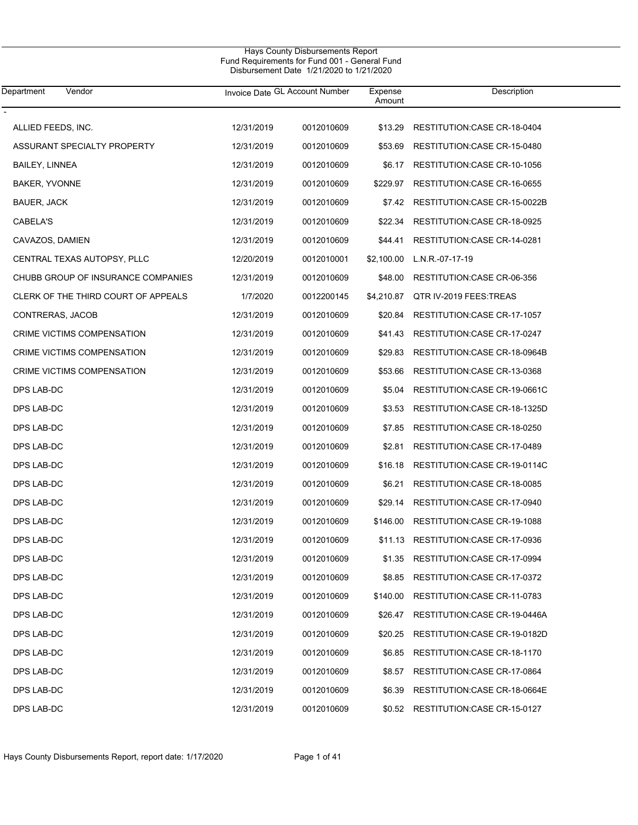| Department<br>Vendor                |            | Invoice Date GL Account Number | Expense<br>Amount | Description                         |
|-------------------------------------|------------|--------------------------------|-------------------|-------------------------------------|
| ALLIED FEEDS, INC.                  | 12/31/2019 | 0012010609                     | \$13.29           | RESTITUTION:CASE CR-18-0404         |
| ASSURANT SPECIALTY PROPERTY         | 12/31/2019 | 0012010609                     | \$53.69           | RESTITUTION:CASE CR-15-0480         |
| <b>BAILEY, LINNEA</b>               | 12/31/2019 | 0012010609                     | \$6.17            | RESTITUTION:CASE CR-10-1056         |
| BAKER, YVONNE                       | 12/31/2019 | 0012010609                     | \$229.97          | RESTITUTION:CASE CR-16-0655         |
| <b>BAUER, JACK</b>                  | 12/31/2019 | 0012010609                     | \$7.42            | RESTITUTION: CASE CR-15-0022B       |
| CABELA'S                            | 12/31/2019 | 0012010609                     | \$22.34           | RESTITUTION:CASE CR-18-0925         |
| CAVAZOS, DAMIEN                     | 12/31/2019 | 0012010609                     | \$44.41           | RESTITUTION:CASE CR-14-0281         |
| CENTRAL TEXAS AUTOPSY, PLLC         | 12/20/2019 | 0012010001                     | \$2,100.00        | L.N.R.-07-17-19                     |
| CHUBB GROUP OF INSURANCE COMPANIES  | 12/31/2019 | 0012010609                     | \$48.00           | RESTITUTION:CASE CR-06-356          |
| CLERK OF THE THIRD COURT OF APPEALS | 1/7/2020   | 0012200145                     | \$4,210.87        | QTR IV-2019 FEES: TREAS             |
| CONTRERAS, JACOB                    | 12/31/2019 | 0012010609                     | \$20.84           | RESTITUTION: CASE CR-17-1057        |
| CRIME VICTIMS COMPENSATION          | 12/31/2019 | 0012010609                     | \$41.43           | RESTITUTION:CASE CR-17-0247         |
| CRIME VICTIMS COMPENSATION          | 12/31/2019 | 0012010609                     | \$29.83           | RESTITUTION: CASE CR-18-0964B       |
| CRIME VICTIMS COMPENSATION          | 12/31/2019 | 0012010609                     | \$53.66           | RESTITUTION:CASE CR-13-0368         |
| DPS LAB-DC                          | 12/31/2019 | 0012010609                     | \$5.04            | RESTITUTION:CASE CR-19-0661C        |
| DPS LAB-DC                          | 12/31/2019 | 0012010609                     | \$3.53            | RESTITUTION:CASE CR-18-1325D        |
| DPS LAB-DC                          | 12/31/2019 | 0012010609                     | \$7.85            | RESTITUTION: CASE CR-18-0250        |
| DPS LAB-DC                          | 12/31/2019 | 0012010609                     | \$2.81            | RESTITUTION:CASE CR-17-0489         |
| DPS LAB-DC                          | 12/31/2019 | 0012010609                     | \$16.18           | RESTITUTION: CASE CR-19-0114C       |
| DPS LAB-DC                          | 12/31/2019 | 0012010609                     | \$6.21            | RESTITUTION:CASE CR-18-0085         |
| DPS LAB-DC                          | 12/31/2019 | 0012010609                     | \$29.14           | RESTITUTION:CASE CR-17-0940         |
| DPS LAB-DC                          | 12/31/2019 | 0012010609                     | \$146.00          | RESTITUTION: CASE CR-19-1088        |
| DPS LAB-DC                          | 12/31/2019 | 0012010609                     |                   | \$11.13 RESTITUTION:CASE CR-17-0936 |
| DPS LAB-DC                          | 12/31/2019 | 0012010609                     | \$1.35            | RESTITUTION: CASE CR-17-0994        |
| DPS LAB-DC                          | 12/31/2019 | 0012010609                     | \$8.85            | RESTITUTION: CASE CR-17-0372        |
| DPS LAB-DC                          | 12/31/2019 | 0012010609                     | \$140.00          | RESTITUTION: CASE CR-11-0783        |
| DPS LAB-DC                          | 12/31/2019 | 0012010609                     | \$26.47           | RESTITUTION: CASE CR-19-0446A       |
| DPS LAB-DC                          | 12/31/2019 | 0012010609                     | \$20.25           | RESTITUTION:CASE CR-19-0182D        |
| DPS LAB-DC                          | 12/31/2019 | 0012010609                     | \$6.85            | RESTITUTION: CASE CR-18-1170        |
| DPS LAB-DC                          | 12/31/2019 | 0012010609                     | \$8.57            | RESTITUTION: CASE CR-17-0864        |
| DPS LAB-DC                          | 12/31/2019 | 0012010609                     | \$6.39            | RESTITUTION: CASE CR-18-0664E       |
| DPS LAB-DC                          | 12/31/2019 | 0012010609                     | \$0.52            | RESTITUTION: CASE CR-15-0127        |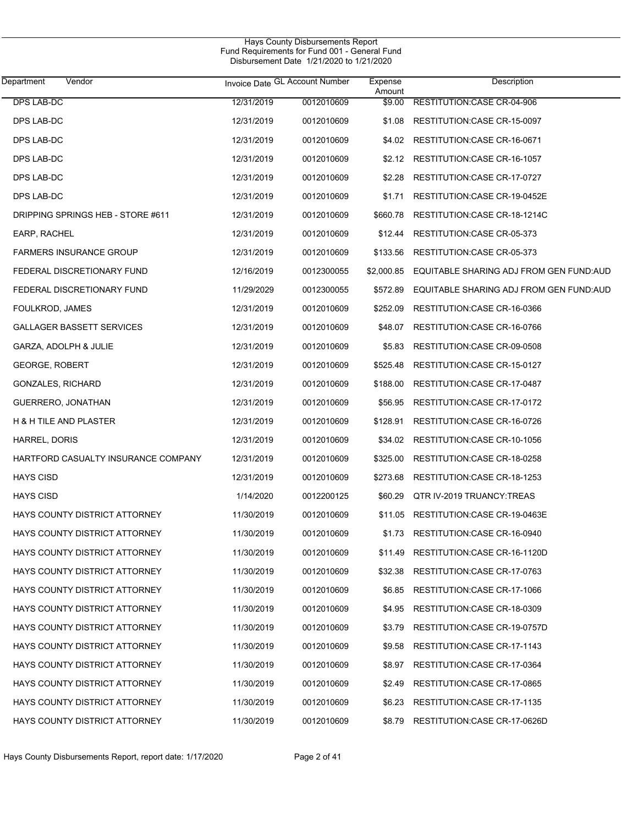| Department<br>Vendor                 |            | Invoice Date GL Account Number | Expense<br>Amount | Description                             |
|--------------------------------------|------------|--------------------------------|-------------------|-----------------------------------------|
| <b>DPS LAB-DC</b>                    | 12/31/2019 | 0012010609                     | \$9.00            | RESTITUTION:CASE CR-04-906              |
| DPS LAB-DC                           | 12/31/2019 | 0012010609                     | \$1.08            | RESTITUTION: CASE CR-15-0097            |
| DPS LAB-DC                           | 12/31/2019 | 0012010609                     | \$4.02            | RESTITUTION: CASE CR-16-0671            |
| DPS LAB-DC                           | 12/31/2019 | 0012010609                     | \$2.12            | RESTITUTION: CASE CR-16-1057            |
| DPS LAB-DC                           | 12/31/2019 | 0012010609                     | \$2.28            | RESTITUTION: CASE CR-17-0727            |
| DPS LAB-DC                           | 12/31/2019 | 0012010609                     | \$1.71            | RESTITUTION:CASE CR-19-0452E            |
| DRIPPING SPRINGS HEB - STORE #611    | 12/31/2019 | 0012010609                     | \$660.78          | RESTITUTION: CASE CR-18-1214C           |
| EARP, RACHEL                         | 12/31/2019 | 0012010609                     | \$12.44           | RESTITUTION:CASE CR-05-373              |
| <b>FARMERS INSURANCE GROUP</b>       | 12/31/2019 | 0012010609                     | \$133.56          | RESTITUTION:CASE CR-05-373              |
| FEDERAL DISCRETIONARY FUND           | 12/16/2019 | 0012300055                     | \$2,000.85        | EQUITABLE SHARING ADJ FROM GEN FUND:AUD |
| FEDERAL DISCRETIONARY FUND           | 11/29/2029 | 0012300055                     | \$572.89          | EQUITABLE SHARING ADJ FROM GEN FUND:AUD |
| FOULKROD, JAMES                      | 12/31/2019 | 0012010609                     | \$252.09          | RESTITUTION: CASE CR-16-0366            |
| GALLAGER BASSETT SERVICES            | 12/31/2019 | 0012010609                     | \$48.07           | RESTITUTION: CASE CR-16-0766            |
| GARZA, ADOLPH & JULIE                | 12/31/2019 | 0012010609                     | \$5.83            | RESTITUTION: CASE CR-09-0508            |
| <b>GEORGE, ROBERT</b>                | 12/31/2019 | 0012010609                     | \$525.48          | RESTITUTION: CASE CR-15-0127            |
| <b>GONZALES, RICHARD</b>             | 12/31/2019 | 0012010609                     | \$188.00          | RESTITUTION: CASE CR-17-0487            |
| GUERRERO, JONATHAN                   | 12/31/2019 | 0012010609                     | \$56.95           | RESTITUTION: CASE CR-17-0172            |
| H & H TILE AND PLASTER               | 12/31/2019 | 0012010609                     | \$128.91          | RESTITUTION: CASE CR-16-0726            |
| HARREL, DORIS                        | 12/31/2019 | 0012010609                     | \$34.02           | RESTITUTION: CASE CR-10-1056            |
| HARTFORD CASUALTY INSURANCE COMPANY  | 12/31/2019 | 0012010609                     | \$325.00          | RESTITUTION: CASE CR-18-0258            |
| <b>HAYS CISD</b>                     | 12/31/2019 | 0012010609                     | \$273.68          | RESTITUTION: CASE CR-18-1253            |
| <b>HAYS CISD</b>                     | 1/14/2020  | 0012200125                     | \$60.29           | QTR IV-2019 TRUANCY:TREAS               |
| HAYS COUNTY DISTRICT ATTORNEY        | 11/30/2019 | 0012010609                     | \$11.05           | RESTITUTION: CASE CR-19-0463E           |
| <b>HAYS COUNTY DISTRICT ATTORNEY</b> | 11/30/2019 | 0012010609                     | \$1.73            | RESTITUTION:CASE CR-16-0940             |
| <b>HAYS COUNTY DISTRICT ATTORNEY</b> | 11/30/2019 | 0012010609                     | \$11.49           | RESTITUTION: CASE CR-16-1120D           |
| <b>HAYS COUNTY DISTRICT ATTORNEY</b> | 11/30/2019 | 0012010609                     | \$32.38           | RESTITUTION:CASE CR-17-0763             |
| HAYS COUNTY DISTRICT ATTORNEY        | 11/30/2019 | 0012010609                     | \$6.85            | RESTITUTION: CASE CR-17-1066            |
| HAYS COUNTY DISTRICT ATTORNEY        | 11/30/2019 | 0012010609                     | \$4.95            | RESTITUTION: CASE CR-18-0309            |
| HAYS COUNTY DISTRICT ATTORNEY        | 11/30/2019 | 0012010609                     | \$3.79            | RESTITUTION:CASE CR-19-0757D            |
| HAYS COUNTY DISTRICT ATTORNEY        | 11/30/2019 | 0012010609                     | \$9.58            | RESTITUTION: CASE CR-17-1143            |
| HAYS COUNTY DISTRICT ATTORNEY        | 11/30/2019 | 0012010609                     | \$8.97            | RESTITUTION: CASE CR-17-0364            |
| HAYS COUNTY DISTRICT ATTORNEY        | 11/30/2019 | 0012010609                     | \$2.49            | RESTITUTION: CASE CR-17-0865            |
| HAYS COUNTY DISTRICT ATTORNEY        | 11/30/2019 | 0012010609                     | \$6.23            | RESTITUTION: CASE CR-17-1135            |
| HAYS COUNTY DISTRICT ATTORNEY        | 11/30/2019 | 0012010609                     | \$8.79            | RESTITUTION: CASE CR-17-0626D           |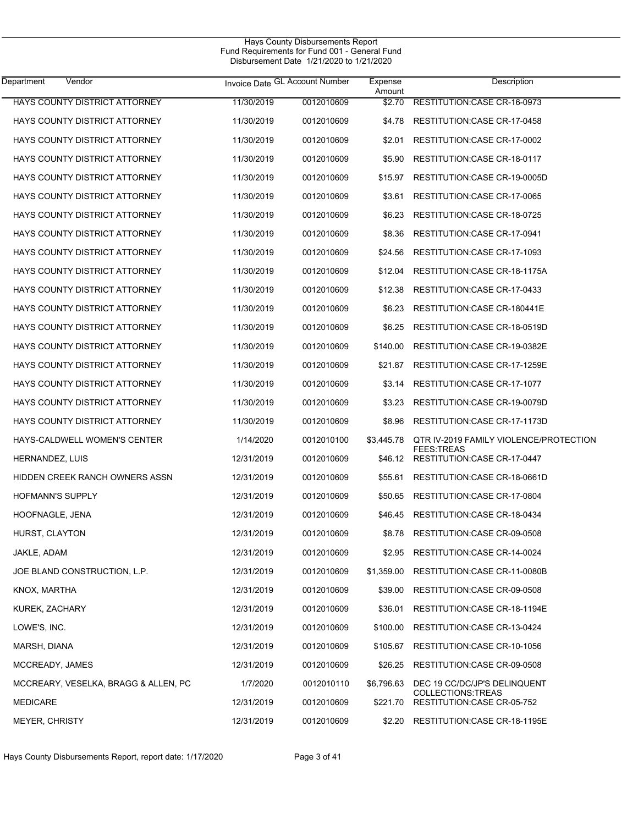| Department<br>Vendor                 | Invoice Date GL Account Number |            | Expense<br>Amount | Description                                       |
|--------------------------------------|--------------------------------|------------|-------------------|---------------------------------------------------|
| HAYS COUNTY DISTRICT ATTORNEY        | 11/30/2019                     | 0012010609 | \$2.70            | RESTITUTION:CASE CR-16-0973                       |
| HAYS COUNTY DISTRICT ATTORNEY        | 11/30/2019                     | 0012010609 | \$4.78            | RESTITUTION: CASE CR-17-0458                      |
| HAYS COUNTY DISTRICT ATTORNEY        | 11/30/2019                     | 0012010609 | \$2.01            | RESTITUTION: CASE CR-17-0002                      |
| HAYS COUNTY DISTRICT ATTORNEY        | 11/30/2019                     | 0012010609 | \$5.90            | RESTITUTION: CASE CR-18-0117                      |
| <b>HAYS COUNTY DISTRICT ATTORNEY</b> | 11/30/2019                     | 0012010609 | \$15.97           | RESTITUTION: CASE CR-19-0005D                     |
| HAYS COUNTY DISTRICT ATTORNEY        | 11/30/2019                     | 0012010609 | \$3.61            | RESTITUTION:CASE CR-17-0065                       |
| HAYS COUNTY DISTRICT ATTORNEY        | 11/30/2019                     | 0012010609 | \$6.23            | RESTITUTION:CASE CR-18-0725                       |
| HAYS COUNTY DISTRICT ATTORNEY        | 11/30/2019                     | 0012010609 | \$8.36            | RESTITUTION: CASE CR-17-0941                      |
| HAYS COUNTY DISTRICT ATTORNEY        | 11/30/2019                     | 0012010609 | \$24.56           | RESTITUTION: CASE CR-17-1093                      |
| HAYS COUNTY DISTRICT ATTORNEY        | 11/30/2019                     | 0012010609 | \$12.04           | RESTITUTION: CASE CR-18-1175A                     |
| HAYS COUNTY DISTRICT ATTORNEY        | 11/30/2019                     | 0012010609 | \$12.38           | RESTITUTION: CASE CR-17-0433                      |
| HAYS COUNTY DISTRICT ATTORNEY        | 11/30/2019                     | 0012010609 | \$6.23            | RESTITUTION: CASE CR-180441E                      |
| HAYS COUNTY DISTRICT ATTORNEY        | 11/30/2019                     | 0012010609 | \$6.25            | RESTITUTION: CASE CR-18-0519D                     |
| <b>HAYS COUNTY DISTRICT ATTORNEY</b> | 11/30/2019                     | 0012010609 | \$140.00          | RESTITUTION: CASE CR-19-0382E                     |
| HAYS COUNTY DISTRICT ATTORNEY        | 11/30/2019                     | 0012010609 | \$21.87           | RESTITUTION: CASE CR-17-1259E                     |
| HAYS COUNTY DISTRICT ATTORNEY        | 11/30/2019                     | 0012010609 | \$3.14            | RESTITUTION: CASE CR-17-1077                      |
| HAYS COUNTY DISTRICT ATTORNEY        | 11/30/2019                     | 0012010609 | \$3.23            | RESTITUTION: CASE CR-19-0079D                     |
| HAYS COUNTY DISTRICT ATTORNEY        | 11/30/2019                     | 0012010609 | \$8.96            | RESTITUTION: CASE CR-17-1173D                     |
| HAYS-CALDWELL WOMEN'S CENTER         | 1/14/2020                      | 0012010100 | \$3,445.78        | QTR IV-2019 FAMILY VIOLENCE/PROTECTION            |
| HERNANDEZ, LUIS                      | 12/31/2019                     | 0012010609 | \$46.12           | <b>FEES:TREAS</b><br>RESTITUTION: CASE CR-17-0447 |
| HIDDEN CREEK RANCH OWNERS ASSN       | 12/31/2019                     | 0012010609 | \$55.61           | RESTITUTION:CASE CR-18-0661D                      |
| HOFMANN'S SUPPLY                     | 12/31/2019                     | 0012010609 | \$50.65           | RESTITUTION: CASE CR-17-0804                      |
| HOOFNAGLE, JENA                      | 12/31/2019                     | 0012010609 | \$46.45           | RESTITUTION: CASE CR-18-0434                      |
| HURST, CLAYTON                       | 12/31/2019                     | 0012010609 | \$8.78            | RESTITUTION: CASE CR-09-0508                      |
| JAKLE, ADAM                          | 12/31/2019                     | 0012010609 | \$2.95            | RESTITUTION:CASE CR-14-0024                       |
| JOE BLAND CONSTRUCTION, L.P.         | 12/31/2019                     | 0012010609 | \$1,359.00        | RESTITUTION:CASE CR-11-0080B                      |
| KNOX, MARTHA                         | 12/31/2019                     | 0012010609 | \$39.00           | RESTITUTION: CASE CR-09-0508                      |
| KUREK, ZACHARY                       | 12/31/2019                     | 0012010609 | \$36.01           | RESTITUTION: CASE CR-18-1194E                     |
| LOWE'S, INC.                         | 12/31/2019                     | 0012010609 | \$100.00          | RESTITUTION: CASE CR-13-0424                      |
| MARSH, DIANA                         | 12/31/2019                     | 0012010609 | \$105.67          | RESTITUTION: CASE CR-10-1056                      |
| MCCREADY, JAMES                      | 12/31/2019                     | 0012010609 | \$26.25           | RESTITUTION: CASE CR-09-0508                      |
| MCCREARY, VESELKA, BRAGG & ALLEN, PC | 1/7/2020                       | 0012010110 | \$6,796.63        | DEC 19 CC/DC/JP'S DELINQUENT                      |
| <b>MEDICARE</b>                      | 12/31/2019                     | 0012010609 | \$221.70          | COLLECTIONS: TREAS<br>RESTITUTION:CASE CR-05-752  |
| MEYER, CHRISTY                       | 12/31/2019                     | 0012010609 | \$2.20            | RESTITUTION:CASE CR-18-1195E                      |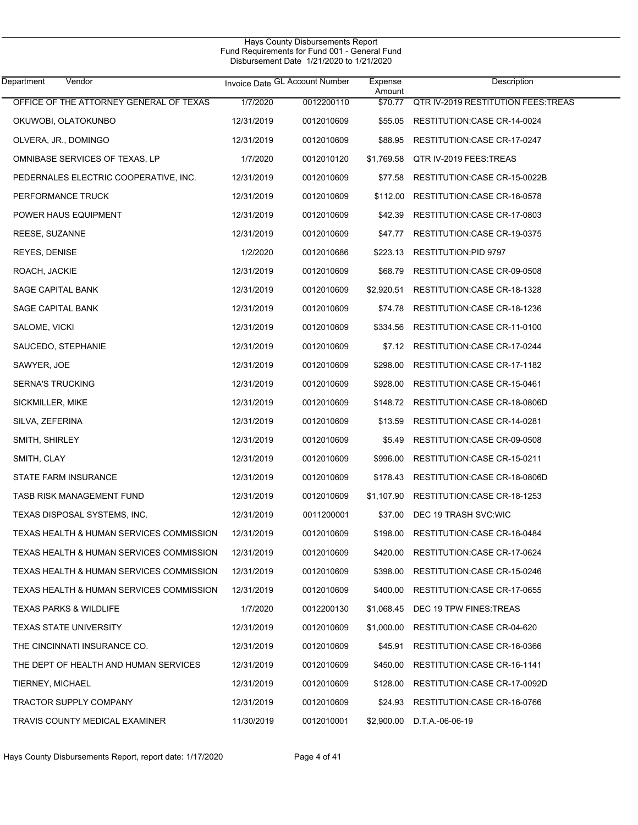| Department<br>Vendor                     |            | Invoice Date GL Account Number | Expense<br>Amount | Description                               |
|------------------------------------------|------------|--------------------------------|-------------------|-------------------------------------------|
| OFFICE OF THE ATTORNEY GENERAL OF TEXAS  | 1/7/2020   | 0012200110                     | \$70.77           | <b>QTR IV-2019 RESTITUTION FEES:TREAS</b> |
| OKUWOBI, OLATOKUNBO                      | 12/31/2019 | 0012010609                     | \$55.05           | RESTITUTION:CASE CR-14-0024               |
| OLVERA, JR., DOMINGO                     | 12/31/2019 | 0012010609                     | \$88.95           | RESTITUTION:CASE CR-17-0247               |
| OMNIBASE SERVICES OF TEXAS, LP           | 1/7/2020   | 0012010120                     | \$1,769.58        | QTR IV-2019 FEES:TREAS                    |
| PEDERNALES ELECTRIC COOPERATIVE, INC.    | 12/31/2019 | 0012010609                     | \$77.58           | RESTITUTION:CASE CR-15-0022B              |
| PERFORMANCE TRUCK                        | 12/31/2019 | 0012010609                     | \$112.00          | RESTITUTION:CASE CR-16-0578               |
| POWER HAUS EQUIPMENT                     | 12/31/2019 | 0012010609                     | \$42.39           | RESTITUTION: CASE CR-17-0803              |
| REESE, SUZANNE                           | 12/31/2019 | 0012010609                     | \$47.77           | RESTITUTION:CASE CR-19-0375               |
| <b>REYES, DENISE</b>                     | 1/2/2020   | 0012010686                     | \$223.13          | RESTITUTION:PID 9797                      |
| ROACH, JACKIE                            | 12/31/2019 | 0012010609                     | \$68.79           | RESTITUTION:CASE CR-09-0508               |
| SAGE CAPITAL BANK                        | 12/31/2019 | 0012010609                     | \$2,920.51        | RESTITUTION: CASE CR-18-1328              |
| SAGE CAPITAL BANK                        | 12/31/2019 | 0012010609                     | \$74.78           | RESTITUTION: CASE CR-18-1236              |
| SALOME, VICKI                            | 12/31/2019 | 0012010609                     | \$334.56          | RESTITUTION:CASE CR-11-0100               |
| SAUCEDO, STEPHANIE                       | 12/31/2019 | 0012010609                     | \$7.12            | RESTITUTION: CASE CR-17-0244              |
| SAWYER, JOE                              | 12/31/2019 | 0012010609                     | \$298.00          | RESTITUTION: CASE CR-17-1182              |
| <b>SERNA'S TRUCKING</b>                  | 12/31/2019 | 0012010609                     | \$928.00          | RESTITUTION:CASE CR-15-0461               |
| SICKMILLER, MIKE                         | 12/31/2019 | 0012010609                     | \$148.72          | RESTITUTION:CASE CR-18-0806D              |
| SILVA, ZEFERINA                          | 12/31/2019 | 0012010609                     | \$13.59           | RESTITUTION:CASE CR-14-0281               |
| SMITH, SHIRLEY                           | 12/31/2019 | 0012010609                     | \$5.49            | RESTITUTION:CASE CR-09-0508               |
| SMITH, CLAY                              | 12/31/2019 | 0012010609                     | \$996.00          | RESTITUTION: CASE CR-15-0211              |
| STATE FARM INSURANCE                     | 12/31/2019 | 0012010609                     | \$178.43          | RESTITUTION: CASE CR-18-0806D             |
| TASB RISK MANAGEMENT FUND                | 12/31/2019 | 0012010609                     | \$1,107.90        | RESTITUTION: CASE CR-18-1253              |
| TEXAS DISPOSAL SYSTEMS, INC.             | 12/31/2019 | 0011200001                     | \$37.00           | DEC 19 TRASH SVC:WIC                      |
| TEXAS HEALTH & HUMAN SERVICES COMMISSION | 12/31/2019 | 0012010609                     | \$198.00          | RESTITUTION: CASE CR-16-0484              |
| TEXAS HEALTH & HUMAN SERVICES COMMISSION | 12/31/2019 | 0012010609                     | \$420.00          | RESTITUTION:CASE CR-17-0624               |
| TEXAS HEALTH & HUMAN SERVICES COMMISSION | 12/31/2019 | 0012010609                     | \$398.00          | RESTITUTION:CASE CR-15-0246               |
| TEXAS HEALTH & HUMAN SERVICES COMMISSION | 12/31/2019 | 0012010609                     | \$400.00          | RESTITUTION:CASE CR-17-0655               |
| <b>TEXAS PARKS &amp; WILDLIFE</b>        | 1/7/2020   | 0012200130                     | \$1,068.45        | DEC 19 TPW FINES: TREAS                   |
| <b>TEXAS STATE UNIVERSITY</b>            | 12/31/2019 | 0012010609                     | \$1.000.00        | RESTITUTION:CASE CR-04-620                |
| THE CINCINNATI INSURANCE CO.             | 12/31/2019 | 0012010609                     | \$45.91           | RESTITUTION:CASE CR-16-0366               |
| THE DEPT OF HEALTH AND HUMAN SERVICES    | 12/31/2019 | 0012010609                     | \$450.00          | RESTITUTION: CASE CR-16-1141              |
| TIERNEY, MICHAEL                         | 12/31/2019 | 0012010609                     | \$128.00          | RESTITUTION:CASE CR-17-0092D              |
| <b>TRACTOR SUPPLY COMPANY</b>            | 12/31/2019 | 0012010609                     | \$24.93           | RESTITUTION:CASE CR-16-0766               |
| TRAVIS COUNTY MEDICAL EXAMINER           | 11/30/2019 | 0012010001                     | \$2,900.00        | D.T.A.-06-06-19                           |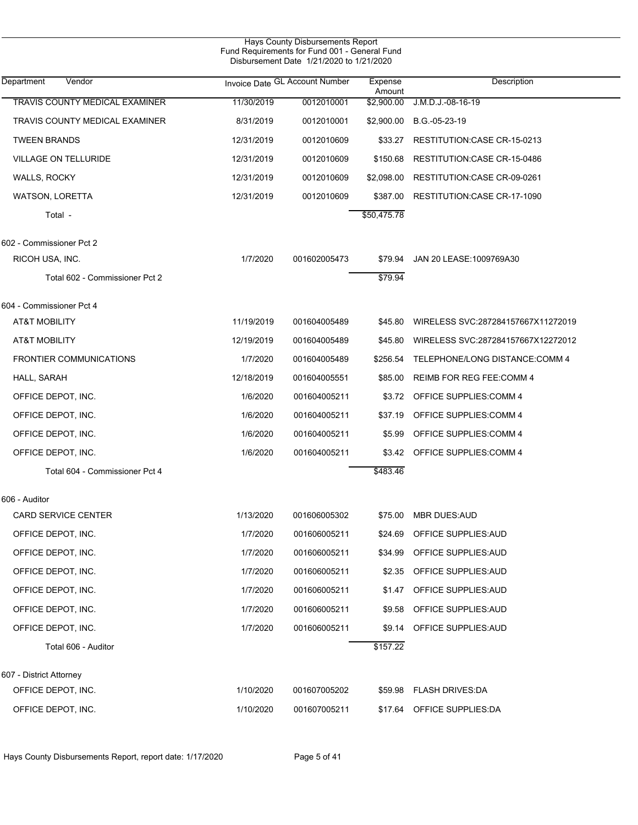|                                |            | Hays County Disbursements Report<br>Fund Requirements for Fund 001 - General Fund<br>Disbursement Date 1/21/2020 to 1/21/2020 |                   |                                    |
|--------------------------------|------------|-------------------------------------------------------------------------------------------------------------------------------|-------------------|------------------------------------|
| Department<br>Vendor           |            | Invoice Date GL Account Number                                                                                                | Expense<br>Amount | Description                        |
| TRAVIS COUNTY MEDICAL EXAMINER | 11/30/2019 | 0012010001                                                                                                                    | \$2,900.00        | J.M.D.J.-08-16-19                  |
| TRAVIS COUNTY MEDICAL EXAMINER | 8/31/2019  | 0012010001                                                                                                                    | \$2,900.00        | B.G -05-23-19                      |
| <b>TWEEN BRANDS</b>            | 12/31/2019 | 0012010609                                                                                                                    | \$33.27           | RESTITUTION:CASE CR-15-0213        |
| <b>VILLAGE ON TELLURIDE</b>    | 12/31/2019 | 0012010609                                                                                                                    | \$150.68          | RESTITUTION:CASE CR-15-0486        |
| <b>WALLS, ROCKY</b>            | 12/31/2019 | 0012010609                                                                                                                    | \$2,098.00        | RESTITUTION:CASE CR-09-0261        |
| <b>WATSON, LORETTA</b>         | 12/31/2019 | 0012010609                                                                                                                    | \$387.00          | RESTITUTION: CASE CR-17-1090       |
| Total -                        |            |                                                                                                                               | \$50,475.78       |                                    |
| 602 - Commissioner Pct 2       |            |                                                                                                                               |                   |                                    |
| RICOH USA, INC.                | 1/7/2020   | 001602005473                                                                                                                  | \$79.94           | JAN 20 LEASE:1009769A30            |
| Total 602 - Commissioner Pct 2 |            |                                                                                                                               | \$79.94           |                                    |
| 604 - Commissioner Pct 4       |            |                                                                                                                               |                   |                                    |
| <b>AT&amp;T MOBILITY</b>       | 11/19/2019 | 001604005489                                                                                                                  | \$45.80           | WIRELESS SVC:287284157667X11272019 |
| <b>AT&amp;T MOBILITY</b>       | 12/19/2019 | 001604005489                                                                                                                  | \$45.80           | WIRELESS SVC:287284157667X12272012 |
| <b>FRONTIER COMMUNICATIONS</b> | 1/7/2020   | 001604005489                                                                                                                  | \$256.54          | TELEPHONE/LONG DISTANCE:COMM 4     |
| HALL, SARAH                    | 12/18/2019 | 001604005551                                                                                                                  | \$85.00           | REIMB FOR REG FEE:COMM 4           |
| OFFICE DEPOT, INC.             | 1/6/2020   | 001604005211                                                                                                                  | \$3.72            | OFFICE SUPPLIES: COMM 4            |
| OFFICE DEPOT, INC.             | 1/6/2020   | 001604005211                                                                                                                  | \$37.19           | OFFICE SUPPLIES: COMM 4            |
| OFFICE DEPOT, INC.             | 1/6/2020   | 001604005211                                                                                                                  | \$5.99            | OFFICE SUPPLIES: COMM 4            |
| OFFICE DEPOT, INC.             | 1/6/2020   | 001604005211                                                                                                                  | \$3.42            | <b>OFFICE SUPPLIES: COMM 4</b>     |
| Total 604 - Commissioner Pct 4 |            |                                                                                                                               | \$483.46          |                                    |
| 606 - Auditor                  |            |                                                                                                                               |                   |                                    |
| CARD SERVICE CENTER            | 1/13/2020  | 001606005302                                                                                                                  | \$75.00           | <b>MBR DUES:AUD</b>                |
| OFFICE DEPOT, INC.             | 1/7/2020   | 001606005211                                                                                                                  | \$24.69           | OFFICE SUPPLIES: AUD               |
| OFFICE DEPOT, INC.             | 1/7/2020   | 001606005211                                                                                                                  | \$34.99           | OFFICE SUPPLIES: AUD               |
| OFFICE DEPOT, INC.             | 1/7/2020   | 001606005211                                                                                                                  | \$2.35            | OFFICE SUPPLIES: AUD               |
| OFFICE DEPOT, INC.             | 1/7/2020   | 001606005211                                                                                                                  | \$1.47            | OFFICE SUPPLIES: AUD               |
| OFFICE DEPOT, INC.             | 1/7/2020   | 001606005211                                                                                                                  | \$9.58            | OFFICE SUPPLIES: AUD               |
| OFFICE DEPOT, INC.             | 1/7/2020   | 001606005211                                                                                                                  | \$9.14            | OFFICE SUPPLIES: AUD               |
| Total 606 - Auditor            |            |                                                                                                                               | \$157.22          |                                    |
| 607 - District Attorney        |            |                                                                                                                               |                   |                                    |
| OFFICE DEPOT, INC.             | 1/10/2020  | 001607005202                                                                                                                  |                   | \$59.98 FLASH DRIVES:DA            |
| OFFICE DEPOT, INC.             | 1/10/2020  | 001607005211                                                                                                                  |                   | \$17.64 OFFICE SUPPLIES:DA         |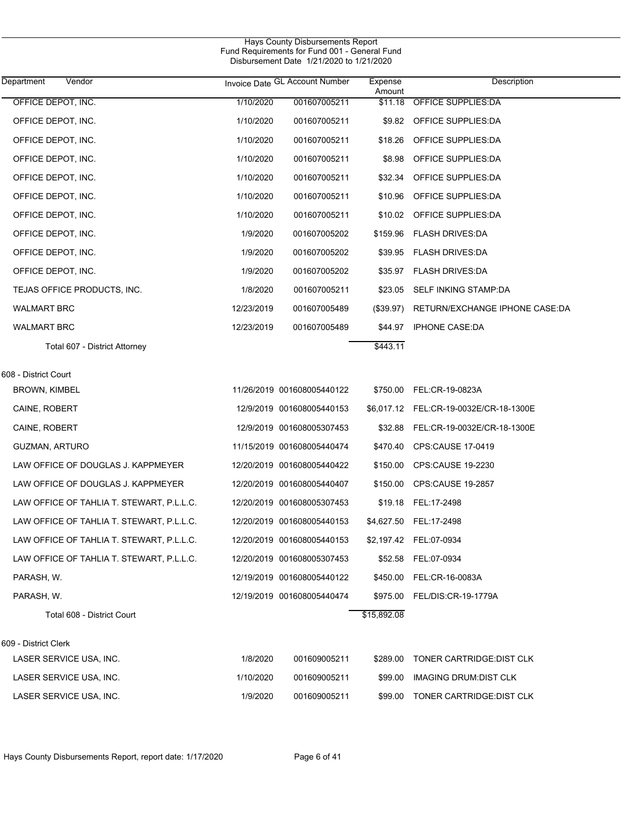| Department<br>Vendor                            |            | Invoice Date GL Account Number | Expense<br>Amount | Description                            |
|-------------------------------------------------|------------|--------------------------------|-------------------|----------------------------------------|
| OFFICE DEPOT, INC.                              | 1/10/2020  | 001607005211                   | \$11.18           | <b>OFFICE SUPPLIES:DA</b>              |
| OFFICE DEPOT, INC.                              | 1/10/2020  | 001607005211                   | \$9.82            | OFFICE SUPPLIES:DA                     |
| OFFICE DEPOT, INC.                              | 1/10/2020  | 001607005211                   | \$18.26           | OFFICE SUPPLIES:DA                     |
| OFFICE DEPOT, INC.                              | 1/10/2020  | 001607005211                   | \$8.98            | OFFICE SUPPLIES:DA                     |
| OFFICE DEPOT, INC.                              | 1/10/2020  | 001607005211                   | \$32.34           | OFFICE SUPPLIES:DA                     |
| OFFICE DEPOT, INC.                              | 1/10/2020  | 001607005211                   | \$10.96           | OFFICE SUPPLIES:DA                     |
| OFFICE DEPOT, INC.                              | 1/10/2020  | 001607005211                   | \$10.02           | OFFICE SUPPLIES:DA                     |
| OFFICE DEPOT, INC.                              | 1/9/2020   | 001607005202                   | \$159.96          | FLASH DRIVES:DA                        |
| OFFICE DEPOT, INC.                              | 1/9/2020   | 001607005202                   | \$39.95           | <b>FLASH DRIVES:DA</b>                 |
| OFFICE DEPOT, INC.                              | 1/9/2020   | 001607005202                   |                   | \$35.97 FLASH DRIVES:DA                |
| TEJAS OFFICE PRODUCTS, INC.                     | 1/8/2020   | 001607005211                   | \$23.05           | SELF INKING STAMP:DA                   |
| <b>WALMART BRC</b>                              | 12/23/2019 | 001607005489                   | $(\$39.97)$       | RETURN/EXCHANGE IPHONE CASE:DA         |
| <b>WALMART BRC</b>                              | 12/23/2019 | 001607005489                   | \$44.97           | <b>IPHONE CASE:DA</b>                  |
| Total 607 - District Attorney                   |            |                                | \$443.11          |                                        |
| 608 - District Court                            |            |                                |                   |                                        |
| <b>BROWN, KIMBEL</b>                            |            | 11/26/2019 001608005440122     | \$750.00          | FEL:CR-19-0823A                        |
| CAINE, ROBERT                                   |            | 12/9/2019 001608005440153      |                   | \$6,017.12 FEL:CR-19-0032E/CR-18-1300E |
| CAINE, ROBERT                                   |            | 12/9/2019 001608005307453      | \$32.88           | FEL:CR-19-0032E/CR-18-1300E            |
| GUZMAN, ARTURO                                  |            | 11/15/2019 001608005440474     | \$470.40          | CPS:CAUSE 17-0419                      |
| LAW OFFICE OF DOUGLAS J. KAPPMEYER              |            | 12/20/2019 001608005440422     | \$150.00          | CPS:CAUSE 19-2230                      |
| LAW OFFICE OF DOUGLAS J. KAPPMEYER              |            | 12/20/2019 001608005440407     | \$150.00          | <b>CPS:CAUSE 19-2857</b>               |
| LAW OFFICE OF TAHLIA T. STEWART, P.L.L.C.       |            | 12/20/2019 001608005307453     |                   | \$19.18 FEL:17-2498                    |
| LAW OFFICE OF TAHLIA T. STEWART, P.L.L.C.       |            | 12/20/2019 001608005440153     |                   | \$4,627.50 FEL:17-2498                 |
| LAW OFFICE OF TAHLIA T. STEWART, P.L.L.C.       |            | 12/20/2019 001608005440153     |                   | \$2,197.42 FEL:07-0934                 |
| LAW OFFICE OF TAHLIA T. STEWART, P.L.L.C.       |            | 12/20/2019 001608005307453     | \$52.58           | FEL:07-0934                            |
| PARASH, W.                                      |            | 12/19/2019 001608005440122     | \$450.00          | FEL:CR-16-0083A                        |
| PARASH, W.                                      |            | 12/19/2019 001608005440474     | \$975.00          | FEL/DIS:CR-19-1779A                    |
| Total 608 - District Court                      |            |                                | \$15,892.08       |                                        |
|                                                 |            |                                |                   |                                        |
| 609 - District Clerk<br>LASER SERVICE USA, INC. | 1/8/2020   | 001609005211                   | \$289.00          | TONER CARTRIDGE: DIST CLK              |
| LASER SERVICE USA, INC.                         | 1/10/2020  | 001609005211                   | \$99.00           | IMAGING DRUM: DIST CLK                 |
| LASER SERVICE USA, INC.                         | 1/9/2020   | 001609005211                   | \$99.00           | TONER CARTRIDGE: DIST CLK              |
|                                                 |            |                                |                   |                                        |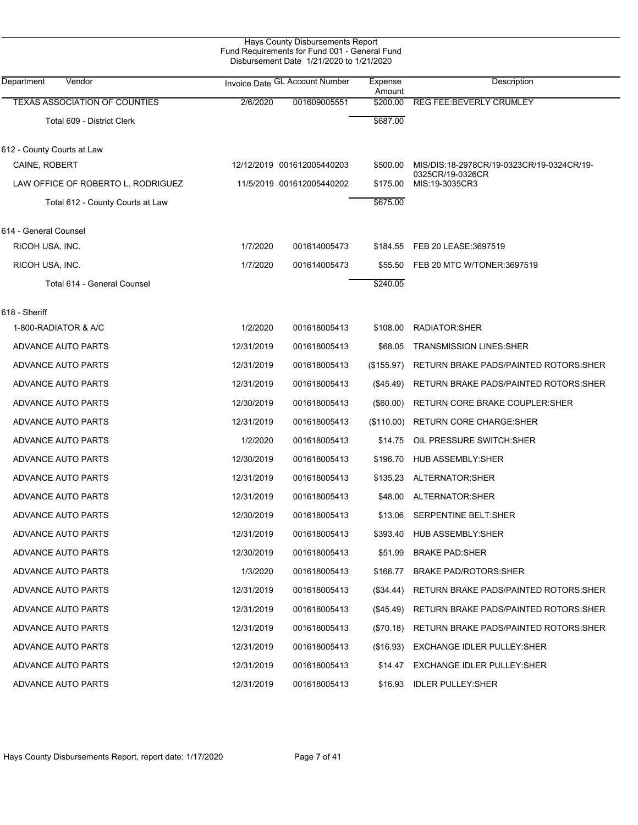| Hays County Disbursements Report              |
|-----------------------------------------------|
| Fund Requirements for Fund 001 - General Fund |
| Disbursement Date 1/21/2020 to 1/21/2020      |

| Department<br>Vendor                 |            | Invoice Date GL Account Number | Expense<br>Amount | Description                                   |
|--------------------------------------|------------|--------------------------------|-------------------|-----------------------------------------------|
| <b>TEXAS ASSOCIATION OF COUNTIES</b> | 2/6/2020   | 001609005551                   | \$200.00          | REG FEE: BEVERLY CRUMLEY                      |
| Total 609 - District Clerk           |            |                                | \$687.00          |                                               |
| 612 - County Courts at Law           |            |                                |                   |                                               |
| CAINE, ROBERT                        |            | 12/12/2019 001612005440203     | \$500.00          | MIS/DIS:18-2978CR/19-0323CR/19-0324CR/19-     |
| LAW OFFICE OF ROBERTO L. RODRIGUEZ   |            | 11/5/2019 001612005440202      | \$175.00          | 0325CR/19-0326CR<br>MIS:19-3035CR3            |
| Total 612 - County Courts at Law     |            |                                | \$675.00          |                                               |
| 614 - General Counsel                |            |                                |                   |                                               |
| RICOH USA, INC.                      | 1/7/2020   | 001614005473                   | \$184.55          | FEB 20 LEASE:3697519                          |
| RICOH USA, INC.                      | 1/7/2020   | 001614005473                   | \$55.50           | FEB 20 MTC W/TONER:3697519                    |
| Total 614 - General Counsel          |            |                                | \$240.05          |                                               |
| 618 - Sheriff                        |            |                                |                   |                                               |
| 1-800-RADIATOR & A/C                 | 1/2/2020   | 001618005413                   | \$108.00          | <b>RADIATOR:SHER</b>                          |
| <b>ADVANCE AUTO PARTS</b>            | 12/31/2019 | 001618005413                   | \$68.05           | <b>TRANSMISSION LINES:SHER</b>                |
| ADVANCE AUTO PARTS                   | 12/31/2019 | 001618005413                   | (\$155.97)        | RETURN BRAKE PADS/PAINTED ROTORS:SHER         |
| ADVANCE AUTO PARTS                   | 12/31/2019 | 001618005413                   | (\$45.49)         | RETURN BRAKE PADS/PAINTED ROTORS: SHER        |
| ADVANCE AUTO PARTS                   | 12/30/2019 | 001618005413                   | $($ \$60.00)      | RETURN CORE BRAKE COUPLER: SHER               |
| <b>ADVANCE AUTO PARTS</b>            | 12/31/2019 | 001618005413                   | (\$110.00)        | <b>RETURN CORE CHARGE:SHER</b>                |
| ADVANCE AUTO PARTS                   | 1/2/2020   | 001618005413                   | \$14.75           | OIL PRESSURE SWITCH:SHER                      |
| ADVANCE AUTO PARTS                   | 12/30/2019 | 001618005413                   | \$196.70          | <b>HUB ASSEMBLY:SHER</b>                      |
| <b>ADVANCE AUTO PARTS</b>            | 12/31/2019 | 001618005413                   | \$135.23          | ALTERNATOR: SHER                              |
| ADVANCE AUTO PARTS                   | 12/31/2019 | 001618005413                   | \$48.00           | ALTERNATOR: SHER                              |
| <b>ADVANCE AUTO PARTS</b>            | 12/30/2019 | 001618005413                   | \$13.06           | SERPENTINE BELT:SHER                          |
| <b>ADVANCE AUTO PARTS</b>            | 12/31/2019 | 001618005413                   | \$393.40          | HUB ASSEMBLY: SHER                            |
| ADVANCE AUTO PARTS                   | 12/30/2019 | 001618005413                   | \$51.99           | <b>BRAKE PAD:SHER</b>                         |
| ADVANCE AUTO PARTS                   | 1/3/2020   | 001618005413                   | \$166.77          | <b>BRAKE PAD/ROTORS:SHER</b>                  |
| ADVANCE AUTO PARTS                   | 12/31/2019 | 001618005413                   | $(\$34.44)$       | <b>RETURN BRAKE PADS/PAINTED ROTORS: SHER</b> |
| ADVANCE AUTO PARTS                   | 12/31/2019 | 001618005413                   | $(\$45.49)$       | RETURN BRAKE PADS/PAINTED ROTORS: SHER        |
| ADVANCE AUTO PARTS                   | 12/31/2019 | 001618005413                   | $(\$70.18)$       | RETURN BRAKE PADS/PAINTED ROTORS:SHER         |
| ADVANCE AUTO PARTS                   | 12/31/2019 | 001618005413                   | (\$16.93)         | <b>EXCHANGE IDLER PULLEY: SHER</b>            |
| ADVANCE AUTO PARTS                   | 12/31/2019 | 001618005413                   | \$14.47           | <b>EXCHANGE IDLER PULLEY:SHER</b>             |
| ADVANCE AUTO PARTS                   | 12/31/2019 | 001618005413                   | \$16.93           | <b>IDLER PULLEY:SHER</b>                      |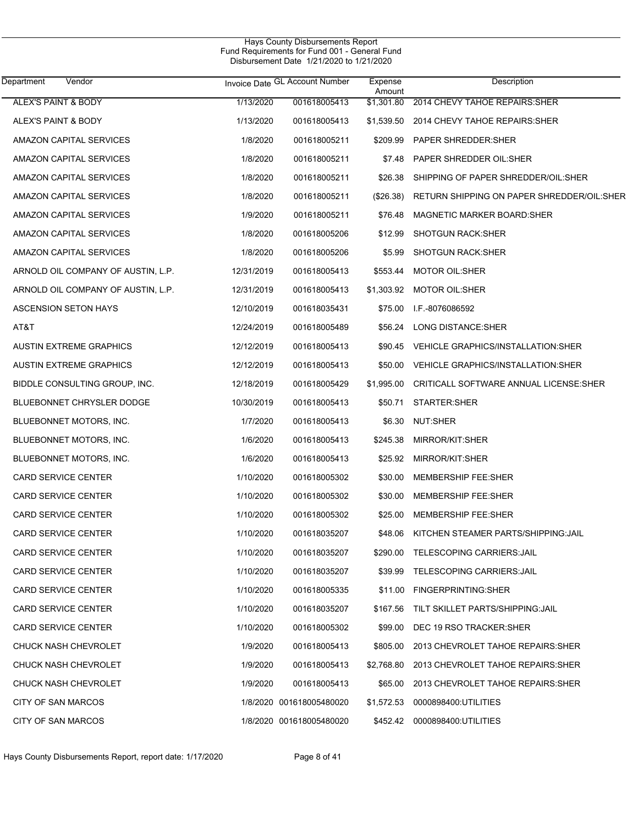| Department<br>Vendor               |            | Invoice Date GL Account Number | Expense<br>Amount | Description                                   |
|------------------------------------|------------|--------------------------------|-------------------|-----------------------------------------------|
| <b>ALEX'S PAINT &amp; BODY</b>     | 1/13/2020  | 001618005413                   | \$1,301.80        | 2014 CHEVY TAHOE REPAIRS: SHER                |
| ALEX'S PAINT & BODY                | 1/13/2020  | 001618005413                   | \$1,539.50        | 2014 CHEVY TAHOE REPAIRS: SHER                |
| AMAZON CAPITAL SERVICES            | 1/8/2020   | 001618005211                   | \$209.99          | <b>PAPER SHREDDER:SHER</b>                    |
| AMAZON CAPITAL SERVICES            | 1/8/2020   | 001618005211                   | \$7.48            | PAPER SHREDDER OIL:SHER                       |
| AMAZON CAPITAL SERVICES            | 1/8/2020   | 001618005211                   | \$26.38           | SHIPPING OF PAPER SHREDDER/OIL:SHER           |
| AMAZON CAPITAL SERVICES            | 1/8/2020   | 001618005211                   | $(\$26.38)$       | RETURN SHIPPING ON PAPER SHREDDER/OIL:SHER    |
| AMAZON CAPITAL SERVICES            | 1/9/2020   | 001618005211                   | \$76.48           | <b>MAGNETIC MARKER BOARD:SHER</b>             |
| AMAZON CAPITAL SERVICES            | 1/8/2020   | 001618005206                   | \$12.99           | <b>SHOTGUN RACK:SHER</b>                      |
| AMAZON CAPITAL SERVICES            | 1/8/2020   | 001618005206                   | \$5.99            | <b>SHOTGUN RACK:SHER</b>                      |
| ARNOLD OIL COMPANY OF AUSTIN, L.P. | 12/31/2019 | 001618005413                   | \$553.44          | <b>MOTOR OIL:SHER</b>                         |
| ARNOLD OIL COMPANY OF AUSTIN, L.P. | 12/31/2019 | 001618005413                   | \$1,303.92        | <b>MOTOR OIL:SHER</b>                         |
| <b>ASCENSION SETON HAYS</b>        | 12/10/2019 | 001618035431                   | \$75.00           | I.F.-8076086592                               |
| AT&T                               | 12/24/2019 | 001618005489                   | \$56.24           | LONG DISTANCE:SHER                            |
| <b>AUSTIN EXTREME GRAPHICS</b>     | 12/12/2019 | 001618005413                   | \$90.45           | VEHICLE GRAPHICS/INSTALLATION:SHER            |
| <b>AUSTIN EXTREME GRAPHICS</b>     | 12/12/2019 | 001618005413                   | \$50.00           | VEHICLE GRAPHICS/INSTALLATION:SHER            |
| BIDDLE CONSULTING GROUP, INC.      | 12/18/2019 | 001618005429                   | \$1,995.00        | <b>CRITICALL SOFTWARE ANNUAL LICENSE:SHER</b> |
| <b>BLUEBONNET CHRYSLER DODGE</b>   | 10/30/2019 | 001618005413                   | \$50.71           | STARTER:SHER                                  |
| BLUEBONNET MOTORS, INC.            | 1/7/2020   | 001618005413                   | \$6.30            | NUT:SHER                                      |
| BLUEBONNET MOTORS, INC.            | 1/6/2020   | 001618005413                   | \$245.38          | MIRROR/KIT:SHER                               |
| BLUEBONNET MOTORS, INC.            | 1/6/2020   | 001618005413                   | \$25.92           | MIRROR/KIT:SHER                               |
| <b>CARD SERVICE CENTER</b>         | 1/10/2020  | 001618005302                   | \$30.00           | <b>MEMBERSHIP FEE:SHER</b>                    |
| <b>CARD SERVICE CENTER</b>         | 1/10/2020  | 001618005302                   | \$30.00           | <b>MEMBERSHIP FEE:SHER</b>                    |
| <b>CARD SERVICE CENTER</b>         | 1/10/2020  | 001618005302                   | \$25.00           | <b>MEMBERSHIP FEE:SHER</b>                    |
| <b>CARD SERVICE CENTER</b>         | 1/10/2020  | 001618035207                   | \$48.06           | KITCHEN STEAMER PARTS/SHIPPING: JAIL          |
| <b>CARD SERVICE CENTER</b>         | 1/10/2020  | 001618035207                   |                   | \$290.00 TELESCOPING CARRIERS:JAIL            |
| <b>CARD SERVICE CENTER</b>         | 1/10/2020  | 001618035207                   | \$39.99           | <b>TELESCOPING CARRIERS: JAIL</b>             |
| <b>CARD SERVICE CENTER</b>         | 1/10/2020  | 001618005335                   |                   | \$11.00 FINGERPRINTING:SHER                   |
| <b>CARD SERVICE CENTER</b>         | 1/10/2020  | 001618035207                   | \$167.56          | TILT SKILLET PARTS/SHIPPING: JAIL             |
| <b>CARD SERVICE CENTER</b>         | 1/10/2020  | 001618005302                   | \$99.00           | DEC 19 RSO TRACKER: SHER                      |
| CHUCK NASH CHEVROLET               | 1/9/2020   | 001618005413                   | \$805.00          | 2013 CHEVROLET TAHOE REPAIRS: SHER            |
| CHUCK NASH CHEVROLET               | 1/9/2020   | 001618005413                   | \$2,768.80        | 2013 CHEVROLET TAHOE REPAIRS: SHER            |
| CHUCK NASH CHEVROLET               | 1/9/2020   | 001618005413                   | \$65.00           | 2013 CHEVROLET TAHOE REPAIRS: SHER            |
| CITY OF SAN MARCOS                 |            | 1/8/2020 001618005480020       | \$1,572.53        | 0000898400:UTILITIES                          |
| CITY OF SAN MARCOS                 |            | 1/8/2020 001618005480020       |                   | \$452.42  0000898400:UTILITIES                |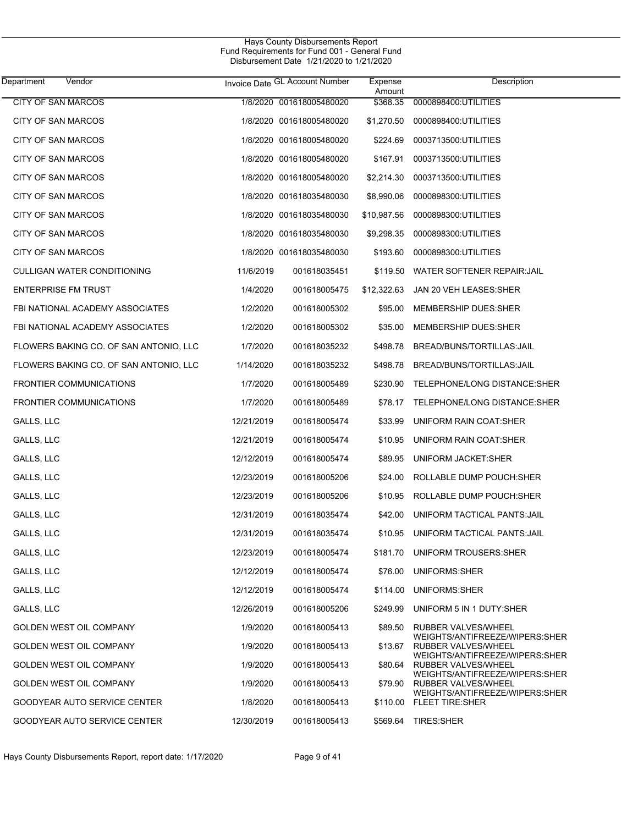| Department<br>Vendor           |                                        |            | Invoice Date GL Account Number | Expense<br>Amount | Description                                                |
|--------------------------------|----------------------------------------|------------|--------------------------------|-------------------|------------------------------------------------------------|
| <b>CITY OF SAN MARCOS</b>      |                                        |            | 1/8/2020 001618005480020       | \$368.35          | 0000898400:UTILITIES                                       |
| <b>CITY OF SAN MARCOS</b>      |                                        |            | 1/8/2020 001618005480020       | \$1,270.50        | 0000898400:UTILITIES                                       |
| CITY OF SAN MARCOS             |                                        |            | 1/8/2020 001618005480020       | \$224.69          | 0003713500:UTILITIES                                       |
| CITY OF SAN MARCOS             |                                        |            | 1/8/2020 001618005480020       | \$167.91          | 0003713500:UTILITIES                                       |
| <b>CITY OF SAN MARCOS</b>      |                                        |            | 1/8/2020 001618005480020       | \$2,214.30        | 0003713500:UTILITIES                                       |
| <b>CITY OF SAN MARCOS</b>      |                                        |            | 1/8/2020 001618035480030       | \$8,990.06        | 0000898300:UTILITIES                                       |
| <b>CITY OF SAN MARCOS</b>      |                                        |            | 1/8/2020 001618035480030       | \$10,987.56       | 0000898300:UTILITIES                                       |
| CITY OF SAN MARCOS             |                                        |            | 1/8/2020 001618035480030       | \$9,298.35        | 0000898300:UTILITIES                                       |
| CITY OF SAN MARCOS             |                                        |            | 1/8/2020 001618035480030       | \$193.60          | 0000898300:UTILITIES                                       |
|                                | <b>CULLIGAN WATER CONDITIONING</b>     | 11/6/2019  | 001618035451                   | \$119.50          | WATER SOFTENER REPAIR: JAIL                                |
| <b>ENTERPRISE FM TRUST</b>     |                                        | 1/4/2020   | 001618005475                   | \$12,322.63       | JAN 20 VEH LEASES: SHER                                    |
|                                | FBI NATIONAL ACADEMY ASSOCIATES        | 1/2/2020   | 001618005302                   | \$95.00           | MEMBERSHIP DUES:SHER                                       |
|                                | FBI NATIONAL ACADEMY ASSOCIATES        | 1/2/2020   | 001618005302                   | \$35.00           | MEMBERSHIP DUES:SHER                                       |
|                                | FLOWERS BAKING CO. OF SAN ANTONIO, LLC | 1/7/2020   | 001618035232                   | \$498.78          | BREAD/BUNS/TORTILLAS: JAIL                                 |
|                                | FLOWERS BAKING CO. OF SAN ANTONIO, LLC | 1/14/2020  | 001618035232                   | \$498.78          | BREAD/BUNS/TORTILLAS: JAIL                                 |
| FRONTIER COMMUNICATIONS        |                                        | 1/7/2020   | 001618005489                   | \$230.90          | TELEPHONE/LONG DISTANCE:SHER                               |
| <b>FRONTIER COMMUNICATIONS</b> |                                        | 1/7/2020   | 001618005489                   | \$78.17           | TELEPHONE/LONG DISTANCE:SHER                               |
| GALLS, LLC                     |                                        | 12/21/2019 | 001618005474                   | \$33.99           | UNIFORM RAIN COAT:SHER                                     |
| GALLS, LLC                     |                                        | 12/21/2019 | 001618005474                   | \$10.95           | UNIFORM RAIN COAT:SHER                                     |
| GALLS, LLC                     |                                        | 12/12/2019 | 001618005474                   | \$89.95           | UNIFORM JACKET:SHER                                        |
| GALLS, LLC                     |                                        | 12/23/2019 | 001618005206                   | \$24.00           | ROLLABLE DUMP POUCH:SHER                                   |
| GALLS, LLC                     |                                        | 12/23/2019 | 001618005206                   | \$10.95           | ROLLABLE DUMP POUCH:SHER                                   |
| GALLS, LLC                     |                                        | 12/31/2019 | 001618035474                   | \$42.00           | UNIFORM TACTICAL PANTS: JAIL                               |
| GALLS, LLC                     |                                        | 12/31/2019 | 001618035474                   | \$10.95           | UNIFORM TACTICAL PANTS: JAIL                               |
| GALLS, LLC                     |                                        | 12/23/2019 | 001618005474                   |                   | \$181.70 UNIFORM TROUSERS:SHER                             |
| GALLS, LLC                     |                                        | 12/12/2019 | 001618005474                   | \$76.00           | UNIFORMS:SHER                                              |
| GALLS, LLC                     |                                        | 12/12/2019 | 001618005474                   |                   | \$114.00 UNIFORMS:SHER                                     |
| GALLS, LLC                     |                                        | 12/26/2019 | 001618005206                   | \$249.99          | UNIFORM 5 IN 1 DUTY:SHER                                   |
| GOLDEN WEST OIL COMPANY        |                                        | 1/9/2020   | 001618005413                   | \$89.50           | RUBBER VALVES/WHEEL                                        |
| GOLDEN WEST OIL COMPANY        |                                        | 1/9/2020   | 001618005413                   | \$13.67           | WEIGHTS/ANTIFREEZE/WIPERS:SHER<br>RUBBER VALVES/WHEEL      |
| GOLDEN WEST OIL COMPANY        |                                        | 1/9/2020   | 001618005413                   | \$80.64           | WEIGHTS/ANTIFREEZE/WIPERS:SHER<br>RUBBER VALVES/WHEEL      |
| GOLDEN WEST OIL COMPANY        |                                        | 1/9/2020   | 001618005413                   | \$79.90           | WEIGHTS/ANTIFREEZE/WIPERS:SHER<br>RUBBER VALVES/WHEEL      |
|                                | GOODYEAR AUTO SERVICE CENTER           | 1/8/2020   | 001618005413                   |                   | WEIGHTS/ANTIFREEZE/WIPERS:SHER<br>\$110.00 FLEET TIRE:SHER |
|                                | GOODYEAR AUTO SERVICE CENTER           | 12/30/2019 | 001618005413                   |                   | \$569.64 TIRES:SHER                                        |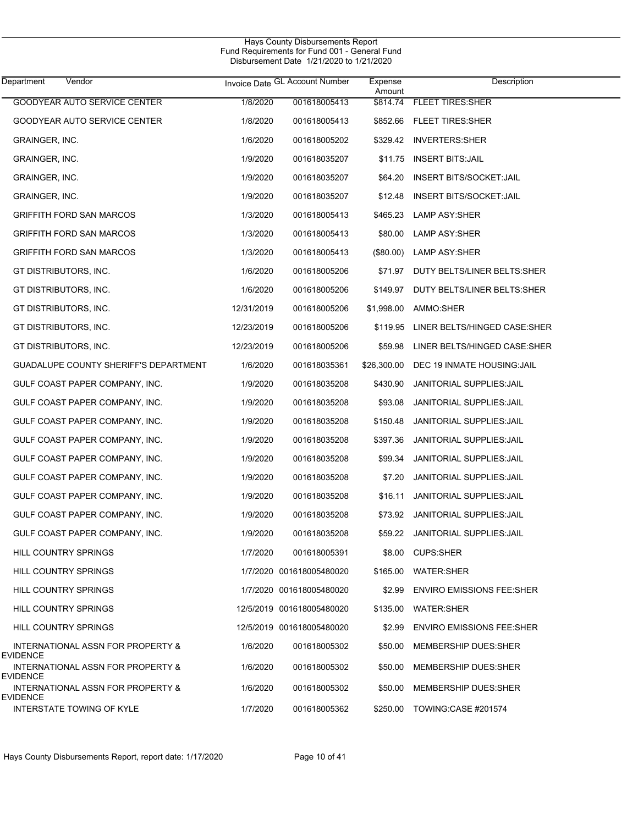| Department<br>Vendor                                 |            | Invoice Date GL Account Number | Expense<br>Amount | Description                             |
|------------------------------------------------------|------------|--------------------------------|-------------------|-----------------------------------------|
| GOODYEAR AUTO SERVICE CENTER                         | 1/8/2020   | 001618005413                   |                   | \$814.74 FLEET TIRES:SHER               |
| GOODYEAR AUTO SERVICE CENTER                         | 1/8/2020   | 001618005413                   |                   | \$852.66 FLEET TIRES:SHER               |
| GRAINGER, INC.                                       | 1/6/2020   | 001618005202                   |                   | \$329.42 INVERTERS:SHER                 |
| GRAINGER, INC.                                       | 1/9/2020   | 001618035207                   |                   | \$11.75 INSERT BITS:JAIL                |
| <b>GRAINGER, INC.</b>                                | 1/9/2020   | 001618035207                   | \$64.20           | <b>INSERT BITS/SOCKET:JAIL</b>          |
| GRAINGER, INC.                                       | 1/9/2020   | 001618035207                   | \$12.48           | <b>INSERT BITS/SOCKET: JAIL</b>         |
| <b>GRIFFITH FORD SAN MARCOS</b>                      | 1/3/2020   | 001618005413                   | \$465.23          | LAMP ASY:SHER                           |
| GRIFFITH FORD SAN MARCOS                             | 1/3/2020   | 001618005413                   | \$80.00           | LAMP ASY:SHER                           |
| GRIFFITH FORD SAN MARCOS                             | 1/3/2020   | 001618005413                   | $(\$80.00)$       | LAMP ASY:SHER                           |
| GT DISTRIBUTORS, INC.                                | 1/6/2020   | 001618005206                   |                   | \$71.97 DUTY BELTS/LINER BELTS:SHER     |
| GT DISTRIBUTORS, INC.                                | 1/6/2020   | 001618005206                   | \$149.97          | DUTY BELTS/LINER BELTS:SHER             |
| GT DISTRIBUTORS, INC.                                | 12/31/2019 | 001618005206                   | \$1,998.00        | AMMO:SHER                               |
| GT DISTRIBUTORS, INC.                                | 12/23/2019 | 001618005206                   |                   | \$119.95 LINER BELTS/HINGED CASE:SHER   |
| GT DISTRIBUTORS, INC.                                | 12/23/2019 | 001618005206                   | \$59.98           | LINER BELTS/HINGED CASE:SHER            |
| GUADALUPE COUNTY SHERIFF'S DEPARTMENT                | 1/6/2020   | 001618035361                   |                   | \$26,300.00 DEC 19 INMATE HOUSING: JAIL |
| GULF COAST PAPER COMPANY, INC.                       | 1/9/2020   | 001618035208                   | \$430.90          | <b>JANITORIAL SUPPLIES: JAIL</b>        |
| GULF COAST PAPER COMPANY, INC.                       | 1/9/2020   | 001618035208                   | \$93.08           | <b>JANITORIAL SUPPLIES: JAIL</b>        |
| GULF COAST PAPER COMPANY, INC.                       | 1/9/2020   | 001618035208                   | \$150.48          | <b>JANITORIAL SUPPLIES: JAIL</b>        |
| GULF COAST PAPER COMPANY, INC.                       | 1/9/2020   | 001618035208                   | \$397.36          | <b>JANITORIAL SUPPLIES: JAIL</b>        |
| GULF COAST PAPER COMPANY, INC.                       | 1/9/2020   | 001618035208                   | \$99.34           | <b>JANITORIAL SUPPLIES: JAIL</b>        |
| GULF COAST PAPER COMPANY, INC.                       | 1/9/2020   | 001618035208                   | \$7.20            | <b>JANITORIAL SUPPLIES: JAIL</b>        |
| GULF COAST PAPER COMPANY, INC.                       | 1/9/2020   | 001618035208                   | \$16.11           | <b>JANITORIAL SUPPLIES: JAIL</b>        |
| GULF COAST PAPER COMPANY, INC.                       | 1/9/2020   | 001618035208                   | \$73.92           | JANITORIAL SUPPLIES: JAIL               |
| GULF COAST PAPER COMPANY, INC.                       | 1/9/2020   | 001618035208                   |                   | \$59.22 JANITORIAL SUPPLIES: JAIL       |
| HILL COUNTRY SPRINGS                                 | 1/7/2020   | 001618005391                   |                   | \$8.00 CUPS:SHER                        |
| <b>HILL COUNTRY SPRINGS</b>                          |            | 1/7/2020 001618005480020       |                   | \$165.00 WATER:SHER                     |
| <b>HILL COUNTRY SPRINGS</b>                          |            | 1/7/2020 001618005480020       | \$2.99            | <b>ENVIRO EMISSIONS FEE:SHER</b>        |
| <b>HILL COUNTRY SPRINGS</b>                          |            | 12/5/2019 001618005480020      | \$135.00          | <b>WATER:SHER</b>                       |
| HILL COUNTRY SPRINGS                                 |            | 12/5/2019 001618005480020      | \$2.99            | <b>ENVIRO EMISSIONS FEE:SHER</b>        |
| INTERNATIONAL ASSN FOR PROPERTY &<br>EVIDENCE        | 1/6/2020   | 001618005302                   | \$50.00           | <b>MEMBERSHIP DUES:SHER</b>             |
| INTERNATIONAL ASSN FOR PROPERTY &<br>EVIDENCE        | 1/6/2020   | 001618005302                   | \$50.00           | <b>MEMBERSHIP DUES:SHER</b>             |
| INTERNATIONAL ASSN FOR PROPERTY &<br><b>EVIDENCE</b> | 1/6/2020   | 001618005302                   | \$50.00           | <b>MEMBERSHIP DUES:SHER</b>             |
| INTERSTATE TOWING OF KYLE                            | 1/7/2020   | 001618005362                   | \$250.00          | TOWING:CASE #201574                     |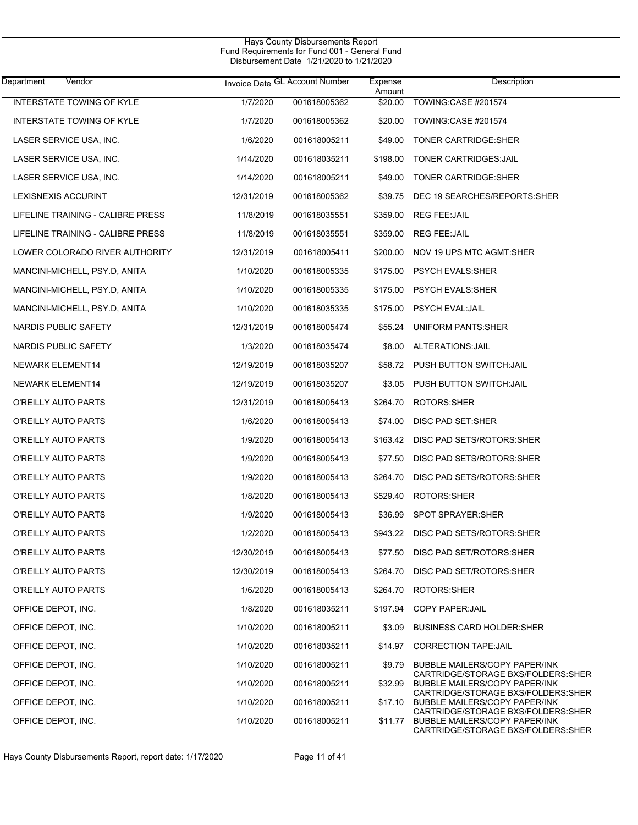| Department<br>Vendor              |            | Invoice Date GL Account Number | Expense<br>Amount | Description                                                                 |
|-----------------------------------|------------|--------------------------------|-------------------|-----------------------------------------------------------------------------|
| <b>INTERSTATE TOWING OF KYLE</b>  | 1/7/2020   | 001618005362                   |                   | \$20.00 TOWING:CASE #201574                                                 |
| INTERSTATE TOWING OF KYLE         | 1/7/2020   | 001618005362                   |                   | \$20.00 TOWING:CASE #201574                                                 |
| LASER SERVICE USA, INC.           | 1/6/2020   | 001618005211                   |                   | \$49.00 TONER CARTRIDGE:SHER                                                |
| LASER SERVICE USA, INC.           | 1/14/2020  | 001618035211                   | \$198.00          | TONER CARTRIDGES: JAIL                                                      |
| LASER SERVICE USA, INC.           | 1/14/2020  | 001618005211                   |                   | \$49.00 TONER CARTRIDGE:SHER                                                |
| <b>LEXISNEXIS ACCURINT</b>        | 12/31/2019 | 001618005362                   | \$39.75           | DEC 19 SEARCHES/REPORTS: SHER                                               |
| LIFELINE TRAINING - CALIBRE PRESS | 11/8/2019  | 001618035551                   | \$359.00          | REG FEE:JAIL                                                                |
| LIFELINE TRAINING - CALIBRE PRESS | 11/8/2019  | 001618035551                   |                   | \$359.00 REG FEE:JAIL                                                       |
| LOWER COLORADO RIVER AUTHORITY    | 12/31/2019 | 001618005411                   |                   | \$200.00 NOV 19 UPS MTC AGMT:SHER                                           |
| MANCINI-MICHELL, PSY.D, ANITA     | 1/10/2020  | 001618005335                   |                   | \$175.00 PSYCH EVALS:SHER                                                   |
| MANCINI-MICHELL, PSY.D, ANITA     | 1/10/2020  | 001618005335                   |                   | \$175.00 PSYCH EVALS:SHER                                                   |
| MANCINI-MICHELL, PSY.D, ANITA     | 1/10/2020  | 001618035335                   |                   | \$175.00 PSYCH EVAL:JAIL                                                    |
| NARDIS PUBLIC SAFETY              | 12/31/2019 | 001618005474                   |                   | \$55.24 UNIFORM PANTS:SHER                                                  |
| NARDIS PUBLIC SAFETY              | 1/3/2020   | 001618035474                   |                   | \$8.00 ALTERATIONS: JAIL                                                    |
| NEWARK ELEMENT14                  | 12/19/2019 | 001618035207                   |                   | \$58.72 PUSH BUTTON SWITCH:JAIL                                             |
| NEWARK ELEMENT14                  | 12/19/2019 | 001618035207                   |                   | \$3.05 PUSH BUTTON SWITCH: JAIL                                             |
| O'REILLY AUTO PARTS               | 12/31/2019 | 001618005413                   |                   | \$264.70 ROTORS:SHER                                                        |
| O'REILLY AUTO PARTS               | 1/6/2020   | 001618005413                   | \$74.00           | DISC PAD SET:SHER                                                           |
| O'REILLY AUTO PARTS               | 1/9/2020   | 001618005413                   |                   | \$163.42 DISC PAD SETS/ROTORS:SHER                                          |
| O'REILLY AUTO PARTS               | 1/9/2020   | 001618005413                   | \$77.50           | DISC PAD SETS/ROTORS:SHER                                                   |
| O'REILLY AUTO PARTS               | 1/9/2020   | 001618005413                   | \$264.70          | DISC PAD SETS/ROTORS:SHER                                                   |
| O'REILLY AUTO PARTS               | 1/8/2020   | 001618005413                   | \$529.40          | ROTORS:SHER                                                                 |
| O'REILLY AUTO PARTS               | 1/9/2020   | 001618005413                   |                   | \$36.99 SPOT SPRAYER:SHER                                                   |
| O'REILLY AUTO PARTS               | 1/2/2020   | 001618005413                   |                   | \$943.22 DISC PAD SETS/ROTORS:SHER                                          |
| O'REILLY AUTO PARTS               | 12/30/2019 | 001618005413                   |                   | \$77.50 DISC PAD SET/ROTORS:SHER                                            |
| O'REILLY AUTO PARTS               | 12/30/2019 | 001618005413                   | \$264.70          | DISC PAD SET/ROTORS:SHER                                                    |
| O'REILLY AUTO PARTS               | 1/6/2020   | 001618005413                   | \$264.70          | ROTORS:SHER                                                                 |
| OFFICE DEPOT, INC.                | 1/8/2020   | 001618035211                   |                   | \$197.94 COPY PAPER: JAIL                                                   |
| OFFICE DEPOT, INC.                | 1/10/2020  | 001618005211                   | \$3.09            | <b>BUSINESS CARD HOLDER:SHER</b>                                            |
| OFFICE DEPOT, INC.                | 1/10/2020  | 001618035211                   |                   | \$14.97 CORRECTION TAPE: JAIL                                               |
| OFFICE DEPOT, INC.                | 1/10/2020  | 001618005211                   | \$9.79            | BUBBLE MAILERS/COPY PAPER/INK<br>CARTRIDGE/STORAGE BXS/FOLDERS:SHER         |
| OFFICE DEPOT, INC.                | 1/10/2020  | 001618005211                   | \$32.99           | <b>BUBBLE MAILERS/COPY PAPER/INK</b><br>CARTRIDGE/STORAGE BXS/FOLDERS:SHER  |
| OFFICE DEPOT, INC.                | 1/10/2020  | 001618005211                   |                   | \$17.10 BUBBLE MAILERS/COPY PAPER/INK<br>CARTRIDGE/STORAGE BXS/FOLDERS:SHER |
| OFFICE DEPOT, INC.                | 1/10/2020  | 001618005211                   |                   | \$11.77 BUBBLE MAILERS/COPY PAPER/INK<br>CARTRIDGE/STORAGE BXS/FOLDERS:SHER |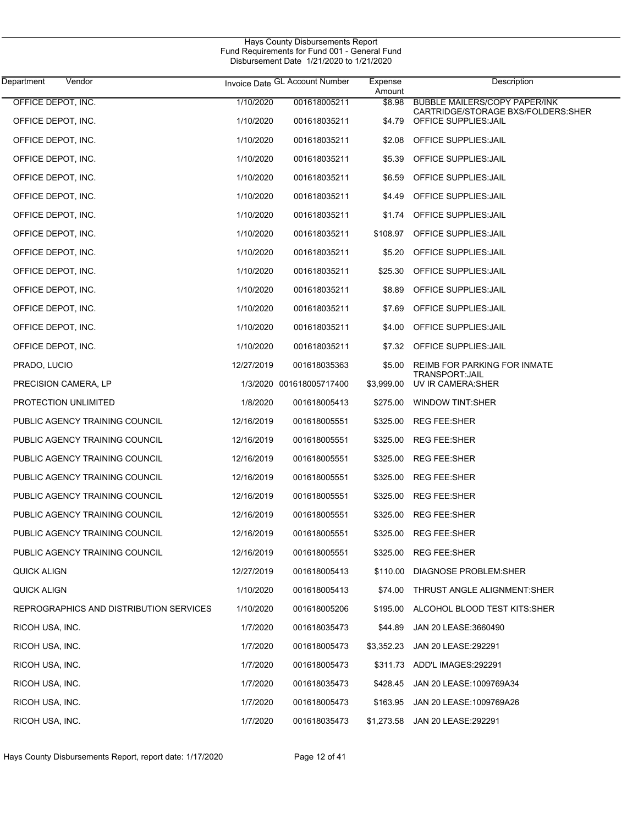| Vendor<br>Department                    |            | Invoice Date GL Account Number | Expense<br>Amount | Description                                                        |
|-----------------------------------------|------------|--------------------------------|-------------------|--------------------------------------------------------------------|
| OFFICE DEPOT, INC.                      | 1/10/2020  | 001618005211                   | \$8.98            | <b>BUBBLE MAILERS/COPY PAPER/INK</b>                               |
| OFFICE DEPOT, INC.                      | 1/10/2020  | 001618035211                   | \$4.79            | CARTRIDGE/STORAGE BXS/FOLDERS:SHER<br><b>OFFICE SUPPLIES: JAIL</b> |
| OFFICE DEPOT, INC.                      | 1/10/2020  | 001618035211                   | \$2.08            | <b>OFFICE SUPPLIES: JAIL</b>                                       |
| OFFICE DEPOT, INC.                      | 1/10/2020  | 001618035211                   | \$5.39            | <b>OFFICE SUPPLIES: JAIL</b>                                       |
| OFFICE DEPOT, INC.                      | 1/10/2020  | 001618035211                   | \$6.59            | <b>OFFICE SUPPLIES: JAIL</b>                                       |
| OFFICE DEPOT, INC.                      | 1/10/2020  | 001618035211                   |                   | \$4.49 OFFICE SUPPLIES: JAIL                                       |
| OFFICE DEPOT, INC.                      | 1/10/2020  | 001618035211                   |                   | \$1.74 OFFICE SUPPLIES: JAIL                                       |
| OFFICE DEPOT, INC.                      | 1/10/2020  | 001618035211                   |                   | \$108.97 OFFICE SUPPLIES: JAIL                                     |
| OFFICE DEPOT, INC.                      | 1/10/2020  | 001618035211                   | \$5.20            | OFFICE SUPPLIES: JAIL                                              |
| OFFICE DEPOT, INC.                      | 1/10/2020  | 001618035211                   |                   | \$25.30 OFFICE SUPPLIES: JAIL                                      |
| OFFICE DEPOT, INC.                      | 1/10/2020  | 001618035211                   | \$8.89            | OFFICE SUPPLIES: JAIL                                              |
| OFFICE DEPOT, INC.                      | 1/10/2020  | 001618035211                   | \$7.69            | <b>OFFICE SUPPLIES: JAIL</b>                                       |
| OFFICE DEPOT, INC.                      | 1/10/2020  | 001618035211                   | \$4.00            | <b>OFFICE SUPPLIES: JAIL</b>                                       |
| OFFICE DEPOT, INC.                      | 1/10/2020  | 001618035211                   |                   | \$7.32 OFFICE SUPPLIES: JAIL                                       |
| PRADO, LUCIO                            | 12/27/2019 | 001618035363                   | \$5.00            | REIMB FOR PARKING FOR INMATE<br><b>TRANSPORT:JAIL</b>              |
| PRECISION CAMERA, LP                    |            | 1/3/2020 001618005717400       | \$3,999.00        | UV IR CAMERA: SHER                                                 |
| PROTECTION UNLIMITED                    | 1/8/2020   | 001618005413                   | \$275.00          | <b>WINDOW TINT:SHER</b>                                            |
| PUBLIC AGENCY TRAINING COUNCIL          | 12/16/2019 | 001618005551                   | \$325.00          | <b>REG FEE:SHER</b>                                                |
| PUBLIC AGENCY TRAINING COUNCIL          | 12/16/2019 | 001618005551                   | \$325.00          | <b>REG FEE:SHER</b>                                                |
| PUBLIC AGENCY TRAINING COUNCIL          | 12/16/2019 | 001618005551                   | \$325.00          | <b>REG FEE:SHER</b>                                                |
| PUBLIC AGENCY TRAINING COUNCIL          | 12/16/2019 | 001618005551                   | \$325.00          | <b>REG FEE:SHER</b>                                                |
| PUBLIC AGENCY TRAINING COUNCIL          | 12/16/2019 | 001618005551                   | \$325.00          | <b>REG FEE:SHER</b>                                                |
| PUBLIC AGENCY TRAINING COUNCIL          | 12/16/2019 | 001618005551                   | \$325.00          | <b>REG FEE:SHER</b>                                                |
| PUBLIC AGENCY TRAINING COUNCIL          | 12/16/2019 | 001618005551                   |                   | \$325.00 REG FEE:SHER                                              |
| PUBLIC AGENCY TRAINING COUNCIL          | 12/16/2019 | 001618005551                   | \$325.00          | <b>REG FEE:SHER</b>                                                |
| QUICK ALIGN                             | 12/27/2019 | 001618005413                   | \$110.00          | <b>DIAGNOSE PROBLEM:SHER</b>                                       |
| QUICK ALIGN                             | 1/10/2020  | 001618005413                   | \$74.00           | THRUST ANGLE ALIGNMENT: SHER                                       |
| REPROGRAPHICS AND DISTRIBUTION SERVICES | 1/10/2020  | 001618005206                   | \$195.00          | ALCOHOL BLOOD TEST KITS:SHER                                       |
| RICOH USA, INC.                         | 1/7/2020   | 001618035473                   | \$44.89           | JAN 20 LEASE:3660490                                               |
| RICOH USA, INC.                         | 1/7/2020   | 001618005473                   | \$3,352.23        | JAN 20 LEASE: 292291                                               |
| RICOH USA, INC.                         | 1/7/2020   | 001618005473                   |                   | \$311.73 ADD'L IMAGES:292291                                       |
| RICOH USA, INC.                         | 1/7/2020   | 001618035473                   | \$428.45          | JAN 20 LEASE: 1009769A34                                           |
| RICOH USA, INC.                         | 1/7/2020   | 001618005473                   | \$163.95          | JAN 20 LEASE: 1009769A26                                           |
| RICOH USA, INC.                         | 1/7/2020   | 001618035473                   | \$1,273.58        | JAN 20 LEASE: 292291                                               |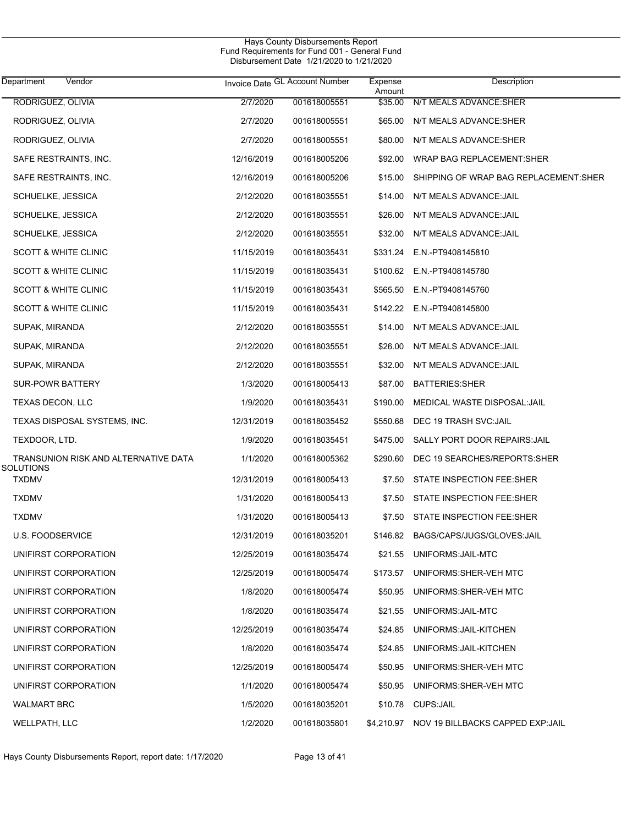$\overline{\phantom{0}}$ 

| Department<br>Vendor                 |            | Invoice Date GL Account Number | Expense<br>Amount | Description                                 |
|--------------------------------------|------------|--------------------------------|-------------------|---------------------------------------------|
| RODRIGUEZ, OLIVIA                    | 2/7/2020   | 001618005551                   | \$35.00           | N/T MEALS ADVANCE:SHER                      |
| RODRIGUEZ, OLIVIA                    | 2/7/2020   | 001618005551                   | \$65.00           | N/T MEALS ADVANCE:SHER                      |
| RODRIGUEZ, OLIVIA                    | 2/7/2020   | 001618005551                   | \$80.00           | N/T MEALS ADVANCE:SHER                      |
| SAFE RESTRAINTS, INC.                | 12/16/2019 | 001618005206                   | \$92.00           | WRAP BAG REPLACEMENT:SHER                   |
| SAFE RESTRAINTS, INC.                | 12/16/2019 | 001618005206                   | \$15.00           | SHIPPING OF WRAP BAG REPLACEMENT:SHER       |
| SCHUELKE, JESSICA                    | 2/12/2020  | 001618035551                   | \$14.00           | N/T MEALS ADVANCE: JAIL                     |
| SCHUELKE, JESSICA                    | 2/12/2020  | 001618035551                   | \$26.00           | N/T MEALS ADVANCE: JAIL                     |
| SCHUELKE, JESSICA                    | 2/12/2020  | 001618035551                   | \$32.00           | N/T MEALS ADVANCE: JAIL                     |
| <b>SCOTT &amp; WHITE CLINIC</b>      | 11/15/2019 | 001618035431                   |                   | \$331.24 E.N.-PT9408145810                  |
| <b>SCOTT &amp; WHITE CLINIC</b>      | 11/15/2019 | 001618035431                   |                   | \$100.62 E.N.-PT9408145780                  |
| <b>SCOTT &amp; WHITE CLINIC</b>      | 11/15/2019 | 001618035431                   | \$565.50          | E.N.-PT9408145760                           |
| <b>SCOTT &amp; WHITE CLINIC</b>      | 11/15/2019 | 001618035431                   |                   | \$142.22 E.N.-PT9408145800                  |
| SUPAK, MIRANDA                       | 2/12/2020  | 001618035551                   | \$14.00           | N/T MEALS ADVANCE: JAIL                     |
| SUPAK, MIRANDA                       | 2/12/2020  | 001618035551                   | \$26.00           | N/T MEALS ADVANCE: JAIL                     |
| SUPAK, MIRANDA                       | 2/12/2020  | 001618035551                   | \$32.00           | N/T MEALS ADVANCE: JAIL                     |
| SUR-POWR BATTERY                     | 1/3/2020   | 001618005413                   | \$87.00           | <b>BATTERIES:SHER</b>                       |
| TEXAS DECON, LLC                     | 1/9/2020   | 001618035431                   | \$190.00          | MEDICAL WASTE DISPOSAL:JAIL                 |
| TEXAS DISPOSAL SYSTEMS, INC.         | 12/31/2019 | 001618035452                   | \$550.68          | DEC 19 TRASH SVC:JAIL                       |
| TEXDOOR, LTD.                        | 1/9/2020   | 001618035451                   | \$475.00          | SALLY PORT DOOR REPAIRS: JAIL               |
| TRANSUNION RISK AND ALTERNATIVE DATA | 1/1/2020   | 001618005362                   | \$290.60          | DEC 19 SEARCHES/REPORTS:SHER                |
| <b>SOLUTIONS</b><br><b>TXDMV</b>     | 12/31/2019 | 001618005413                   | \$7.50            | STATE INSPECTION FEE:SHER                   |
| <b>TXDMV</b>                         | 1/31/2020  | 001618005413                   | \$7.50            | STATE INSPECTION FEE:SHER                   |
| TXDMV                                | 1/31/2020  | 001618005413                   | \$7.50            | STATE INSPECTION FEE:SHER                   |
| <b>U.S. FOODSERVICE</b>              | 12/31/2019 | 001618035201                   |                   | \$146.82 BAGS/CAPS/JUGS/GLOVES:JAIL         |
| UNIFIRST CORPORATION                 | 12/25/2019 | 001618035474                   |                   | \$21.55 UNIFORMS: JAIL-MTC                  |
| UNIFIRST CORPORATION                 | 12/25/2019 | 001618005474                   |                   | \$173.57 UNIFORMS:SHER-VEH MTC              |
| UNIFIRST CORPORATION                 | 1/8/2020   | 001618005474                   |                   | \$50.95 UNIFORMS: SHER-VEH MTC              |
| UNIFIRST CORPORATION                 | 1/8/2020   | 001618035474                   | \$21.55           | UNIFORMS: JAIL-MTC                          |
| UNIFIRST CORPORATION                 | 12/25/2019 | 001618035474                   | \$24.85           | UNIFORMS: JAIL-KITCHEN                      |
| UNIFIRST CORPORATION                 | 1/8/2020   | 001618035474                   | \$24.85           | UNIFORMS: JAIL-KITCHEN                      |
| UNIFIRST CORPORATION                 | 12/25/2019 | 001618005474                   | \$50.95           | UNIFORMS: SHER-VEH MTC                      |
| UNIFIRST CORPORATION                 | 1/1/2020   | 001618005474                   | \$50.95           | UNIFORMS:SHER-VEH MTC                       |
| <b>WALMART BRC</b>                   | 1/5/2020   | 001618035201                   |                   | \$10.78 CUPS:JAIL                           |
| WELLPATH, LLC                        | 1/2/2020   | 001618035801                   |                   | \$4,210.97 NOV 19 BILLBACKS CAPPED EXP:JAIL |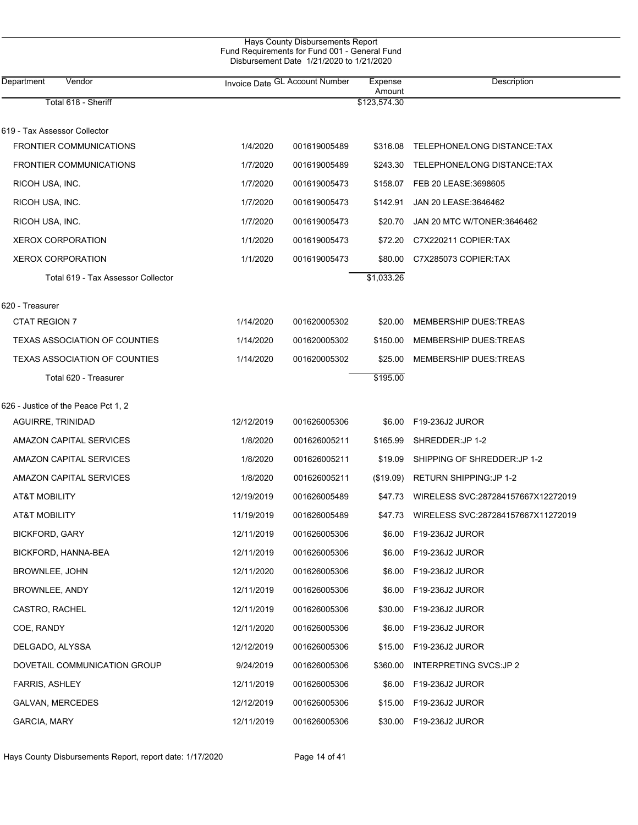| Hays County Disbursements Report              |
|-----------------------------------------------|
| Fund Requirements for Fund 001 - General Fund |
| Disbursement Date 1/21/2020 to 1/21/2020      |
|                                               |

| Department<br>Vendor                 |            | Invoice Date GL Account Number | Expense<br>Amount | Description                          |
|--------------------------------------|------------|--------------------------------|-------------------|--------------------------------------|
| Total 618 - Sheriff                  |            |                                | \$123,574.30      |                                      |
| 619 - Tax Assessor Collector         |            |                                |                   |                                      |
| <b>FRONTIER COMMUNICATIONS</b>       | 1/4/2020   | 001619005489                   |                   | \$316.08 TELEPHONE/LONG DISTANCE:TAX |
| <b>FRONTIER COMMUNICATIONS</b>       | 1/7/2020   | 001619005489                   | \$243.30          | TELEPHONE/LONG DISTANCE:TAX          |
| RICOH USA, INC.                      | 1/7/2020   | 001619005473                   |                   | \$158.07 FEB 20 LEASE:3698605        |
| RICOH USA, INC.                      | 1/7/2020   | 001619005473                   | \$142.91          | JAN 20 LEASE:3646462                 |
| RICOH USA, INC.                      | 1/7/2020   | 001619005473                   | \$20.70           | JAN 20 MTC W/TONER:3646462           |
| <b>XEROX CORPORATION</b>             | 1/1/2020   | 001619005473                   | \$72.20           | C7X220211 COPIER:TAX                 |
| <b>XEROX CORPORATION</b>             | 1/1/2020   | 001619005473                   | \$80.00           | C7X285073 COPIER:TAX                 |
| Total 619 - Tax Assessor Collector   |            |                                | \$1,033.26        |                                      |
|                                      |            |                                |                   |                                      |
| 620 - Treasurer                      |            |                                |                   |                                      |
| CTAT REGION 7                        | 1/14/2020  | 001620005302                   | \$20.00           | <b>MEMBERSHIP DUES:TREAS</b>         |
| <b>TEXAS ASSOCIATION OF COUNTIES</b> | 1/14/2020  | 001620005302                   | \$150.00          | <b>MEMBERSHIP DUES:TREAS</b>         |
| <b>TEXAS ASSOCIATION OF COUNTIES</b> | 1/14/2020  | 001620005302                   | \$25.00           | <b>MEMBERSHIP DUES:TREAS</b>         |
| Total 620 - Treasurer                |            |                                | \$195.00          |                                      |
| 626 - Justice of the Peace Pct 1, 2  |            |                                |                   |                                      |
| <b>AGUIRRE, TRINIDAD</b>             | 12/12/2019 | 001626005306                   |                   | \$6.00 F19-236J2 JUROR               |
| AMAZON CAPITAL SERVICES              | 1/8/2020   | 001626005211                   | \$165.99          | SHREDDER: JP 1-2                     |
| AMAZON CAPITAL SERVICES              | 1/8/2020   | 001626005211                   | \$19.09           | SHIPPING OF SHREDDER: JP 1-2         |
| AMAZON CAPITAL SERVICES              | 1/8/2020   | 001626005211                   | (\$19.09)         | RETURN SHIPPING: JP 1-2              |
| <b>AT&amp;T MOBILITY</b>             | 12/19/2019 | 001626005489                   | \$47.73           | WIRELESS SVC:287284157667X12272019   |
| <b>AT&amp;T MOBILITY</b>             | 11/19/2019 | 001626005489                   | \$47.73           | WIRELESS SVC:287284157667X11272019   |
| <b>BICKFORD, GARY</b>                | 12/11/2019 | 001626005306                   |                   |                                      |
| BICKFORD, HANNA-BEA                  | 12/11/2019 | 001626005306                   |                   |                                      |
| BROWNLEE, JOHN                       | 12/11/2020 | 001626005306                   | \$6.00            | F19-236J2 JUROR                      |
|                                      |            | 001626005306                   |                   |                                      |
| BROWNLEE, ANDY                       | 12/11/2019 |                                | \$6.00            | F19-236J2 JUROR                      |
| CASTRO, RACHEL                       | 12/11/2019 | 001626005306                   | \$30.00           | F19-236J2 JUROR                      |
| COE, RANDY                           | 12/11/2020 | 001626005306                   | \$6.00            | F19-236J2 JUROR                      |
| DELGADO, ALYSSA                      | 12/12/2019 | 001626005306                   | \$15.00           | F19-236J2 JUROR                      |
| DOVETAIL COMMUNICATION GROUP         | 9/24/2019  | 001626005306                   | \$360.00          | <b>INTERPRETING SVCS:JP 2</b>        |
| <b>FARRIS, ASHLEY</b>                | 12/11/2019 | 001626005306                   | \$6.00            | F19-236J2 JUROR                      |
| GALVAN, MERCEDES                     | 12/12/2019 | 001626005306                   | \$15.00           | F19-236J2 JUROR                      |
| GARCIA, MARY                         | 12/11/2019 | 001626005306                   | \$30.00           | F19-236J2 JUROR                      |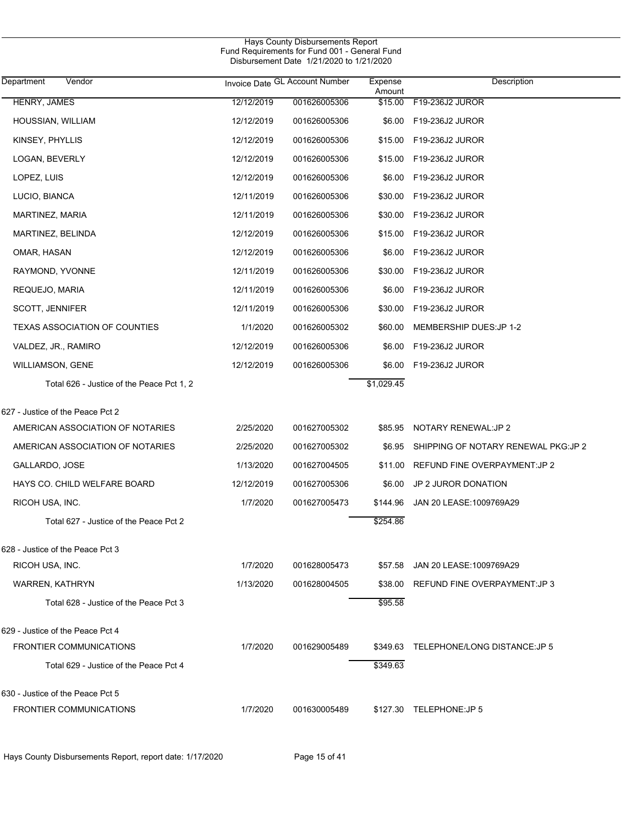| Hays County Disbursements Report<br>Fund Requirements for Fund 001 - General Fund<br>Disbursement Date 1/21/2020 to 1/21/2020 |            |                                |                   |                                      |  |  |  |
|-------------------------------------------------------------------------------------------------------------------------------|------------|--------------------------------|-------------------|--------------------------------------|--|--|--|
| Department<br>Vendor                                                                                                          |            | Invoice Date GL Account Number | Expense<br>Amount | Description                          |  |  |  |
| HENRY, JAMES                                                                                                                  | 12/12/2019 | 001626005306                   | \$15.00           | F19-236J2 JUROR                      |  |  |  |
| HOUSSIAN, WILLIAM                                                                                                             | 12/12/2019 | 001626005306                   | \$6.00            | F19-236J2 JUROR                      |  |  |  |
| KINSEY, PHYLLIS                                                                                                               | 12/12/2019 | 001626005306                   | \$15.00           | F19-236J2 JUROR                      |  |  |  |
| LOGAN, BEVERLY                                                                                                                | 12/12/2019 | 001626005306                   | \$15.00           | F19-236J2 JUROR                      |  |  |  |
| LOPEZ, LUIS                                                                                                                   | 12/12/2019 | 001626005306                   | \$6.00            | F19-236J2 JUROR                      |  |  |  |
| LUCIO, BIANCA                                                                                                                 | 12/11/2019 | 001626005306                   | \$30.00           | F19-236J2 JUROR                      |  |  |  |
| MARTINEZ, MARIA                                                                                                               | 12/11/2019 | 001626005306                   | \$30.00           | F19-236J2 JUROR                      |  |  |  |
| MARTINEZ, BELINDA                                                                                                             | 12/12/2019 | 001626005306                   | \$15.00           | F19-236J2 JUROR                      |  |  |  |
| OMAR, HASAN                                                                                                                   | 12/12/2019 | 001626005306                   | \$6.00            | F19-236J2 JUROR                      |  |  |  |
| RAYMOND, YVONNE                                                                                                               | 12/11/2019 | 001626005306                   | \$30.00           | F19-236J2 JUROR                      |  |  |  |
| REQUEJO, MARIA                                                                                                                | 12/11/2019 | 001626005306                   | \$6.00            | F19-236J2 JUROR                      |  |  |  |
| <b>SCOTT, JENNIFER</b>                                                                                                        | 12/11/2019 | 001626005306                   | \$30.00           | F19-236J2 JUROR                      |  |  |  |
| <b>TEXAS ASSOCIATION OF COUNTIES</b>                                                                                          | 1/1/2020   | 001626005302                   | \$60.00           | MEMBERSHIP DUES: JP 1-2              |  |  |  |
| VALDEZ, JR., RAMIRO                                                                                                           | 12/12/2019 | 001626005306                   | \$6.00            | F19-236J2 JUROR                      |  |  |  |
| <b>WILLIAMSON, GENE</b>                                                                                                       | 12/12/2019 | 001626005306                   | \$6.00            | F19-236J2 JUROR                      |  |  |  |
| Total 626 - Justice of the Peace Pct 1, 2                                                                                     |            |                                | \$1,029.45        |                                      |  |  |  |
| 627 - Justice of the Peace Pct 2                                                                                              |            |                                |                   |                                      |  |  |  |
| AMERICAN ASSOCIATION OF NOTARIES                                                                                              | 2/25/2020  | 001627005302                   | \$85.95           | NOTARY RENEWAL: JP 2                 |  |  |  |
| AMERICAN ASSOCIATION OF NOTARIES                                                                                              | 2/25/2020  | 001627005302                   | \$6.95            | SHIPPING OF NOTARY RENEWAL PKG: JP 2 |  |  |  |
| GALLARDO, JOSE                                                                                                                | 1/13/2020  | 001627004505                   | \$11.00           | REFUND FINE OVERPAYMENT: JP 2        |  |  |  |
| HAYS CO. CHILD WELFARE BOARD                                                                                                  | 12/12/2019 | 001627005306                   | \$6.00            | JP 2 JUROR DONATION                  |  |  |  |
| RICOH USA, INC.                                                                                                               | 1/7/2020   | 001627005473                   |                   | \$144.96 JAN 20 LEASE:1009769A29     |  |  |  |
| Total 627 - Justice of the Peace Pct 2                                                                                        |            |                                | \$254.86          |                                      |  |  |  |
| 628 - Justice of the Peace Pct 3                                                                                              |            |                                |                   |                                      |  |  |  |
| RICOH USA, INC.                                                                                                               | 1/7/2020   | 001628005473                   | \$57.58           | JAN 20 LEASE: 1009769A29             |  |  |  |
| WARREN, KATHRYN                                                                                                               | 1/13/2020  | 001628004505                   | \$38.00           | REFUND FINE OVERPAYMENT: JP 3        |  |  |  |
| Total 628 - Justice of the Peace Pct 3                                                                                        |            |                                | \$95.58           |                                      |  |  |  |
| 629 - Justice of the Peace Pct 4                                                                                              |            |                                |                   |                                      |  |  |  |
| <b>FRONTIER COMMUNICATIONS</b>                                                                                                | 1/7/2020   | 001629005489                   | \$349.63          | TELEPHONE/LONG DISTANCE: JP 5        |  |  |  |
| Total 629 - Justice of the Peace Pct 4                                                                                        |            |                                | \$349.63          |                                      |  |  |  |
| 630 - Justice of the Peace Pct 5                                                                                              |            |                                |                   |                                      |  |  |  |
| <b>FRONTIER COMMUNICATIONS</b>                                                                                                | 1/7/2020   | 001630005489                   |                   | \$127.30 TELEPHONE:JP 5              |  |  |  |

Hays County Disbursements Report, report date: 1/17/2020 Page 15 of 41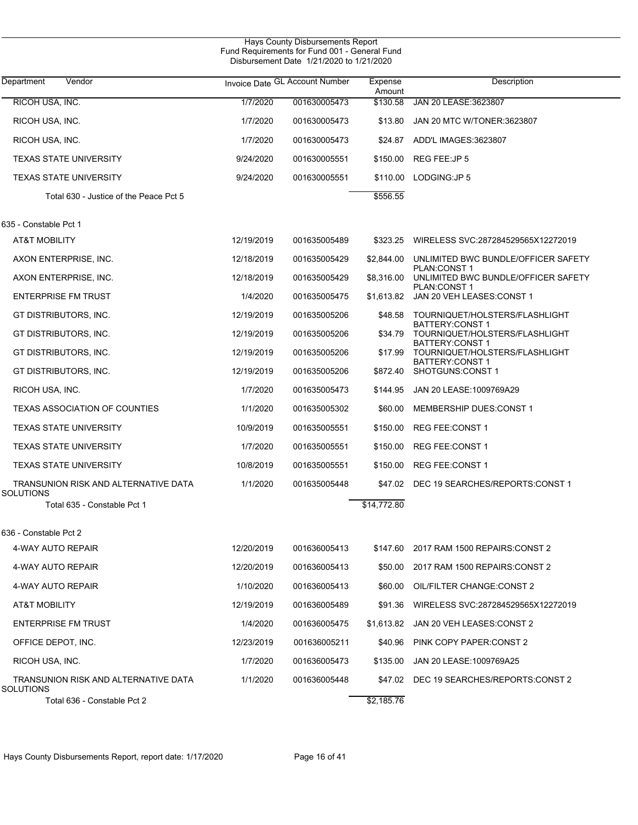| Department<br>Vendor                              |            | Invoice Date GL Account Number | Expense<br>Amount | Description                                              |
|---------------------------------------------------|------------|--------------------------------|-------------------|----------------------------------------------------------|
| RICOH USA, INC.                                   | 1/7/2020   | 001630005473                   | \$130.58          | JAN 20 LEASE: 3623807                                    |
| RICOH USA, INC.                                   | 1/7/2020   | 001630005473                   | \$13.80           | JAN 20 MTC W/TONER:3623807                               |
| RICOH USA, INC.                                   | 1/7/2020   | 001630005473                   | \$24.87           | ADD'L IMAGES:3623807                                     |
| <b>TEXAS STATE UNIVERSITY</b>                     | 9/24/2020  | 001630005551                   |                   | \$150.00 REG FEE:JP 5                                    |
| <b>TEXAS STATE UNIVERSITY</b>                     | 9/24/2020  | 001630005551                   |                   | \$110.00 LODGING: JP 5                                   |
| Total 630 - Justice of the Peace Pct 5            |            |                                | \$556.55          |                                                          |
| 635 - Constable Pct 1                             |            |                                |                   |                                                          |
| AT&T MOBILITY                                     | 12/19/2019 | 001635005489                   | \$323.25          | WIRELESS SVC:287284529565X12272019                       |
| AXON ENTERPRISE, INC.                             | 12/18/2019 | 001635005429                   | \$2,844.00        | UNLIMITED BWC BUNDLE/OFFICER SAFETY                      |
| AXON ENTERPRISE, INC.                             | 12/18/2019 | 001635005429                   | \$8,316.00        | PLAN:CONST1<br>UNLIMITED BWC BUNDLE/OFFICER SAFETY       |
| <b>ENTERPRISE FM TRUST</b>                        | 1/4/2020   | 001635005475                   | \$1,613.82        | <b>PLAN:CONST1</b><br>JAN 20 VEH LEASES: CONST 1         |
| GT DISTRIBUTORS, INC.                             | 12/19/2019 | 001635005206                   | \$48.58           | TOURNIQUET/HOLSTERS/FLASHLIGHT                           |
| GT DISTRIBUTORS, INC.                             | 12/19/2019 | 001635005206                   | \$34.79           | <b>BATTERY:CONST 1</b><br>TOURNIQUET/HOLSTERS/FLASHLIGHT |
| GT DISTRIBUTORS, INC.                             | 12/19/2019 | 001635005206                   | \$17.99           | <b>BATTERY:CONST 1</b><br>TOURNIQUET/HOLSTERS/FLASHLIGHT |
| GT DISTRIBUTORS, INC.                             | 12/19/2019 | 001635005206                   | \$872.40          | <b>BATTERY:CONST 1</b><br>SHOTGUNS:CONST 1               |
| RICOH USA, INC.                                   | 1/7/2020   | 001635005473                   | \$144.95          | JAN 20 LEASE:1009769A29                                  |
| <b>TEXAS ASSOCIATION OF COUNTIES</b>              | 1/1/2020   | 001635005302                   | \$60.00           | MEMBERSHIP DUES:CONST 1                                  |
| <b>TEXAS STATE UNIVERSITY</b>                     | 10/9/2019  | 001635005551                   | \$150.00          | REG FEE:CONST 1                                          |
| <b>TEXAS STATE UNIVERSITY</b>                     | 1/7/2020   | 001635005551                   | \$150.00          | REG FEE:CONST 1                                          |
| <b>TEXAS STATE UNIVERSITY</b>                     | 10/8/2019  | 001635005551                   | \$150.00          | REG FEE:CONST 1                                          |
| TRANSUNION RISK AND ALTERNATIVE DATA<br>SOLUTIONS | 1/1/2020   | 001635005448                   |                   | \$47.02 DEC 19 SEARCHES/REPORTS:CONST 1                  |
| Total 635 - Constable Pct 1                       |            |                                | \$14,772.80       |                                                          |
| 636 - Constable Pct 2                             |            |                                |                   |                                                          |
| 4-WAY AUTO REPAIR                                 | 12/20/2019 | 001636005413                   | \$147.60          | 2017 RAM 1500 REPAIRS: CONST 2                           |
| 4-WAY AUTO REPAIR                                 | 12/20/2019 | 001636005413                   |                   | \$50.00 2017 RAM 1500 REPAIRS: CONST 2                   |
| 4-WAY AUTO REPAIR                                 | 1/10/2020  | 001636005413                   |                   | \$60.00 OIL/FILTER CHANGE:CONST 2                        |
| AT&T MOBILITY                                     | 12/19/2019 | 001636005489                   | \$91.36           | WIRELESS SVC:287284529565X12272019                       |
| <b>ENTERPRISE FM TRUST</b>                        | 1/4/2020   | 001636005475                   |                   | \$1,613.82 JAN 20 VEH LEASES:CONST 2                     |
| OFFICE DEPOT, INC.                                | 12/23/2019 | 001636005211                   |                   | \$40.96 PINK COPY PAPER:CONST 2                          |
| RICOH USA, INC.                                   | 1/7/2020   | 001636005473                   |                   | \$135.00 JAN 20 LEASE:1009769A25                         |
| TRANSUNION RISK AND ALTERNATIVE DATA<br>SOLUTIONS | 1/1/2020   | 001636005448                   |                   | \$47.02 DEC 19 SEARCHES/REPORTS:CONST 2                  |
| Total 636 - Constable Pct 2                       |            |                                | \$2,185.76        |                                                          |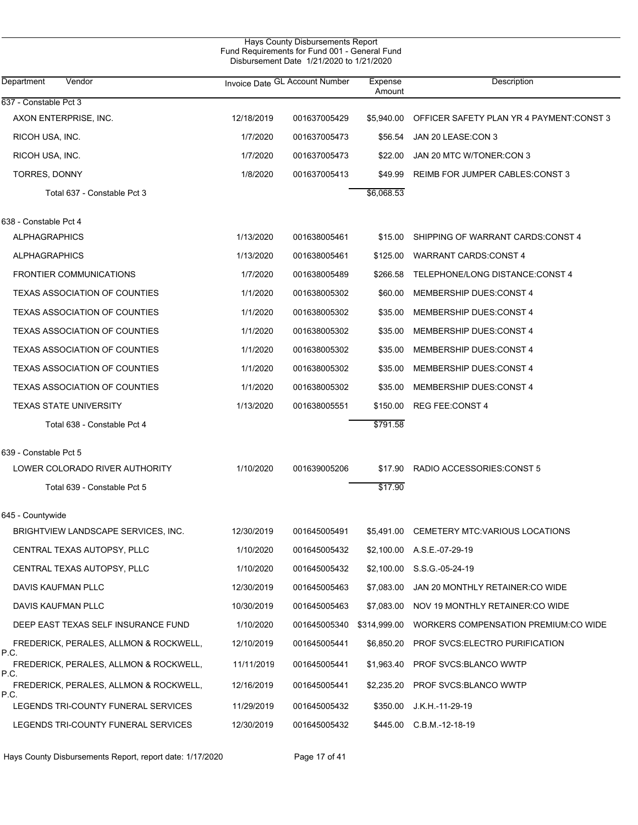| Hays County Disbursements Report<br>Fund Requirements for Fund 001 - General Fund<br>Disbursement Date 1/21/2020 to 1/21/2020 |            |                                |                   |                                          |  |  |  |
|-------------------------------------------------------------------------------------------------------------------------------|------------|--------------------------------|-------------------|------------------------------------------|--|--|--|
| Department<br>Vendor                                                                                                          |            | Invoice Date GL Account Number | Expense<br>Amount | Description                              |  |  |  |
| 637 - Constable Pct 3                                                                                                         |            |                                |                   |                                          |  |  |  |
| AXON ENTERPRISE, INC.                                                                                                         | 12/18/2019 | 001637005429                   | \$5,940.00        | OFFICER SAFETY PLAN YR 4 PAYMENT:CONST 3 |  |  |  |
| RICOH USA, INC.                                                                                                               | 1/7/2020   | 001637005473                   | \$56.54           | JAN 20 LEASE:CON 3                       |  |  |  |
| RICOH USA, INC.                                                                                                               | 1/7/2020   | 001637005473                   | \$22.00           | JAN 20 MTC W/TONER:CON 3                 |  |  |  |
| TORRES, DONNY                                                                                                                 | 1/8/2020   | 001637005413                   | \$49.99           | REIMB FOR JUMPER CABLES: CONST 3         |  |  |  |
| Total 637 - Constable Pct 3                                                                                                   |            |                                | \$6,068.53        |                                          |  |  |  |
| 638 - Constable Pct 4                                                                                                         |            |                                |                   |                                          |  |  |  |
| <b>ALPHAGRAPHICS</b>                                                                                                          | 1/13/2020  | 001638005461                   | \$15.00           | SHIPPING OF WARRANT CARDS:CONST 4        |  |  |  |
| <b>ALPHAGRAPHICS</b>                                                                                                          | 1/13/2020  | 001638005461                   | \$125.00          | <b>WARRANT CARDS:CONST 4</b>             |  |  |  |
| <b>FRONTIER COMMUNICATIONS</b>                                                                                                | 1/7/2020   | 001638005489                   | \$266.58          | TELEPHONE/LONG DISTANCE:CONST 4          |  |  |  |
| <b>TEXAS ASSOCIATION OF COUNTIES</b>                                                                                          | 1/1/2020   | 001638005302                   | \$60.00           | MEMBERSHIP DUES:CONST 4                  |  |  |  |
| <b>TEXAS ASSOCIATION OF COUNTIES</b>                                                                                          | 1/1/2020   | 001638005302                   | \$35.00           | MEMBERSHIP DUES:CONST 4                  |  |  |  |
| <b>TEXAS ASSOCIATION OF COUNTIES</b>                                                                                          | 1/1/2020   | 001638005302                   | \$35.00           | MEMBERSHIP DUES:CONST 4                  |  |  |  |
| <b>TEXAS ASSOCIATION OF COUNTIES</b>                                                                                          | 1/1/2020   | 001638005302                   | \$35.00           | MEMBERSHIP DUES:CONST 4                  |  |  |  |
| <b>TEXAS ASSOCIATION OF COUNTIES</b>                                                                                          | 1/1/2020   | 001638005302                   | \$35.00           | MEMBERSHIP DUES:CONST 4                  |  |  |  |
| <b>TEXAS ASSOCIATION OF COUNTIES</b>                                                                                          | 1/1/2020   | 001638005302                   | \$35.00           | MEMBERSHIP DUES:CONST 4                  |  |  |  |
| <b>TEXAS STATE UNIVERSITY</b>                                                                                                 | 1/13/2020  | 001638005551                   | \$150.00          | <b>REG FEE:CONST 4</b>                   |  |  |  |
| Total 638 - Constable Pct 4                                                                                                   |            |                                | \$791.58          |                                          |  |  |  |
| 639 - Constable Pct 5                                                                                                         |            |                                |                   |                                          |  |  |  |
| LOWER COLORADO RIVER AUTHORITY                                                                                                | 1/10/2020  | 001639005206                   | \$17.90           | RADIO ACCESSORIES: CONST 5               |  |  |  |
| Total 639 - Constable Pct 5                                                                                                   |            |                                | \$17.90           |                                          |  |  |  |
| 645 - Countywide                                                                                                              |            |                                |                   |                                          |  |  |  |
| BRIGHTVIEW LANDSCAPE SERVICES, INC.                                                                                           | 12/30/2019 | 001645005491                   | \$5,491.00        | CEMETERY MTC: VARIOUS LOCATIONS          |  |  |  |
| CENTRAL TEXAS AUTOPSY, PLLC                                                                                                   | 1/10/2020  | 001645005432                   | \$2,100.00        | A.S.E.-07-29-19                          |  |  |  |
| CENTRAL TEXAS AUTOPSY, PLLC                                                                                                   | 1/10/2020  | 001645005432                   | \$2,100.00        | S.S.G.-05-24-19                          |  |  |  |
| DAVIS KAUFMAN PLLC                                                                                                            | 12/30/2019 | 001645005463                   | \$7,083.00        | JAN 20 MONTHLY RETAINER:CO WIDE          |  |  |  |
| DAVIS KAUFMAN PLLC                                                                                                            | 10/30/2019 | 001645005463                   | \$7,083.00        | NOV 19 MONTHLY RETAINER:CO WIDE          |  |  |  |
| DEEP EAST TEXAS SELF INSURANCE FUND                                                                                           | 1/10/2020  | 001645005340                   | \$314,999.00      | WORKERS COMPENSATION PREMIUM:CO WIDE     |  |  |  |
| FREDERICK, PERALES, ALLMON & ROCKWELL,                                                                                        | 12/10/2019 | 001645005441                   | \$6,850.20        | PROF SVCS:ELECTRO PURIFICATION           |  |  |  |
| P.C.<br>FREDERICK, PERALES, ALLMON & ROCKWELL,                                                                                | 11/11/2019 | 001645005441                   | \$1,963.40        | <b>PROF SVCS:BLANCO WWTP</b>             |  |  |  |
| P.C.<br>FREDERICK, PERALES, ALLMON & ROCKWELL,                                                                                | 12/16/2019 | 001645005441                   | \$2,235.20        | <b>PROF SVCS:BLANCO WWTP</b>             |  |  |  |
| P.C.<br>LEGENDS TRI-COUNTY FUNERAL SERVICES                                                                                   | 11/29/2019 | 001645005432                   | \$350.00          | J.K.H.-11-29-19                          |  |  |  |
| LEGENDS TRI-COUNTY FUNERAL SERVICES                                                                                           | 12/30/2019 | 001645005432                   | \$445.00          | $C.B.M.-12-18-19$                        |  |  |  |

Hays County Disbursements Report, report date: 1/17/2020 Page 17 of 41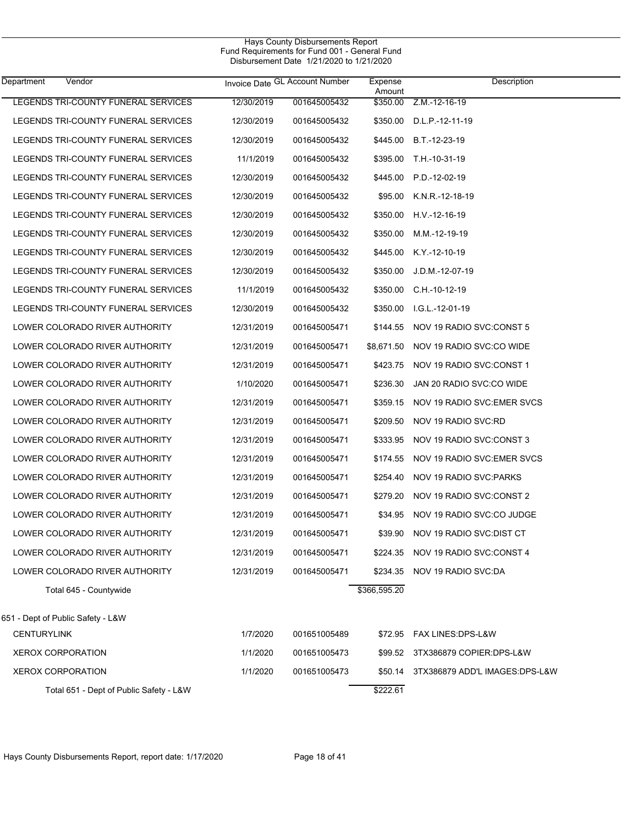| Department<br>Vendor                    |            | Invoice Date GL Account Number | Expense<br>Amount | Description                       |
|-----------------------------------------|------------|--------------------------------|-------------------|-----------------------------------|
| LEGENDS TRI-COUNTY FUNERAL SERVICES     | 12/30/2019 | 001645005432                   | \$350.00          | Z.M.-12-16-19                     |
| LEGENDS TRI-COUNTY FUNERAL SERVICES     | 12/30/2019 | 001645005432                   | \$350.00          | D.L.P.-12-11-19                   |
| LEGENDS TRI-COUNTY FUNERAL SERVICES     | 12/30/2019 | 001645005432                   | \$445.00          | B.T.-12-23-19                     |
| LEGENDS TRI-COUNTY FUNERAL SERVICES     | 11/1/2019  | 001645005432                   | \$395.00          | T.H.-10-31-19                     |
| LEGENDS TRI-COUNTY FUNERAL SERVICES     | 12/30/2019 | 001645005432                   | \$445.00          | P.D.-12-02-19                     |
| LEGENDS TRI-COUNTY FUNERAL SERVICES     | 12/30/2019 | 001645005432                   | \$95.00           | $K.N.R. -12-18-19$                |
| LEGENDS TRI-COUNTY FUNERAL SERVICES     | 12/30/2019 | 001645005432                   | \$350.00          | H.V -12-16-19                     |
| LEGENDS TRI-COUNTY FUNERAL SERVICES     | 12/30/2019 | 001645005432                   | \$350.00          | M.M.-12-19-19                     |
| LEGENDS TRI-COUNTY FUNERAL SERVICES     | 12/30/2019 | 001645005432                   | \$445.00          | K.Y.-12-10-19                     |
| LEGENDS TRI-COUNTY FUNERAL SERVICES     | 12/30/2019 | 001645005432                   | \$350.00          | J.D.M.-12-07-19                   |
| LEGENDS TRI-COUNTY FUNERAL SERVICES     | 11/1/2019  | 001645005432                   | \$350.00          | C.H.-10-12-19                     |
| LEGENDS TRI-COUNTY FUNERAL SERVICES     | 12/30/2019 | 001645005432                   | \$350.00          | I.G.L.-12-01-19                   |
| LOWER COLORADO RIVER AUTHORITY          | 12/31/2019 | 001645005471                   | \$144.55          | NOV 19 RADIO SVC:CONST 5          |
| LOWER COLORADO RIVER AUTHORITY          | 12/31/2019 | 001645005471                   | \$8,671.50        | NOV 19 RADIO SVC:CO WIDE          |
| LOWER COLORADO RIVER AUTHORITY          | 12/31/2019 | 001645005471                   | \$423.75          | NOV 19 RADIO SVC:CONST 1          |
| LOWER COLORADO RIVER AUTHORITY          | 1/10/2020  | 001645005471                   | \$236.30          | JAN 20 RADIO SVC:CO WIDE          |
| LOWER COLORADO RIVER AUTHORITY          | 12/31/2019 | 001645005471                   | \$359.15          | NOV 19 RADIO SVC: EMER SVCS       |
| LOWER COLORADO RIVER AUTHORITY          | 12/31/2019 | 001645005471                   | \$209.50          | NOV 19 RADIO SVC:RD               |
| LOWER COLORADO RIVER AUTHORITY          | 12/31/2019 | 001645005471                   | \$333.95          | NOV 19 RADIO SVC:CONST 3          |
| LOWER COLORADO RIVER AUTHORITY          | 12/31/2019 | 001645005471                   | \$174.55          | NOV 19 RADIO SVC: EMER SVCS       |
| LOWER COLORADO RIVER AUTHORITY          | 12/31/2019 | 001645005471                   | \$254.40          | NOV 19 RADIO SVC: PARKS           |
| LOWER COLORADO RIVER AUTHORITY          | 12/31/2019 | 001645005471                   | \$279.20          | NOV 19 RADIO SVC:CONST 2          |
| LOWER COLORADO RIVER AUTHORITY          | 12/31/2019 | 001645005471                   | \$34.95           | NOV 19 RADIO SVC:CO JUDGE         |
| LOWER COLORADO RIVER AUTHORITY          | 12/31/2019 | 001645005471                   | \$39.90           | NOV 19 RADIO SVC: DIST CT         |
| LOWER COLORADO RIVER AUTHORITY          | 12/31/2019 | 001645005471                   |                   | \$224.35 NOV 19 RADIO SVC:CONST 4 |
| LOWER COLORADO RIVER AUTHORITY          | 12/31/2019 | 001645005471                   | \$234.35          | NOV 19 RADIO SVC:DA               |
| Total 645 - Countywide                  |            |                                | \$366,595.20      |                                   |
| 651 - Dept of Public Safety - L&W       |            |                                |                   |                                   |
| <b>CENTURYLINK</b>                      | 1/7/2020   | 001651005489                   | \$72.95           | FAX LINES: DPS-L&W                |
| <b>XEROX CORPORATION</b>                | 1/1/2020   | 001651005473                   | \$99.52           | 3TX386879 COPIER:DPS-L&W          |
| <b>XEROX CORPORATION</b>                | 1/1/2020   | 001651005473                   | \$50.14           | 3TX386879 ADD'L IMAGES:DPS-L&W    |
| Total 651 - Dept of Public Safety - L&W |            |                                | \$222.61          |                                   |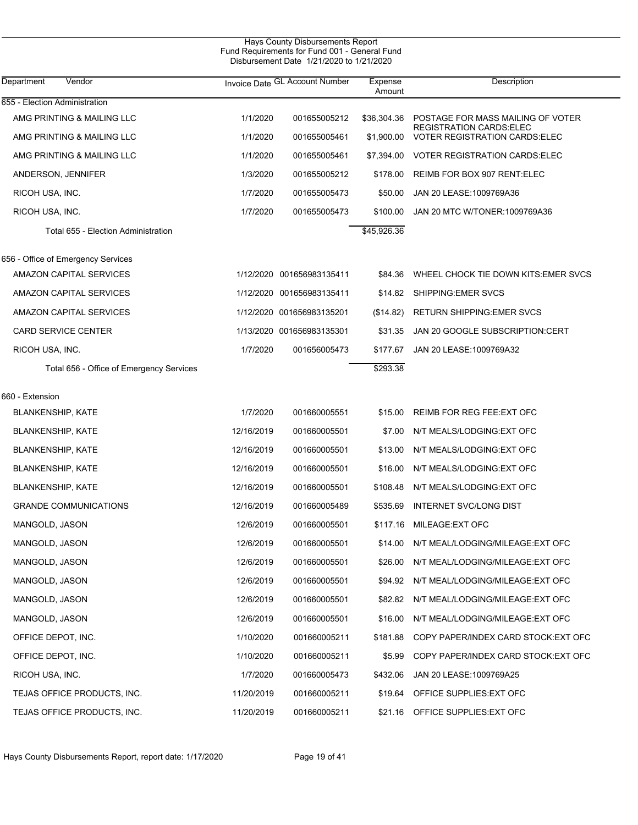|                                          |            | Hays County Disbursements Report<br>Fund Requirements for Fund 001 - General Fund<br>Disbursement Date 1/21/2020 to 1/21/2020 |             |                                                                     |  |
|------------------------------------------|------------|-------------------------------------------------------------------------------------------------------------------------------|-------------|---------------------------------------------------------------------|--|
| Vendor<br>Department                     |            | Invoice Date GL Account Number                                                                                                |             | Description                                                         |  |
| 655 - Election Administration            |            |                                                                                                                               |             |                                                                     |  |
| AMG PRINTING & MAILING LLC               | 1/1/2020   | 001655005212                                                                                                                  | \$36,304.36 | POSTAGE FOR MASS MAILING OF VOTER<br><b>REGISTRATION CARDS:ELEC</b> |  |
| AMG PRINTING & MAILING LLC               | 1/1/2020   | 001655005461                                                                                                                  | \$1,900.00  | <b>VOTER REGISTRATION CARDS: ELEC</b>                               |  |
| AMG PRINTING & MAILING LLC               | 1/1/2020   | 001655005461                                                                                                                  | \$7,394.00  | <b>VOTER REGISTRATION CARDS:ELEC</b>                                |  |
| ANDERSON, JENNIFER                       | 1/3/2020   | 001655005212                                                                                                                  | \$178.00    | REIMB FOR BOX 907 RENT: ELEC                                        |  |
| RICOH USA, INC.                          | 1/7/2020   | 001655005473                                                                                                                  | \$50.00     | JAN 20 LEASE: 1009769A36                                            |  |
| RICOH USA, INC.                          | 1/7/2020   | 001655005473                                                                                                                  | \$100.00    | JAN 20 MTC W/TONER: 1009769A36                                      |  |
| Total 655 - Election Administration      |            |                                                                                                                               | \$45,926.36 |                                                                     |  |
| 656 - Office of Emergency Services       |            |                                                                                                                               |             |                                                                     |  |
| AMAZON CAPITAL SERVICES                  |            | 1/12/2020 001656983135411                                                                                                     | \$84.36     | WHEEL CHOCK TIE DOWN KITS: EMER SVCS                                |  |
| AMAZON CAPITAL SERVICES                  |            | 1/12/2020 001656983135411                                                                                                     | \$14.82     | SHIPPING: EMER SVCS                                                 |  |
| AMAZON CAPITAL SERVICES                  |            | 1/12/2020 001656983135201                                                                                                     | (\$14.82)   | <b>RETURN SHIPPING: EMER SVCS</b>                                   |  |
| <b>CARD SERVICE CENTER</b>               |            | 1/13/2020 001656983135301                                                                                                     | \$31.35     | JAN 20 GOOGLE SUBSCRIPTION:CERT                                     |  |
| RICOH USA, INC.                          | 1/7/2020   | 001656005473                                                                                                                  | \$177.67    | JAN 20 LEASE: 1009769A32                                            |  |
| Total 656 - Office of Emergency Services |            |                                                                                                                               | \$293.38    |                                                                     |  |
| 660 - Extension                          |            |                                                                                                                               |             |                                                                     |  |
| <b>BLANKENSHIP, KATE</b>                 | 1/7/2020   | 001660005551                                                                                                                  | \$15.00     | REIMB FOR REG FEE: EXT OFC                                          |  |
| <b>BLANKENSHIP, KATE</b>                 | 12/16/2019 | 001660005501                                                                                                                  | \$7.00      | N/T MEALS/LODGING:EXT OFC                                           |  |
| <b>BLANKENSHIP, KATE</b>                 | 12/16/2019 | 001660005501                                                                                                                  | \$13.00     | N/T MEALS/LODGING:EXT OFC                                           |  |
| <b>BLANKENSHIP, KATE</b>                 | 12/16/2019 | 001660005501                                                                                                                  | \$16.00     | N/T MEALS/LODGING:EXT OFC                                           |  |
| <b>BLANKENSHIP, KATE</b>                 | 12/16/2019 | 001660005501                                                                                                                  | \$108.48    | N/T MEALS/LODGING:EXT OFC                                           |  |
| <b>GRANDE COMMUNICATIONS</b>             | 12/16/2019 | 001660005489                                                                                                                  |             | \$535.69 INTERNET SVC/LONG DIST                                     |  |
| MANGOLD, JASON                           | 12/6/2019  | 001660005501                                                                                                                  | \$117.16    | <b>MILEAGE:EXT OFC</b>                                              |  |
| MANGOLD, JASON                           | 12/6/2019  | 001660005501                                                                                                                  | \$14.00     | N/T MEAL/LODGING/MILEAGE: EXT OFC                                   |  |
| MANGOLD, JASON                           | 12/6/2019  | 001660005501                                                                                                                  | \$26.00     | N/T MEAL/LODGING/MILEAGE: EXT OFC                                   |  |
| MANGOLD, JASON                           | 12/6/2019  | 001660005501                                                                                                                  | \$94.92     | N/T MEAL/LODGING/MILEAGE: EXT OFC                                   |  |
| MANGOLD, JASON                           | 12/6/2019  | 001660005501                                                                                                                  | \$82.82     | N/T MEAL/LODGING/MILEAGE: EXT OFC                                   |  |
| MANGOLD, JASON                           | 12/6/2019  | 001660005501                                                                                                                  | \$16.00     | N/T MEAL/LODGING/MILEAGE:EXT OFC                                    |  |
| OFFICE DEPOT, INC.                       | 1/10/2020  | 001660005211                                                                                                                  | \$181.88    | COPY PAPER/INDEX CARD STOCK: EXT OFC                                |  |
| OFFICE DEPOT, INC.                       | 1/10/2020  | 001660005211                                                                                                                  | \$5.99      | COPY PAPER/INDEX CARD STOCK: EXT OFC                                |  |
| RICOH USA, INC.                          | 1/7/2020   | 001660005473                                                                                                                  | \$432.06    | JAN 20 LEASE: 1009769A25                                            |  |
| TEJAS OFFICE PRODUCTS, INC.              | 11/20/2019 | 001660005211                                                                                                                  | \$19.64     | OFFICE SUPPLIES: EXT OFC                                            |  |
| TEJAS OFFICE PRODUCTS, INC.              | 11/20/2019 | 001660005211                                                                                                                  | \$21.16     | OFFICE SUPPLIES: EXT OFC                                            |  |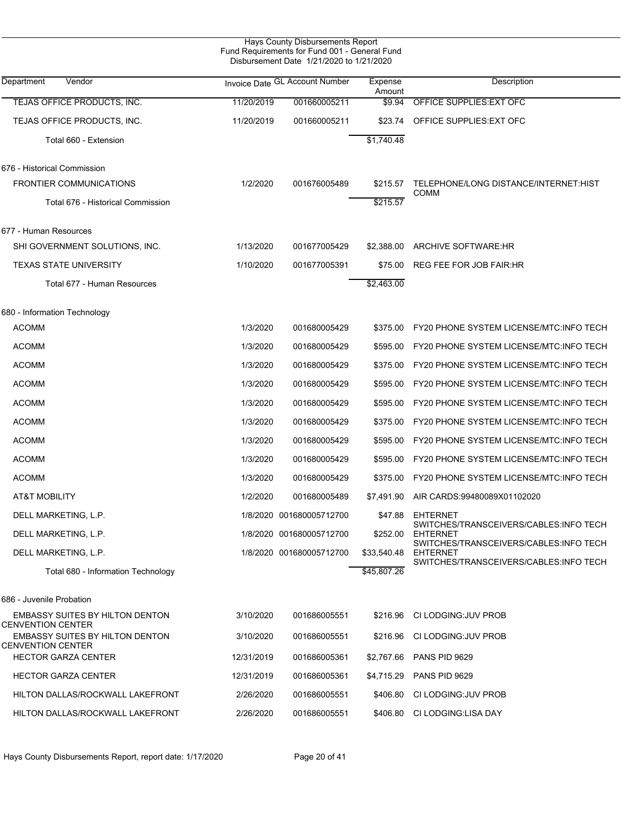| Hays County Disbursements Report<br>Fund Requirements for Fund 001 - General Fund<br>Disbursement Date 1/21/2020 to 1/21/2020 |            |                                |                   |                                                                                                     |  |  |  |
|-------------------------------------------------------------------------------------------------------------------------------|------------|--------------------------------|-------------------|-----------------------------------------------------------------------------------------------------|--|--|--|
| Department<br>Vendor                                                                                                          |            | Invoice Date GL Account Number | Expense<br>Amount | Description                                                                                         |  |  |  |
| TEJAS OFFICE PRODUCTS, INC.                                                                                                   | 11/20/2019 | 001660005211                   | \$9.94            | OFFICE SUPPLIES: EXT OFC                                                                            |  |  |  |
| TEJAS OFFICE PRODUCTS, INC.                                                                                                   | 11/20/2019 | 001660005211                   | \$23.74           | OFFICE SUPPLIES: EXT OFC                                                                            |  |  |  |
| Total 660 - Extension                                                                                                         |            |                                | \$1,740.48        |                                                                                                     |  |  |  |
| 676 - Historical Commission                                                                                                   |            |                                |                   |                                                                                                     |  |  |  |
| <b>FRONTIER COMMUNICATIONS</b>                                                                                                | 1/2/2020   | 001676005489                   | \$215.57          | TELEPHONE/LONG DISTANCE/INTERNET:HIST<br><b>COMM</b>                                                |  |  |  |
| Total 676 - Historical Commission                                                                                             |            |                                | \$215.57          |                                                                                                     |  |  |  |
| 677 - Human Resources                                                                                                         |            |                                |                   |                                                                                                     |  |  |  |
| SHI GOVERNMENT SOLUTIONS, INC.                                                                                                | 1/13/2020  | 001677005429                   | \$2,388.00        | <b>ARCHIVE SOFTWARE:HR</b>                                                                          |  |  |  |
| <b>TEXAS STATE UNIVERSITY</b>                                                                                                 | 1/10/2020  | 001677005391                   | \$75.00           | <b>REG FEE FOR JOB FAIR:HR</b>                                                                      |  |  |  |
| Total 677 - Human Resources                                                                                                   |            |                                | \$2,463.00        |                                                                                                     |  |  |  |
| 680 - Information Technology                                                                                                  |            |                                |                   |                                                                                                     |  |  |  |
| <b>ACOMM</b>                                                                                                                  | 1/3/2020   | 001680005429                   | \$375.00          | <b>FY20 PHONE SYSTEM LICENSE/MTC:INFO TECH</b>                                                      |  |  |  |
| <b>ACOMM</b>                                                                                                                  | 1/3/2020   | 001680005429                   | \$595.00          | <b>FY20 PHONE SYSTEM LICENSE/MTC:INFO TECH</b>                                                      |  |  |  |
| <b>ACOMM</b>                                                                                                                  | 1/3/2020   | 001680005429                   | \$375.00          | <b>FY20 PHONE SYSTEM LICENSE/MTC:INFO TECH</b>                                                      |  |  |  |
| <b>ACOMM</b>                                                                                                                  | 1/3/2020   | 001680005429                   | \$595.00          | <b>FY20 PHONE SYSTEM LICENSE/MTC:INFO TECH</b>                                                      |  |  |  |
| <b>ACOMM</b>                                                                                                                  | 1/3/2020   | 001680005429                   | \$595.00          | FY20 PHONE SYSTEM LICENSE/MTC: INFO TECH                                                            |  |  |  |
| <b>ACOMM</b>                                                                                                                  | 1/3/2020   | 001680005429                   | \$375.00          | <b>FY20 PHONE SYSTEM LICENSE/MTC:INFO TECH</b>                                                      |  |  |  |
| <b>ACOMM</b>                                                                                                                  | 1/3/2020   | 001680005429                   | \$595.00          | FY20 PHONE SYSTEM LICENSE/MTC: INFO TECH                                                            |  |  |  |
| <b>ACOMM</b>                                                                                                                  | 1/3/2020   | 001680005429                   | \$595.00          | FY20 PHONE SYSTEM LICENSE/MTC: INFO TECH                                                            |  |  |  |
| <b>ACOMM</b>                                                                                                                  | 1/3/2020   | 001680005429                   | \$375.00          | FY20 PHONE SYSTEM LICENSE/MTC: INFO TECH                                                            |  |  |  |
| AT&T MOBILITY                                                                                                                 | 1/2/2020   | 001680005489                   | \$7,491.90        | AIR CARDS:99480089X01102020                                                                         |  |  |  |
| DELL MARKETING, L.P.                                                                                                          |            | 1/8/2020 001680005712700       | \$47.88           | EHTERNET                                                                                            |  |  |  |
| DELL MARKETING, L.P.                                                                                                          |            | 1/8/2020 001680005712700       | \$252.00          | SWITCHES/TRANSCEIVERS/CABLES:INFO TECH<br><b>EHTERNET</b><br>SWITCHES/TRANSCEIVERS/CABLES:INFO TECH |  |  |  |
| DELL MARKETING, L.P.                                                                                                          |            | 1/8/2020 001680005712700       | \$33,540.48       | <b>EHTERNET</b><br>SWITCHES/TRANSCEIVERS/CABLES:INFO TECH                                           |  |  |  |
| Total 680 - Information Technology                                                                                            |            |                                | \$45,807.26       |                                                                                                     |  |  |  |
| 686 - Juvenile Probation                                                                                                      |            |                                |                   |                                                                                                     |  |  |  |
| EMBASSY SUITES BY HILTON DENTON<br><b>CENVENTION CENTER</b>                                                                   | 3/10/2020  | 001686005551                   | \$216.96          | CI LODGING: JUV PROB                                                                                |  |  |  |
| EMBASSY SUITES BY HILTON DENTON<br><b>CENVENTION CENTER</b>                                                                   | 3/10/2020  | 001686005551                   | \$216.96          | CI LODGING: JUV PROB                                                                                |  |  |  |
| <b>HECTOR GARZA CENTER</b>                                                                                                    | 12/31/2019 | 001686005361                   | \$2,767.66        | PANS PID 9629                                                                                       |  |  |  |
| <b>HECTOR GARZA CENTER</b>                                                                                                    | 12/31/2019 | 001686005361                   | \$4,715.29        | PANS PID 9629                                                                                       |  |  |  |
| HILTON DALLAS/ROCKWALL LAKEFRONT                                                                                              | 2/26/2020  | 001686005551                   | \$406.80          | CI LODGING: JUV PROB                                                                                |  |  |  |
| HILTON DALLAS/ROCKWALL LAKEFRONT                                                                                              | 2/26/2020  | 001686005551                   | \$406.80          | CI LODGING:LISA DAY                                                                                 |  |  |  |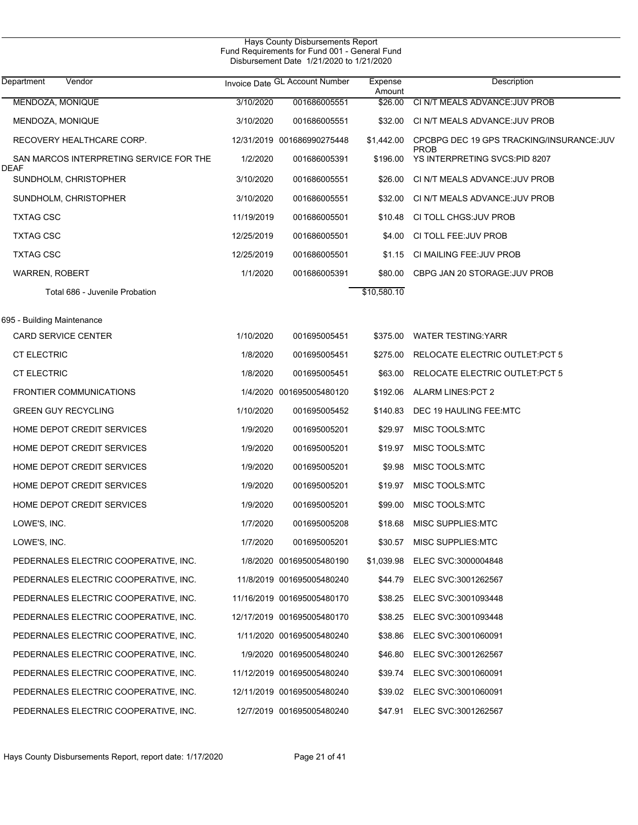| Department<br>Vendor                            |            | Invoice Date GL Account Number | Expense<br>Amount | Description                                              |
|-------------------------------------------------|------------|--------------------------------|-------------------|----------------------------------------------------------|
| MENDOZA, MONIQUE                                | 3/10/2020  | 001686005551                   | \$26.00           | CI N/T MEALS ADVANCE: JUV PROB                           |
| MENDOZA, MONIQUE                                | 3/10/2020  | 001686005551                   | \$32.00           | CI N/T MEALS ADVANCE: JUV PROB                           |
| RECOVERY HEALTHCARE CORP.                       |            | 12/31/2019 001686990275448     | \$1,442.00        | CPCBPG DEC 19 GPS TRACKING/INSURANCE: JUV<br><b>PROB</b> |
| SAN MARCOS INTERPRETING SERVICE FOR THE<br>DEAF | 1/2/2020   | 001686005391                   | \$196.00          | YS INTERPRETING SVCS:PID 8207                            |
| SUNDHOLM, CHRISTOPHER                           | 3/10/2020  | 001686005551                   | \$26.00           | CI N/T MEALS ADVANCE: JUV PROB                           |
| SUNDHOLM, CHRISTOPHER                           | 3/10/2020  | 001686005551                   | \$32.00           | CI N/T MEALS ADVANCE: JUV PROB                           |
| <b>TXTAG CSC</b>                                | 11/19/2019 | 001686005501                   | \$10.48           | CI TOLL CHGS: JUV PROB                                   |
| <b>TXTAG CSC</b>                                | 12/25/2019 | 001686005501                   | \$4.00            | CI TOLL FEE: JUV PROB                                    |
| <b>TXTAG CSC</b>                                | 12/25/2019 | 001686005501                   | \$1.15            | CI MAILING FEE: JUV PROB                                 |
| <b>WARREN, ROBERT</b>                           | 1/1/2020   | 001686005391                   | \$80.00           | CBPG JAN 20 STORAGE: JUV PROB                            |
| Total 686 - Juvenile Probation                  |            |                                | \$10,580.10       |                                                          |
| 695 - Building Maintenance                      |            |                                |                   |                                                          |
| <b>CARD SERVICE CENTER</b>                      | 1/10/2020  | 001695005451                   |                   | \$375.00 WATER TESTING: YARR                             |
| <b>CT ELECTRIC</b>                              | 1/8/2020   | 001695005451                   | \$275.00          | RELOCATE ELECTRIC OUTLET: PCT 5                          |
| <b>CT ELECTRIC</b>                              | 1/8/2020   | 001695005451                   | \$63.00           | RELOCATE ELECTRIC OUTLET: PCT 5                          |
| <b>FRONTIER COMMUNICATIONS</b>                  |            | 1/4/2020 001695005480120       |                   | \$192.06 ALARM LINES: PCT 2                              |
| <b>GREEN GUY RECYCLING</b>                      | 1/10/2020  | 001695005452                   | \$140.83          | DEC 19 HAULING FEE:MTC                                   |
| HOME DEPOT CREDIT SERVICES                      | 1/9/2020   | 001695005201                   | \$29.97           | MISC TOOLS:MTC                                           |
| HOME DEPOT CREDIT SERVICES                      | 1/9/2020   | 001695005201                   | \$19.97           | MISC TOOLS:MTC                                           |
| HOME DEPOT CREDIT SERVICES                      | 1/9/2020   | 001695005201                   | \$9.98            | MISC TOOLS:MTC                                           |
| HOME DEPOT CREDIT SERVICES                      | 1/9/2020   | 001695005201                   | \$19.97           | MISC TOOLS:MTC                                           |
| HOME DEPOT CREDIT SERVICES                      | 1/9/2020   | 001695005201                   | \$99.00           | MISC TOOLS:MTC                                           |
| LOWE'S, INC.                                    | 1/7/2020   | 001695005208                   | \$18.68           | <b>MISC SUPPLIES:MTC</b>                                 |
| LOWE'S, INC.                                    | 1/7/2020   | 001695005201                   |                   | \$30.57 MISC SUPPLIES:MTC                                |
| PEDERNALES ELECTRIC COOPERATIVE, INC.           |            | 1/8/2020 001695005480190       |                   | \$1,039.98 ELEC SVC:3000004848                           |
| PEDERNALES ELECTRIC COOPERATIVE, INC.           |            | 11/8/2019 001695005480240      |                   | \$44.79 ELEC SVC:3001262567                              |
| PEDERNALES ELECTRIC COOPERATIVE, INC.           |            | 11/16/2019 001695005480170     |                   | \$38.25 ELEC SVC:3001093448                              |
| PEDERNALES ELECTRIC COOPERATIVE, INC.           |            | 12/17/2019 001695005480170     |                   | \$38.25 ELEC SVC:3001093448                              |
| PEDERNALES ELECTRIC COOPERATIVE, INC.           |            | 1/11/2020 001695005480240      |                   | \$38.86 ELEC SVC:3001060091                              |
| PEDERNALES ELECTRIC COOPERATIVE, INC.           |            | 1/9/2020 001695005480240       |                   | \$46.80 ELEC SVC:3001262567                              |
| PEDERNALES ELECTRIC COOPERATIVE, INC.           |            | 11/12/2019 001695005480240     |                   | \$39.74 ELEC SVC:3001060091                              |
| PEDERNALES ELECTRIC COOPERATIVE, INC.           |            | 12/11/2019 001695005480240     |                   | \$39.02 ELEC SVC:3001060091                              |
| PEDERNALES ELECTRIC COOPERATIVE, INC.           |            | 12/7/2019 001695005480240      |                   | \$47.91 ELEC SVC:3001262567                              |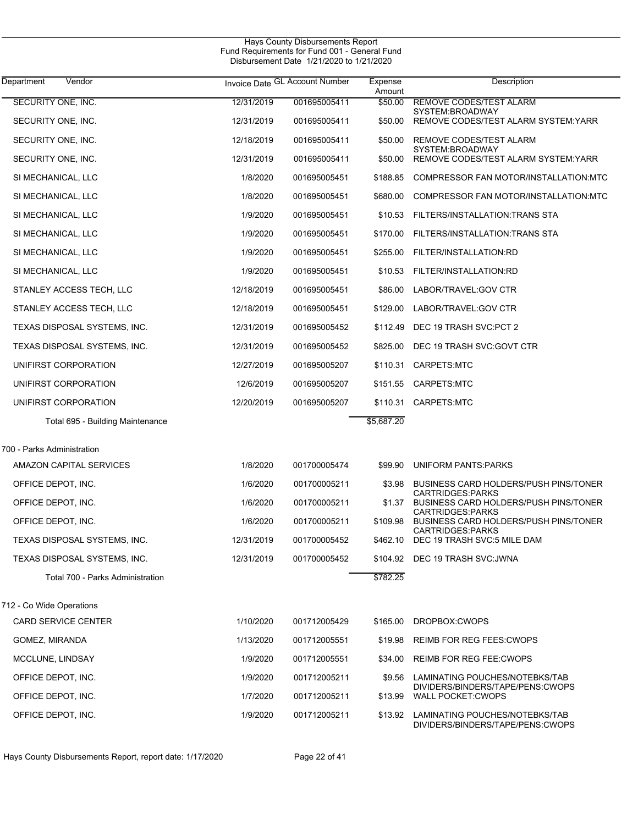| Vendor<br>Department                                   |            | Invoice Date GL Account Number |                   | Description                                                      |  |
|--------------------------------------------------------|------------|--------------------------------|-------------------|------------------------------------------------------------------|--|
| SECURITY ONE, INC.                                     | 12/31/2019 | 001695005411                   | Amount<br>\$50.00 | REMOVE CODES/TEST ALARM                                          |  |
| SECURITY ONE, INC.                                     | 12/31/2019 | 001695005411                   | \$50.00           | SYSTEM:BROADWAY<br>REMOVE CODES/TEST ALARM SYSTEM: YARR          |  |
| SECURITY ONE, INC.                                     | 12/18/2019 | 001695005411                   | \$50.00           | REMOVE CODES/TEST ALARM                                          |  |
| SECURITY ONE, INC.                                     | 12/31/2019 | 001695005411                   | \$50.00           | SYSTEM:BROADWAY<br>REMOVE CODES/TEST ALARM SYSTEM: YARR          |  |
| SI MECHANICAL, LLC                                     | 1/8/2020   | 001695005451                   | \$188.85          | COMPRESSOR FAN MOTOR/INSTALLATION:MTC                            |  |
| SI MECHANICAL, LLC                                     | 1/8/2020   | 001695005451                   | \$680.00          | COMPRESSOR FAN MOTOR/INSTALLATION:MTC                            |  |
| SI MECHANICAL, LLC                                     | 1/9/2020   | 001695005451                   | \$10.53           | FILTERS/INSTALLATION:TRANS STA                                   |  |
| SI MECHANICAL, LLC                                     | 1/9/2020   | 001695005451                   | \$170.00          | FILTERS/INSTALLATION:TRANS STA                                   |  |
| SI MECHANICAL, LLC                                     | 1/9/2020   | 001695005451                   | \$255.00          | FILTER/INSTALLATION:RD                                           |  |
| SI MECHANICAL, LLC                                     | 1/9/2020   | 001695005451                   | \$10.53           | FILTER/INSTALLATION:RD                                           |  |
| STANLEY ACCESS TECH, LLC                               | 12/18/2019 | 001695005451                   | \$86.00           | LABOR/TRAVEL: GOV CTR                                            |  |
| STANLEY ACCESS TECH, LLC                               | 12/18/2019 | 001695005451                   | \$129.00          | LABOR/TRAVEL: GOV CTR                                            |  |
| TEXAS DISPOSAL SYSTEMS, INC.                           | 12/31/2019 | 001695005452                   | \$112.49          | DEC 19 TRASH SVC:PCT 2                                           |  |
| TEXAS DISPOSAL SYSTEMS, INC.                           | 12/31/2019 | 001695005452                   | \$825.00          | DEC 19 TRASH SVC:GOVT CTR                                        |  |
| UNIFIRST CORPORATION                                   | 12/27/2019 | 001695005207                   | \$110.31          | CARPETS:MTC                                                      |  |
| UNIFIRST CORPORATION                                   | 12/6/2019  | 001695005207                   |                   | \$151.55 CARPETS:MTC                                             |  |
| UNIFIRST CORPORATION                                   | 12/20/2019 | 001695005207                   | \$110.31          | CARPETS:MTC                                                      |  |
| Total 695 - Building Maintenance                       |            |                                | \$5,687.20        |                                                                  |  |
| 700 - Parks Administration                             |            |                                |                   |                                                                  |  |
| AMAZON CAPITAL SERVICES                                | 1/8/2020   | 001700005474                   | \$99.90           | <b>UNIFORM PANTS: PARKS</b>                                      |  |
| OFFICE DEPOT, INC.                                     | 1/6/2020   | 001700005211                   | \$3.98            | <b>BUSINESS CARD HOLDERS/PUSH PINS/TONER</b>                     |  |
| OFFICE DEPOT, INC.                                     | 1/6/2020   | 001700005211                   | \$1.37            | <b>CARTRIDGES:PARKS</b><br>BUSINESS CARD HOLDERS/PUSH PINS/TONER |  |
| OFFICE DEPOT, INC.                                     | 1/6/2020   | 001700005211                   | \$109.98          | <b>CARTRIDGES:PARKS</b><br>BUSINESS CARD HOLDERS/PUSH PINS/TONER |  |
| TEXAS DISPOSAL SYSTEMS, INC.                           | 12/31/2019 | 001700005452                   | \$462.10          | <b>CARTRIDGES:PARKS</b><br>DEC 19 TRASH SVC:5 MILE DAM           |  |
| TEXAS DISPOSAL SYSTEMS, INC.                           | 12/31/2019 | 001700005452                   | \$104.92          | DEC 19 TRASH SVC: JWNA                                           |  |
| Total 700 - Parks Administration                       |            |                                | \$782.25          |                                                                  |  |
|                                                        |            |                                |                   |                                                                  |  |
| 712 - Co Wide Operations<br><b>CARD SERVICE CENTER</b> | 1/10/2020  | 001712005429                   | \$165.00          | DROPBOX:CWOPS                                                    |  |
| GOMEZ, MIRANDA                                         | 1/13/2020  | 001712005551                   | \$19.98           | <b>REIMB FOR REG FEES: CWOPS</b>                                 |  |
| MCCLUNE, LINDSAY                                       | 1/9/2020   | 001712005551                   | \$34.00           | <b>REIMB FOR REG FEE: CWOPS</b>                                  |  |
| OFFICE DEPOT, INC.                                     | 1/9/2020   | 001712005211                   | \$9.56            | LAMINATING POUCHES/NOTEBKS/TAB                                   |  |
| OFFICE DEPOT, INC.                                     | 1/7/2020   | 001712005211                   | \$13.99           | DIVIDERS/BINDERS/TAPE/PENS:CWOPS<br><b>WALL POCKET:CWOPS</b>     |  |
| OFFICE DEPOT, INC.                                     | 1/9/2020   | 001712005211                   | \$13.92           | LAMINATING POUCHES/NOTEBKS/TAB                                   |  |
|                                                        |            |                                |                   | DIVIDERS/BINDERS/TAPE/PENS:CWOPS                                 |  |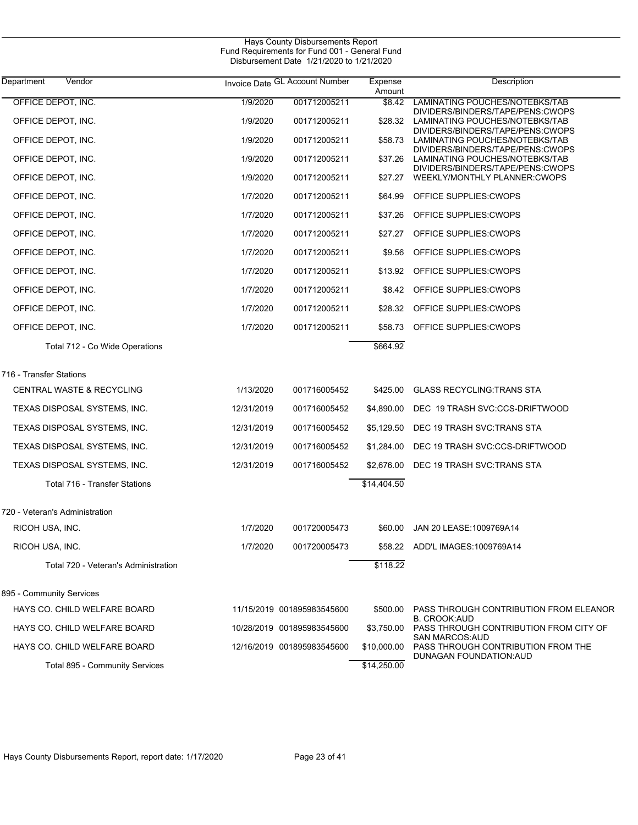| Department<br>Vendor                 |            | Invoice Date GL Account Number | Expense<br>Amount | Description                                                                                            |
|--------------------------------------|------------|--------------------------------|-------------------|--------------------------------------------------------------------------------------------------------|
| OFFICE DEPOT, INC.                   | 1/9/2020   | 001712005211                   | \$8.42            | LAMINATING POUCHES/NOTEBKS/TAB<br>DIVIDERS/BINDERS/TAPE/PENS:CWOPS                                     |
| OFFICE DEPOT, INC.                   | 1/9/2020   | 001712005211                   | \$28.32           | LAMINATING POUCHES/NOTEBKS/TAB                                                                         |
| OFFICE DEPOT, INC.                   | 1/9/2020   | 001712005211                   | \$58.73           | DIVIDERS/BINDERS/TAPE/PENS:CWOPS<br>LAMINATING POUCHES/NOTEBKS/TAB                                     |
| OFFICE DEPOT, INC.                   | 1/9/2020   | 001712005211                   | \$37.26           | DIVIDERS/BINDERS/TAPE/PENS:CWOPS<br>LAMINATING POUCHES/NOTEBKS/TAB<br>DIVIDERS/BINDERS/TAPE/PENS:CWOPS |
| OFFICE DEPOT, INC.                   | 1/9/2020   | 001712005211                   | \$27.27           | WEEKLY/MONTHLY PLANNER:CWOPS                                                                           |
| OFFICE DEPOT, INC.                   | 1/7/2020   | 001712005211                   | \$64.99           | OFFICE SUPPLIES: CWOPS                                                                                 |
| OFFICE DEPOT, INC.                   | 1/7/2020   | 001712005211                   | \$37.26           | OFFICE SUPPLIES: CWOPS                                                                                 |
| OFFICE DEPOT, INC.                   | 1/7/2020   | 001712005211                   | \$27.27           | OFFICE SUPPLIES: CWOPS                                                                                 |
| OFFICE DEPOT, INC.                   | 1/7/2020   | 001712005211                   | \$9.56            | OFFICE SUPPLIES: CWOPS                                                                                 |
| OFFICE DEPOT, INC.                   | 1/7/2020   | 001712005211                   | \$13.92           | OFFICE SUPPLIES: CWOPS                                                                                 |
| OFFICE DEPOT, INC.                   | 1/7/2020   | 001712005211                   |                   | \$8.42 OFFICE SUPPLIES:CWOPS                                                                           |
| OFFICE DEPOT, INC.                   | 1/7/2020   | 001712005211                   |                   | \$28.32 OFFICE SUPPLIES:CWOPS                                                                          |
| OFFICE DEPOT, INC.                   | 1/7/2020   | 001712005211                   | \$58.73           | OFFICE SUPPLIES: CWOPS                                                                                 |
| Total 712 - Co Wide Operations       |            |                                | \$664.92          |                                                                                                        |
| 716 - Transfer Stations              |            |                                |                   |                                                                                                        |
| CENTRAL WASTE & RECYCLING            | 1/13/2020  | 001716005452                   | \$425.00          | <b>GLASS RECYCLING: TRANS STA</b>                                                                      |
| TEXAS DISPOSAL SYSTEMS, INC.         | 12/31/2019 | 001716005452                   | \$4,890.00        | DEC 19 TRASH SVC:CCS-DRIFTWOOD                                                                         |
| TEXAS DISPOSAL SYSTEMS, INC.         | 12/31/2019 | 001716005452                   | \$5,129.50        | DEC 19 TRASH SVC:TRANS STA                                                                             |
| TEXAS DISPOSAL SYSTEMS, INC.         | 12/31/2019 | 001716005452                   | \$1,284.00        | DEC 19 TRASH SVC:CCS-DRIFTWOOD                                                                         |
| TEXAS DISPOSAL SYSTEMS, INC.         | 12/31/2019 | 001716005452                   | \$2,676.00        | DEC 19 TRASH SVC:TRANS STA                                                                             |
| Total 716 - Transfer Stations        |            |                                | \$14,404.50       |                                                                                                        |
| 720 - Veteran's Administration       |            |                                |                   |                                                                                                        |
| RICOH USA, INC.                      | 1/7/2020   | 001720005473                   | \$60.00           | JAN 20 LEASE: 1009769A14                                                                               |
| RICOH USA, INC.                      | 1/7/2020   | 001720005473                   |                   | \$58.22 ADD'L IMAGES:1009769A14                                                                        |
| Total 720 - Veteran's Administration |            |                                | \$118.22          |                                                                                                        |
| 895 - Community Services             |            |                                |                   |                                                                                                        |
| HAYS CO. CHILD WELFARE BOARD         |            | 11/15/2019 001895983545600     | \$500.00          | PASS THROUGH CONTRIBUTION FROM ELEANOR<br><b>B. CROOK:AUD</b>                                          |
| HAYS CO. CHILD WELFARE BOARD         |            | 10/28/2019 001895983545600     | \$3,750.00        | PASS THROUGH CONTRIBUTION FROM CITY OF<br><b>SAN MARCOS: AUD</b>                                       |
| HAYS CO. CHILD WELFARE BOARD         |            | 12/16/2019 001895983545600     | \$10,000.00       | PASS THROUGH CONTRIBUTION FROM THE<br>DUNAGAN FOUNDATION: AUD                                          |
| Total 895 - Community Services       |            |                                | \$14,250.00       |                                                                                                        |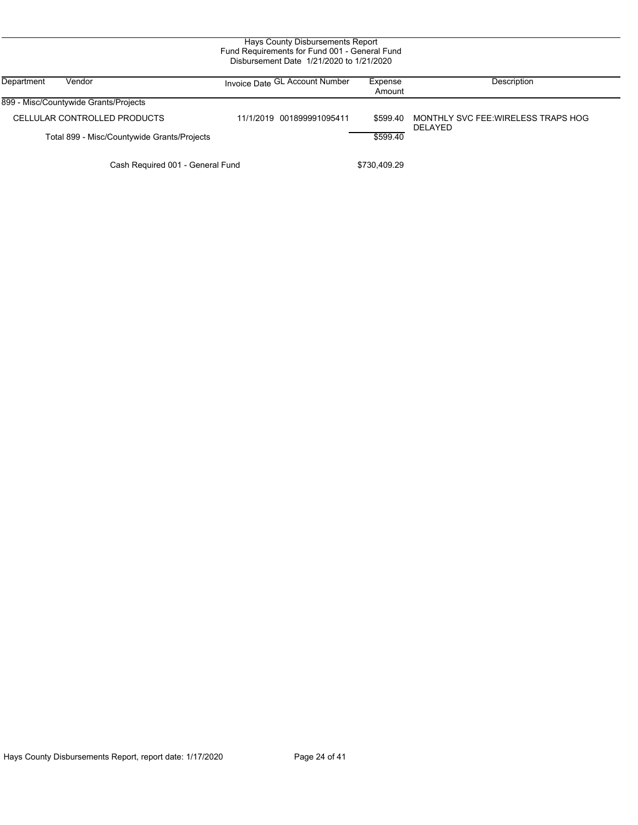| Hays County Disbursements Report<br>Fund Requirements for Fund 001 - General Fund<br>Disbursement Date 1/21/2020 to 1/21/2020 |                                             |                                |                   |                                                |  |  |  |
|-------------------------------------------------------------------------------------------------------------------------------|---------------------------------------------|--------------------------------|-------------------|------------------------------------------------|--|--|--|
| Department                                                                                                                    | Vendor                                      | Invoice Date GL Account Number | Expense<br>Amount | Description                                    |  |  |  |
|                                                                                                                               | 899 - Misc/Countywide Grants/Projects       |                                |                   |                                                |  |  |  |
|                                                                                                                               | CELLULAR CONTROLLED PRODUCTS                | 11/1/2019 001899991095411      | \$599.40          | MONTHLY SVC FEE: WIRELESS TRAPS HOG<br>DELAYED |  |  |  |
|                                                                                                                               | Total 899 - Misc/Countywide Grants/Projects |                                | \$599.40          |                                                |  |  |  |
|                                                                                                                               | Cash Required 001 - General Fund            |                                | \$730,409.29      |                                                |  |  |  |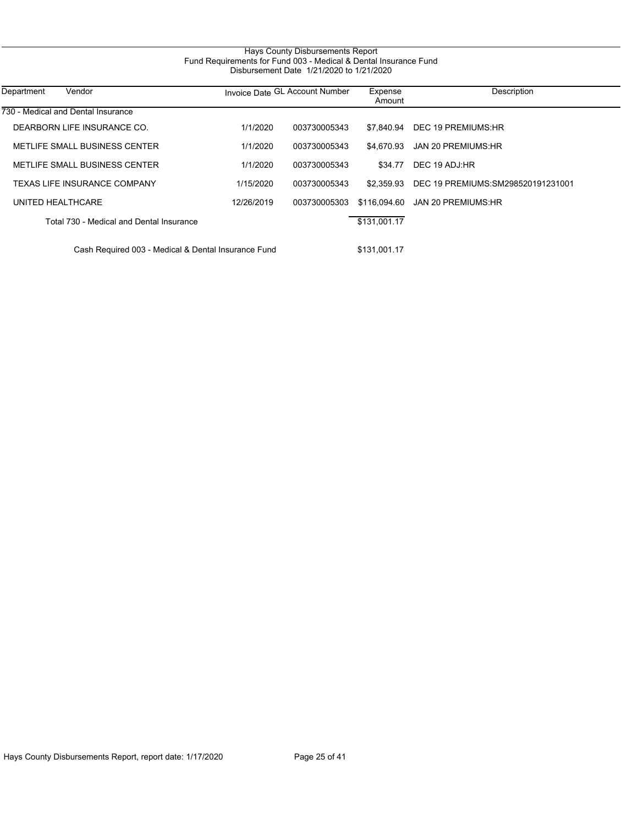# Hays County Disbursements Report Fund Requirements for Fund 003 - Medical & Dental Insurance Fund Disbursement Date 1/21/2020 to 1/21/2020

| Department<br>Vendor                                |            | Invoice Date GL Account Number | Expense<br>Amount | Description                       |
|-----------------------------------------------------|------------|--------------------------------|-------------------|-----------------------------------|
| 730 - Medical and Dental Insurance                  |            |                                |                   |                                   |
| DEARBORN LIFE INSURANCE CO.                         | 1/1/2020   | 003730005343                   | \$7.840.94        | DEC 19 PREMIUMS:HR                |
| METLIFE SMALL BUSINESS CENTER                       | 1/1/2020   | 003730005343                   | \$4.670.93        | JAN 20 PREMIUMS:HR                |
| METLIFE SMALL BUSINESS CENTER                       | 1/1/2020   | 003730005343                   | \$34.77           | DEC 19 ADJ:HR                     |
| <b>TEXAS LIFE INSURANCE COMPANY</b>                 | 1/15/2020  | 003730005343                   | \$2.359.93        | DEC 19 PREMIUMS:SM298520191231001 |
| UNITED HEALTHCARE                                   | 12/26/2019 | 003730005303                   | \$116.094.60      | JAN 20 PREMIUMS:HR                |
| Total 730 - Medical and Dental Insurance            |            |                                | \$131.001.17      |                                   |
| Cash Required 003 - Medical & Dental Insurance Fund |            |                                | \$131.001.17      |                                   |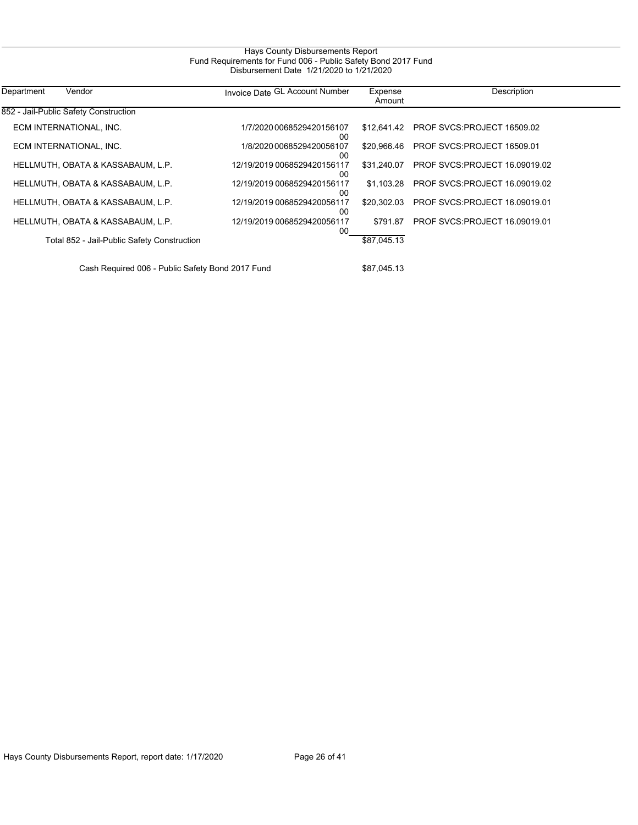| Hays County Disbursements Report                              |  |
|---------------------------------------------------------------|--|
| Fund Requirements for Fund 006 - Public Safety Bond 2017 Fund |  |
| Disbursement Date 1/21/2020 to 1/21/2020                      |  |

| Department<br>Vendor                             | Invoice Date GL Account Number    | Expense<br>Amount | Description                          |
|--------------------------------------------------|-----------------------------------|-------------------|--------------------------------------|
| 852 - Jail-Public Safety Construction            |                                   |                   |                                      |
| ECM INTERNATIONAL, INC.                          | 1/7/2020 0068529420156107<br>00   | \$12.641.42       | PROF SVCS:PROJECT 16509.02           |
| ECM INTERNATIONAL, INC.                          | 1/8/2020 0068529420056107<br>00   | \$20.966.46       | PROF SVCS:PROJECT 16509.01           |
| HELLMUTH, OBATA & KASSABAUM, L.P.                | 12/19/2019 0068529420156117<br>00 | \$31,240.07       | <b>PROF SVCS:PROJECT 16.09019.02</b> |
| HELLMUTH, OBATA & KASSABAUM, L.P.                | 12/19/2019 0068529420156117<br>00 | \$1.103.28        | PROF SVCS:PROJECT 16.09019.02        |
| HELLMUTH, OBATA & KASSABAUM, L.P.                | 12/19/2019 0068529420056117<br>00 | \$20,302.03       | PROF SVCS:PROJECT 16.09019.01        |
| HELLMUTH, OBATA & KASSABAUM, L.P.                | 12/19/2019 0068529420056117<br>00 | \$791.87          | <b>PROF SVCS:PROJECT 16.09019.01</b> |
| Total 852 - Jail-Public Safety Construction      |                                   | \$87,045.13       |                                      |
| Cash Required 006 - Public Safety Bond 2017 Fund |                                   | \$87.045.13       |                                      |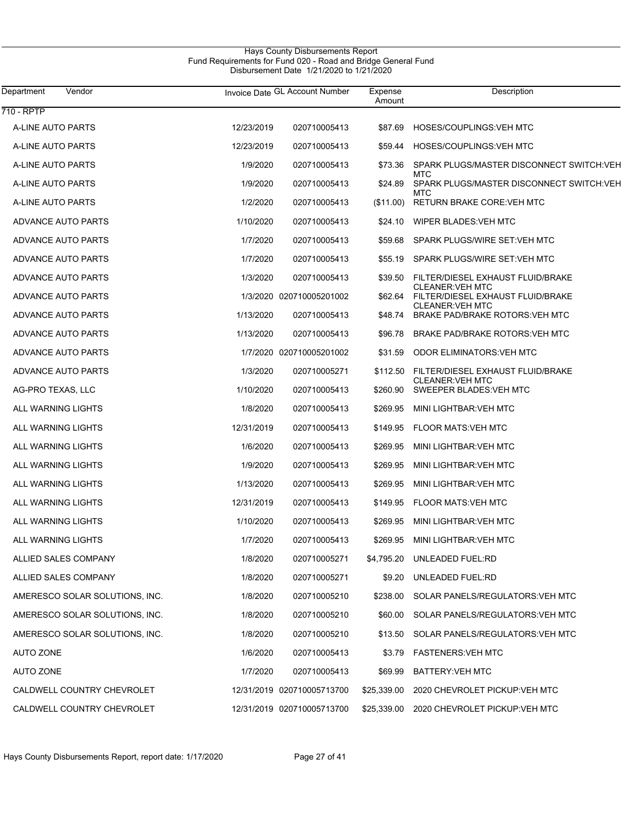| Department<br>Vendor           |            | Invoice Date GL Account Number | Expense<br>Amount | Description                                                |
|--------------------------------|------------|--------------------------------|-------------------|------------------------------------------------------------|
| 710 - RPTP                     |            |                                |                   |                                                            |
| A-LINE AUTO PARTS              | 12/23/2019 | 020710005413                   | \$87.69           | HOSES/COUPLINGS: VEH MTC                                   |
| A-LINE AUTO PARTS              | 12/23/2019 | 020710005413                   | \$59.44           | HOSES/COUPLINGS: VEH MTC                                   |
| A-LINE AUTO PARTS              | 1/9/2020   | 020710005413                   | \$73.36           | SPARK PLUGS/MASTER DISCONNECT SWITCH:VEH<br><b>MTC</b>     |
| A-LINE AUTO PARTS              | 1/9/2020   | 020710005413                   | \$24.89           | SPARK PLUGS/MASTER DISCONNECT SWITCH:VEH<br>MTC            |
| A-LINE AUTO PARTS              | 1/2/2020   | 020710005413                   | (\$11.00)         | <b>RETURN BRAKE CORE: VEH MTC</b>                          |
| ADVANCE AUTO PARTS             | 1/10/2020  | 020710005413                   | \$24.10           | WIPER BLADES: VEH MTC                                      |
| ADVANCE AUTO PARTS             | 1/7/2020   | 020710005413                   | \$59.68           | SPARK PLUGS/WIRE SET: VEH MTC                              |
| ADVANCE AUTO PARTS             | 1/7/2020   | 020710005413                   | \$55.19           | SPARK PLUGS/WIRE SET: VEH MTC                              |
| ADVANCE AUTO PARTS             | 1/3/2020   | 020710005413                   | \$39.50           | FILTER/DIESEL EXHAUST FLUID/BRAKE                          |
| ADVANCE AUTO PARTS             |            | 1/3/2020 020710005201002       | \$62.64           | CLEANER: VEH MTC<br>FILTER/DIESEL EXHAUST FLUID/BRAKE      |
| ADVANCE AUTO PARTS             | 1/13/2020  | 020710005413                   | \$48.74           | <b>CLEANER: VEH MTC</b><br>BRAKE PAD/BRAKE ROTORS: VEH MTC |
| <b>ADVANCE AUTO PARTS</b>      | 1/13/2020  | 020710005413                   | \$96.78           | <b>BRAKE PAD/BRAKE ROTORS: VEH MTC</b>                     |
| ADVANCE AUTO PARTS             |            | 1/7/2020 020710005201002       | \$31.59           | <b>ODOR ELIMINATORS: VEH MTC</b>                           |
| <b>ADVANCE AUTO PARTS</b>      | 1/3/2020   | 020710005271                   | \$112.50          | FILTER/DIESEL EXHAUST FLUID/BRAKE                          |
| AG-PRO TEXAS, LLC              | 1/10/2020  | 020710005413                   | \$260.90          | <b>CLEANER: VEH MTC</b><br>SWEEPER BLADES: VEH MTC         |
| ALL WARNING LIGHTS             | 1/8/2020   | 020710005413                   | \$269.95          | MINI LIGHTBAR: VEH MTC                                     |
| ALL WARNING LIGHTS             | 12/31/2019 | 020710005413                   | \$149.95          | <b>FLOOR MATS:VEH MTC</b>                                  |
| ALL WARNING LIGHTS             | 1/6/2020   | 020710005413                   | \$269.95          | MINI LIGHTBAR: VEH MTC                                     |
| ALL WARNING LIGHTS             | 1/9/2020   | 020710005413                   | \$269.95          | MINI LIGHTBAR: VEH MTC                                     |
| ALL WARNING LIGHTS             | 1/13/2020  | 020710005413                   | \$269.95          | MINI LIGHTBAR: VEH MTC                                     |
| ALL WARNING LIGHTS             | 12/31/2019 | 020710005413                   | \$149.95          | <b>FLOOR MATS:VEH MTC</b>                                  |
| ALL WARNING LIGHTS             | 1/10/2020  | 020710005413                   | \$269.95          | MINI LIGHTBAR: VEH MTC                                     |
| ALL WARNING LIGHTS             | 1/7/2020   | 020710005413                   | \$269.95          | MINI LIGHTBAR: VEH MTC                                     |
| ALLIED SALES COMPANY           | 1/8/2020   | 020710005271                   |                   | \$4,795.20 UNLEADED FUEL:RD                                |
| ALLIED SALES COMPANY           | 1/8/2020   | 020710005271                   |                   | \$9.20 UNLEADED FUEL:RD                                    |
| AMERESCO SOLAR SOLUTIONS, INC. | 1/8/2020   | 020710005210                   | \$238.00          | SOLAR PANELS/REGULATORS: VEH MTC                           |
| AMERESCO SOLAR SOLUTIONS, INC. | 1/8/2020   | 020710005210                   | \$60.00           | SOLAR PANELS/REGULATORS: VEH MTC                           |
| AMERESCO SOLAR SOLUTIONS, INC. | 1/8/2020   | 020710005210                   | \$13.50           | SOLAR PANELS/REGULATORS: VEH MTC                           |
| <b>AUTO ZONE</b>               | 1/6/2020   | 020710005413                   | \$3.79            | FASTENERS:VEH MTC                                          |
| <b>AUTO ZONE</b>               | 1/7/2020   | 020710005413                   | \$69.99           | <b>BATTERY:VEH MTC</b>                                     |
| CALDWELL COUNTRY CHEVROLET     |            | 12/31/2019 020710005713700     | \$25,339.00       | 2020 CHEVROLET PICKUP: VEH MTC                             |
| CALDWELL COUNTRY CHEVROLET     |            | 12/31/2019 020710005713700     |                   | \$25,339.00 2020 CHEVROLET PICKUP:VEH MTC                  |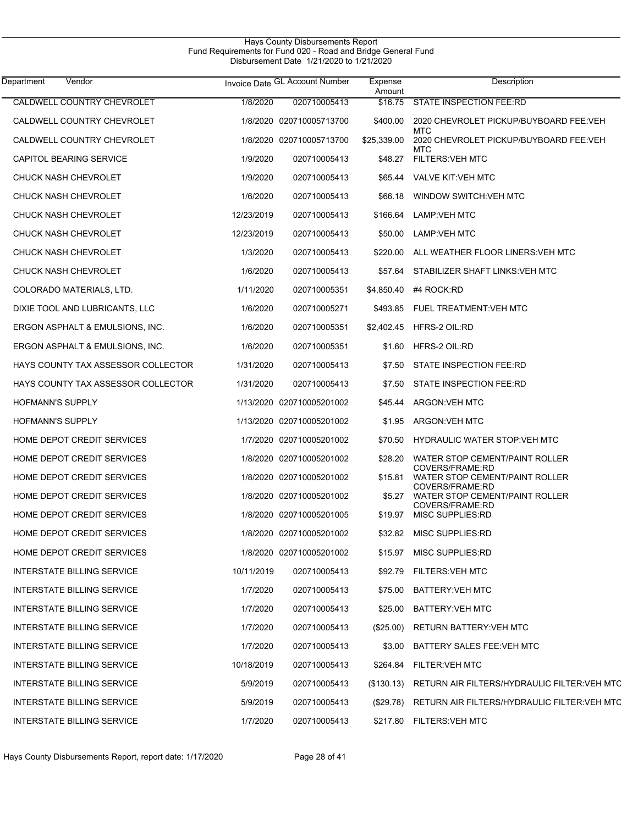| Department<br>Vendor               |            | Invoice Date GL Account Number | Expense<br>Amount | Description                                                          |
|------------------------------------|------------|--------------------------------|-------------------|----------------------------------------------------------------------|
| <b>CALDWELL COUNTRY CHEVROLET</b>  | 1/8/2020   | 020710005413                   | \$16.75           | <b>STATE INSPECTION FEE:RD</b>                                       |
| CALDWELL COUNTRY CHEVROLET         |            | 1/8/2020 020710005713700       | \$400.00          | 2020 CHEVROLET PICKUP/BUYBOARD FEE:VEH<br><b>MTC</b>                 |
| CALDWELL COUNTRY CHEVROLET         |            | 1/8/2020 020710005713700       | \$25,339.00       | 2020 CHEVROLET PICKUP/BUYBOARD FEE:VEH<br>MTC                        |
| CAPITOL BEARING SERVICE            | 1/9/2020   | 020710005413                   | \$48.27           | <b>FILTERS: VEH MTC</b>                                              |
| <b>CHUCK NASH CHEVROLET</b>        | 1/9/2020   | 020710005413                   | \$65.44           | <b>VALVE KIT:VEH MTC</b>                                             |
| <b>CHUCK NASH CHEVROLET</b>        | 1/6/2020   | 020710005413                   | \$66.18           | WINDOW SWITCH: VEH MTC                                               |
| <b>CHUCK NASH CHEVROLET</b>        | 12/23/2019 | 020710005413                   | \$166.64          | <b>LAMP:VEH MTC</b>                                                  |
| <b>CHUCK NASH CHEVROLET</b>        | 12/23/2019 | 020710005413                   | \$50.00           | <b>LAMP:VEH MTC</b>                                                  |
| <b>CHUCK NASH CHEVROLET</b>        | 1/3/2020   | 020710005413                   | \$220.00          | ALL WEATHER FLOOR LINERS: VEH MTC                                    |
| <b>CHUCK NASH CHEVROLET</b>        | 1/6/2020   | 020710005413                   | \$57.64           | STABILIZER SHAFT LINKS: VEH MTC                                      |
| COLORADO MATERIALS, LTD.           | 1/11/2020  | 020710005351                   | \$4,850.40        | #4 ROCK:RD                                                           |
| DIXIE TOOL AND LUBRICANTS, LLC     | 1/6/2020   | 020710005271                   | \$493.85          | <b>FUEL TREATMENT: VEH MTC</b>                                       |
| ERGON ASPHALT & EMULSIONS, INC.    | 1/6/2020   | 020710005351                   | \$2,402.45        | HFRS-2 OIL:RD                                                        |
| ERGON ASPHALT & EMULSIONS, INC.    | 1/6/2020   | 020710005351                   | \$1.60            | HFRS-2 OIL:RD                                                        |
| HAYS COUNTY TAX ASSESSOR COLLECTOR | 1/31/2020  | 020710005413                   | \$7.50            | STATE INSPECTION FEE:RD                                              |
| HAYS COUNTY TAX ASSESSOR COLLECTOR | 1/31/2020  | 020710005413                   | \$7.50            | STATE INSPECTION FEE:RD                                              |
| <b>HOFMANN'S SUPPLY</b>            |            | 1/13/2020 020710005201002      | \$45.44           | ARGON: VEH MTC                                                       |
| <b>HOFMANN'S SUPPLY</b>            |            | 1/13/2020 020710005201002      | \$1.95            | ARGON: VEH MTC                                                       |
| HOME DEPOT CREDIT SERVICES         |            | 1/7/2020 020710005201002       | \$70.50           | HYDRAULIC WATER STOP: VEH MTC                                        |
| HOME DEPOT CREDIT SERVICES         |            | 1/8/2020 020710005201002       | \$28.20           | WATER STOP CEMENT/PAINT ROLLER                                       |
| HOME DEPOT CREDIT SERVICES         |            | 1/8/2020 020710005201002       | \$15.81           | COVERS/FRAME:RD<br>WATER STOP CEMENT/PAINT ROLLER                    |
| <b>HOME DEPOT CREDIT SERVICES</b>  |            | 1/8/2020 020710005201002       | \$5.27            | COVERS/FRAME:RD<br>WATER STOP CEMENT/PAINT ROLLER<br>COVERS/FRAME:RD |
| HOME DEPOT CREDIT SERVICES         |            | 1/8/2020 020710005201005       |                   | \$19.97 MISC SUPPLIES:RD                                             |
| <b>HOME DEPOT CREDIT SERVICES</b>  |            | 1/8/2020 020710005201002       | \$32.82           | MISC SUPPLIES:RD                                                     |
| HOME DEPOT CREDIT SERVICES         |            | 1/8/2020 020710005201002       | \$15.97           | <b>MISC SUPPLIES:RD</b>                                              |
| <b>INTERSTATE BILLING SERVICE</b>  | 10/11/2019 | 020710005413                   | \$92.79           | <b>FILTERS:VEH MTC</b>                                               |
| <b>INTERSTATE BILLING SERVICE</b>  | 1/7/2020   | 020710005413                   | \$75.00           | <b>BATTERY:VEH MTC</b>                                               |
| <b>INTERSTATE BILLING SERVICE</b>  | 1/7/2020   | 020710005413                   | \$25.00           | <b>BATTERY:VEH MTC</b>                                               |
| INTERSTATE BILLING SERVICE         | 1/7/2020   | 020710005413                   | $(\$25.00)$       | <b>RETURN BATTERY: VEH MTC</b>                                       |
| INTERSTATE BILLING SERVICE         | 1/7/2020   | 020710005413                   | \$3.00            | <b>BATTERY SALES FEE: VEH MTC</b>                                    |
| INTERSTATE BILLING SERVICE         | 10/18/2019 | 020710005413                   | \$264.84          | <b>FILTER: VEH MTC</b>                                               |
| INTERSTATE BILLING SERVICE         | 5/9/2019   | 020710005413                   | (\$130.13)        | RETURN AIR FILTERS/HYDRAULIC FILTER:VEH MTC                          |
| INTERSTATE BILLING SERVICE         | 5/9/2019   | 020710005413                   | (\$29.78)         | RETURN AIR FILTERS/HYDRAULIC FILTER: VEH MTC                         |
| <b>INTERSTATE BILLING SERVICE</b>  | 1/7/2020   | 020710005413                   |                   | \$217.80 FILTERS: VEH MTC                                            |

Hays County Disbursements Report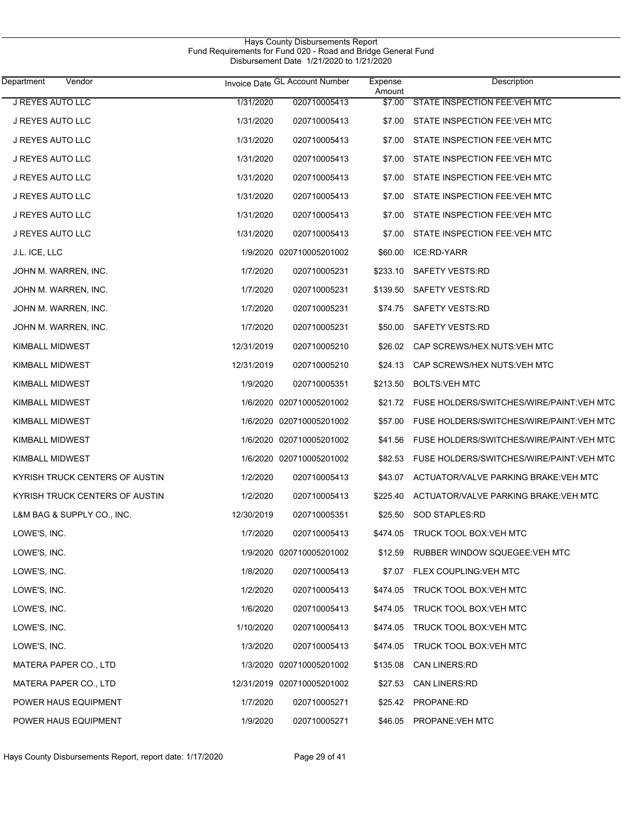| Hays County Disbursements Report                              |  |
|---------------------------------------------------------------|--|
| Fund Requirements for Fund 020 - Road and Bridge General Fund |  |
| Disbursement Date 1/21/2020 to 1/21/2020                      |  |

| Department<br>Vendor           |            | Invoice Date GL Account Number | Expense<br>Amount | Description                              |
|--------------------------------|------------|--------------------------------|-------------------|------------------------------------------|
| <b>J REYES AUTO LLC</b>        | 1/31/2020  | 020710005413                   | \$7.00            | STATE INSPECTION FEE: VEH MTC            |
| J REYES AUTO LLC               | 1/31/2020  | 020710005413                   | \$7.00            | STATE INSPECTION FEE: VEH MTC            |
| J REYES AUTO LLC               | 1/31/2020  | 020710005413                   | \$7.00            | STATE INSPECTION FEE: VEH MTC            |
| J REYES AUTO LLC               | 1/31/2020  | 020710005413                   | \$7.00            | STATE INSPECTION FEE: VEH MTC            |
| J REYES AUTO LLC               | 1/31/2020  | 020710005413                   | \$7.00            | STATE INSPECTION FEE: VEH MTC            |
| J REYES AUTO LLC               | 1/31/2020  | 020710005413                   | \$7.00            | STATE INSPECTION FEE: VEH MTC            |
| J REYES AUTO LLC               | 1/31/2020  | 020710005413                   | \$7.00            | STATE INSPECTION FEE: VEH MTC            |
| J REYES AUTO LLC               | 1/31/2020  | 020710005413                   | \$7.00            | STATE INSPECTION FEE: VEH MTC            |
| J.L. ICE, LLC                  |            | 1/9/2020 020710005201002       | \$60.00           | ICE:RD-YARR                              |
| JOHN M. WARREN, INC.           | 1/7/2020   | 020710005231                   | \$233.10          | <b>SAFETY VESTS:RD</b>                   |
| JOHN M. WARREN, INC.           | 1/7/2020   | 020710005231                   | \$139.50          | SAFETY VESTS:RD                          |
| JOHN M. WARREN, INC.           | 1/7/2020   | 020710005231                   | \$74.75           | <b>SAFETY VESTS:RD</b>                   |
| JOHN M. WARREN, INC.           | 1/7/2020   | 020710005231                   | \$50.00           | SAFETY VESTS:RD                          |
| KIMBALL MIDWEST                | 12/31/2019 | 020710005210                   | \$26.02           | CAP SCREWS/HEX NUTS: VEH MTC             |
| KIMBALL MIDWEST                | 12/31/2019 | 020710005210                   | \$24.13           | CAP SCREWS/HEX NUTS:VEH MTC              |
| KIMBALL MIDWEST                | 1/9/2020   | 020710005351                   | \$213.50          | <b>BOLTS:VEH MTC</b>                     |
| KIMBALL MIDWEST                |            | 1/6/2020 020710005201002       | \$21.72           | FUSE HOLDERS/SWITCHES/WIRE/PAINT:VEH MTC |
| KIMBALL MIDWEST                |            | 1/6/2020 020710005201002       | \$57.00           | FUSE HOLDERS/SWITCHES/WIRE/PAINT:VEH MTC |
| KIMBALL MIDWEST                |            | 1/6/2020 020710005201002       | \$41.56           | FUSE HOLDERS/SWITCHES/WIRE/PAINT:VEH MTC |
| KIMBALL MIDWEST                |            | 1/6/2020 020710005201002       | \$82.53           | FUSE HOLDERS/SWITCHES/WIRE/PAINT:VEH MTC |
| KYRISH TRUCK CENTERS OF AUSTIN | 1/2/2020   | 020710005413                   | \$43.07           | ACTUATOR/VALVE PARKING BRAKE: VEH MTC    |
| KYRISH TRUCK CENTERS OF AUSTIN | 1/2/2020   | 020710005413                   | \$225.40          | ACTUATOR/VALVE PARKING BRAKE: VEH MTC    |
| L&M BAG & SUPPLY CO., INC.     | 12/30/2019 | 020710005351                   | \$25.50           | <b>SOD STAPLES:RD</b>                    |
| LOWE'S, INC.                   | 1/7/2020   | 020710005413                   | \$474.05          | <b>TRUCK TOOL BOX:VEH MTC</b>            |
| LOWE'S, INC.                   |            | 1/9/2020 020710005201002       |                   | \$12.59 RUBBER WINDOW SQUEGEE: VEH MTC   |
| LOWE'S, INC.                   | 1/8/2020   | 020710005413                   |                   | \$7.07 FLEX COUPLING: VEH MTC            |
| LOWE'S, INC.                   | 1/2/2020   | 020710005413                   | \$474.05          | TRUCK TOOL BOX:VEH MTC                   |
| LOWE'S, INC.                   | 1/6/2020   | 020710005413                   | \$474.05          | TRUCK TOOL BOX:VEH MTC                   |
| LOWE'S, INC.                   | 1/10/2020  | 020710005413                   | \$474.05          | TRUCK TOOL BOX:VEH MTC                   |
| LOWE'S, INC.                   | 1/3/2020   | 020710005413                   | \$474.05          | TRUCK TOOL BOX:VEH MTC                   |
| MATERA PAPER CO., LTD          |            | 1/3/2020 020710005201002       | \$135.08          | <b>CAN LINERS:RD</b>                     |
| MATERA PAPER CO., LTD          |            | 12/31/2019 020710005201002     | \$27.53           | <b>CAN LINERS:RD</b>                     |
| POWER HAUS EQUIPMENT           | 1/7/2020   | 020710005271                   | \$25.42           | PROPANE:RD                               |
| POWER HAUS EQUIPMENT           | 1/9/2020   | 020710005271                   | \$46.05           | PROPANE: VEH MTC                         |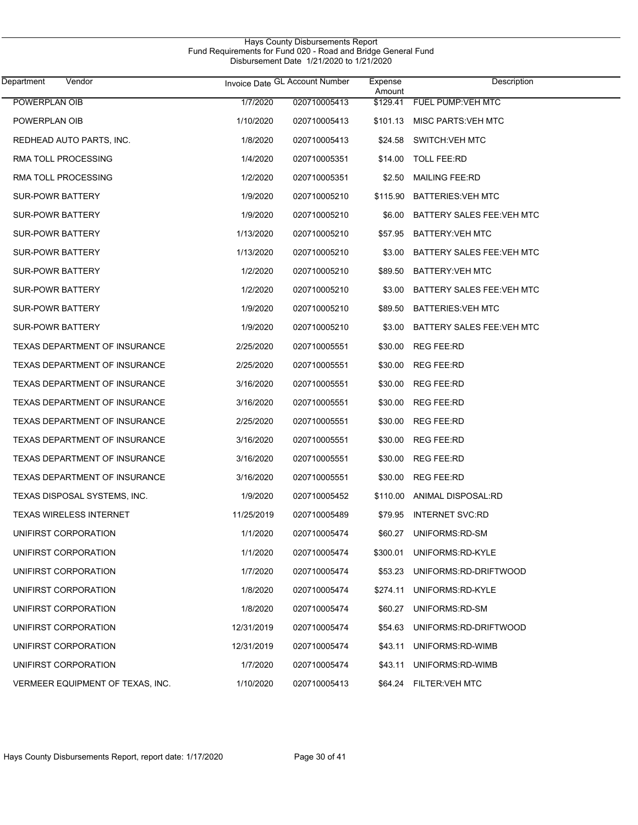| Vendor<br>Department                 |            | Invoice Date GL Account Number | Expense<br>Amount | Description                |  |
|--------------------------------------|------------|--------------------------------|-------------------|----------------------------|--|
| POWERPLAN OIB                        | 1/7/2020   | 020710005413                   | \$129.41          | <b>FUEL PUMP:VEH MTC</b>   |  |
| POWERPLAN OIB                        | 1/10/2020  | 020710005413                   | \$101.13          | <b>MISC PARTS: VEH MTC</b> |  |
| REDHEAD AUTO PARTS, INC.             | 1/8/2020   | 020710005413                   | \$24.58           | <b>SWITCH:VEH MTC</b>      |  |
| RMA TOLL PROCESSING                  | 1/4/2020   | 020710005351                   | \$14.00           | <b>TOLL FEE:RD</b>         |  |
| RMA TOLL PROCESSING                  | 1/2/2020   | 020710005351                   | \$2.50            | <b>MAILING FEE:RD</b>      |  |
| <b>SUR-POWR BATTERY</b>              | 1/9/2020   | 020710005210                   | \$115.90          | <b>BATTERIES: VEH MTC</b>  |  |
| <b>SUR-POWR BATTERY</b>              | 1/9/2020   | 020710005210                   | \$6.00            | BATTERY SALES FEE: VEH MTC |  |
| <b>SUR-POWR BATTERY</b>              | 1/13/2020  | 020710005210                   | \$57.95           | BATTERY: VEH MTC           |  |
| <b>SUR-POWR BATTERY</b>              | 1/13/2020  | 020710005210                   | \$3.00            | BATTERY SALES FEE: VEH MTC |  |
| <b>SUR-POWR BATTERY</b>              | 1/2/2020   | 020710005210                   | \$89.50           | BATTERY: VEH MTC           |  |
| <b>SUR-POWR BATTERY</b>              | 1/2/2020   | 020710005210                   | \$3.00            | BATTERY SALES FEE: VEH MTC |  |
| <b>SUR-POWR BATTERY</b>              | 1/9/2020   | 020710005210                   | \$89.50           | <b>BATTERIES: VEH MTC</b>  |  |
| <b>SUR-POWR BATTERY</b>              | 1/9/2020   | 020710005210                   | \$3.00            | BATTERY SALES FEE: VEH MTC |  |
| <b>TEXAS DEPARTMENT OF INSURANCE</b> | 2/25/2020  | 020710005551                   | \$30.00           | <b>REG FEE:RD</b>          |  |
| <b>TEXAS DEPARTMENT OF INSURANCE</b> | 2/25/2020  | 020710005551                   | \$30.00           | <b>REG FEE:RD</b>          |  |
| <b>TEXAS DEPARTMENT OF INSURANCE</b> | 3/16/2020  | 020710005551                   | \$30.00           | <b>REG FEE:RD</b>          |  |
| <b>TEXAS DEPARTMENT OF INSURANCE</b> | 3/16/2020  | 020710005551                   | \$30.00           | <b>REG FEE:RD</b>          |  |
| <b>TEXAS DEPARTMENT OF INSURANCE</b> | 2/25/2020  | 020710005551                   | \$30.00           | <b>REG FEE:RD</b>          |  |
| <b>TEXAS DEPARTMENT OF INSURANCE</b> | 3/16/2020  | 020710005551                   | \$30.00           | <b>REG FEE:RD</b>          |  |
| <b>TEXAS DEPARTMENT OF INSURANCE</b> | 3/16/2020  | 020710005551                   | \$30.00           | <b>REG FEE:RD</b>          |  |
| <b>TEXAS DEPARTMENT OF INSURANCE</b> | 3/16/2020  | 020710005551                   | \$30.00           | <b>REG FEE:RD</b>          |  |
| TEXAS DISPOSAL SYSTEMS, INC.         | 1/9/2020   | 020710005452                   | \$110.00          | <b>ANIMAL DISPOSAL:RD</b>  |  |
| TEXAS WIRELESS INTERNET              | 11/25/2019 | 020710005489                   |                   | \$79.95 INTERNET SVC:RD    |  |
| UNIFIRST CORPORATION                 | 1/1/2020   | 020710005474                   | \$60.27           | UNIFORMS:RD-SM             |  |
| UNIFIRST CORPORATION                 | 1/1/2020   | 020710005474                   | \$300.01          | UNIFORMS:RD-KYLE           |  |
| UNIFIRST CORPORATION                 | 1/7/2020   | 020710005474                   | \$53.23           | UNIFORMS:RD-DRIFTWOOD      |  |
| UNIFIRST CORPORATION                 | 1/8/2020   | 020710005474                   | \$274.11          | UNIFORMS:RD-KYLE           |  |
| UNIFIRST CORPORATION                 | 1/8/2020   | 020710005474                   | \$60.27           | UNIFORMS:RD-SM             |  |
| UNIFIRST CORPORATION                 | 12/31/2019 | 020710005474                   | \$54.63           | UNIFORMS:RD-DRIFTWOOD      |  |
| UNIFIRST CORPORATION                 | 12/31/2019 | 020710005474                   | \$43.11           | UNIFORMS:RD-WIMB           |  |
| UNIFIRST CORPORATION                 | 1/7/2020   | 020710005474                   | \$43.11           | UNIFORMS:RD-WIMB           |  |
| VERMEER EQUIPMENT OF TEXAS, INC.     | 1/10/2020  | 020710005413                   |                   | \$64.24 FILTER: VEH MTC    |  |

Hays County Disbursements Report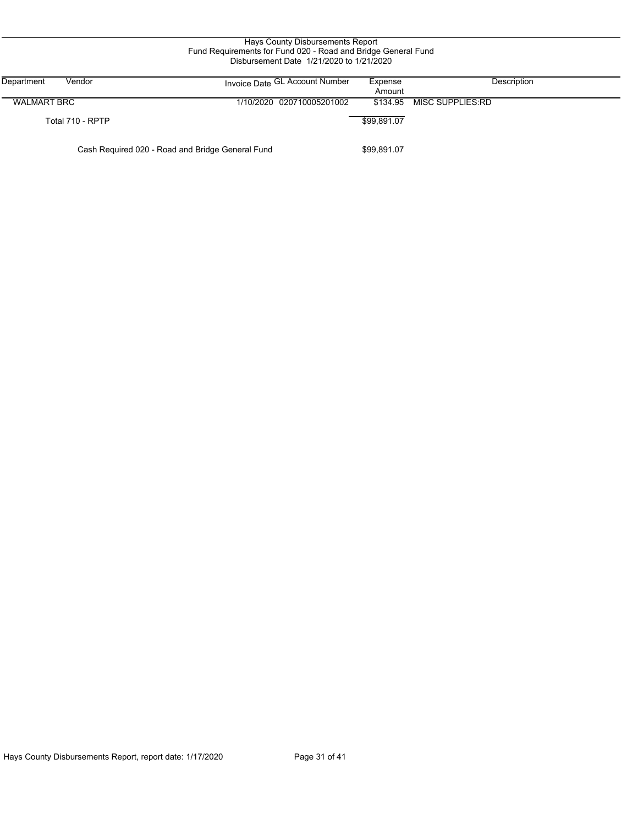| Hays County Disbursements Report<br>Fund Requirements for Fund 020 - Road and Bridge General Fund<br>Disbursement Date 1/21/2020 to 1/21/2020 |                                                  |                   |                  |  |  |  |  |  |
|-----------------------------------------------------------------------------------------------------------------------------------------------|--------------------------------------------------|-------------------|------------------|--|--|--|--|--|
| Department<br>Vendor                                                                                                                          | Invoice Date GL Account Number                   | Expense<br>Amount | Description      |  |  |  |  |  |
| <b>WALMART BRC</b>                                                                                                                            | 1/10/2020 020710005201002                        | \$134.95          | MISC SUPPLIES:RD |  |  |  |  |  |
| Total 710 - RPTP                                                                                                                              |                                                  | \$99,891.07       |                  |  |  |  |  |  |
|                                                                                                                                               | Cash Required 020 - Road and Bridge General Fund | \$99,891.07       |                  |  |  |  |  |  |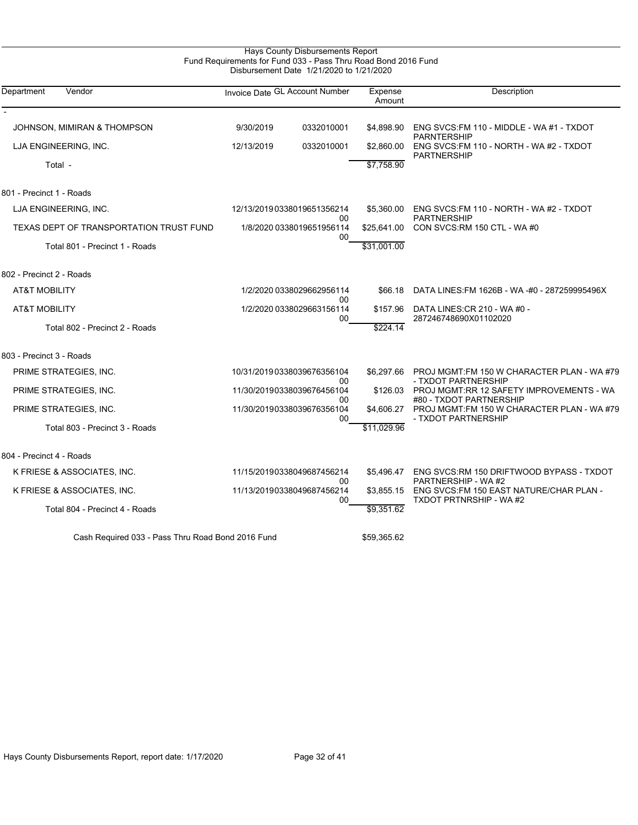# Hays County Disbursements Report Fund Requirements for Fund 033 - Pass Thru Road Bond 2016 Fund Disbursement Date 1/21/2020 to 1/21/2020

| Department<br>Vendor                              |                                 | Invoice Date GL Account Number   | Expense<br>Amount | Description                                                           |
|---------------------------------------------------|---------------------------------|----------------------------------|-------------------|-----------------------------------------------------------------------|
| JOHNSON, MIMIRAN & THOMPSON                       | 9/30/2019                       | 0332010001                       | \$4,898.90        | ENG SVCS:FM 110 - MIDDLE - WA #1 - TXDOT                              |
| LJA ENGINEERING, INC.                             | 12/13/2019                      | 0332010001                       | \$2,860.00        | <b>PARNTERSHIP</b><br>ENG SVCS: FM 110 - NORTH - WA #2 - TXDOT        |
| Total -                                           |                                 |                                  | \$7,758.90        | <b>PARTNERSHIP</b>                                                    |
| 801 - Precinct 1 - Roads                          |                                 |                                  |                   |                                                                       |
| LJA ENGINEERING, INC.                             |                                 | 12/13/2019 0338019651356214      | \$5,360.00        | ENG SVCS: FM 110 - NORTH - WA #2 - TXDOT                              |
| TEXAS DEPT OF TRANSPORTATION TRUST FUND           | 00<br>1/8/2020 0338019651956114 |                                  | \$25,641.00       | <b>PARTNERSHIP</b><br>CON SVCS:RM 150 CTL - WA #0                     |
| Total 801 - Precinct 1 - Roads                    |                                 | 00                               | \$31,001.00       |                                                                       |
| 802 - Precinct 2 - Roads                          |                                 |                                  |                   |                                                                       |
| <b>AT&amp;T MOBILITY</b>                          |                                 | 1/2/2020 0338029662956114        | \$66.18           | DATA LINES: FM 1626B - WA -#0 - 287259995496X                         |
| <b>AT&amp;T MOBILITY</b>                          | 00<br>1/2/2020 0338029663156114 |                                  | \$157.96          | DATA LINES: CR 210 - WA #0 -                                          |
| Total 802 - Precinct 2 - Roads                    |                                 | 00                               | \$224.14          | 287246748690X01102020                                                 |
| 803 - Precinct 3 - Roads                          |                                 |                                  |                   |                                                                       |
| PRIME STRATEGIES, INC.                            |                                 | 10/31/20190338039676356104       | \$6,297.66        | PROJ MGMT:FM 150 W CHARACTER PLAN - WA #79                            |
| PRIME STRATEGIES, INC.                            |                                 | 00<br>11/30/20190338039676456104 | \$126.03          | - TXDOT PARTNERSHIP<br>PROJ MGMT:RR 12 SAFETY IMPROVEMENTS - WA       |
| PRIME STRATEGIES, INC.                            |                                 | 00<br>11/30/20190338039676356104 | \$4,606.27        | #80 - TXDOT PARTNERSHIP<br>PROJ MGMT:FM 150 W CHARACTER PLAN - WA #79 |
| Total 803 - Precinct 3 - Roads                    |                                 | 00                               | \$11,029.96       | - TXDOT PARTNERSHIP                                                   |
| 804 - Precinct 4 - Roads                          |                                 |                                  |                   |                                                                       |
| K FRIESE & ASSOCIATES, INC.                       |                                 | 11/15/20190338049687456214       | \$5,496.47        | ENG SVCS:RM 150 DRIFTWOOD BYPASS - TXDOT                              |
| K FRIESE & ASSOCIATES, INC.                       |                                 | 00<br>11/13/20190338049687456214 | \$3,855.15        | PARTNERSHIP - WA #2<br>ENG SVCS:FM 150 EAST NATURE/CHAR PLAN -        |
| Total 804 - Precinct 4 - Roads                    |                                 | 00                               | \$9,351.62        | <b>TXDOT PRTNRSHIP - WA#2</b>                                         |
| Cash Required 033 - Pass Thru Road Bond 2016 Fund |                                 |                                  | \$59,365.62       |                                                                       |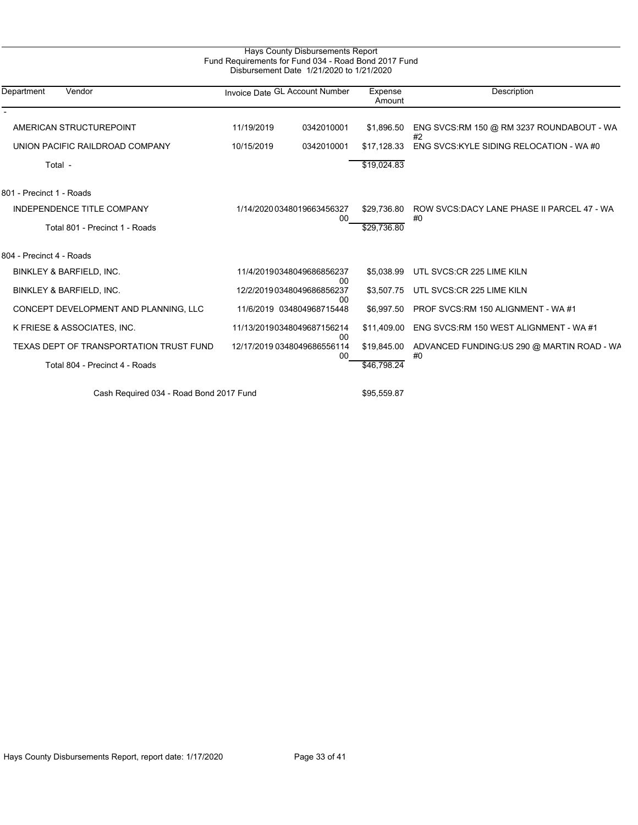| Department<br>Vendor                    | Invoice Date GL Account Number |                                         | Expense<br>Amount | Description                                      |  |
|-----------------------------------------|--------------------------------|-----------------------------------------|-------------------|--------------------------------------------------|--|
|                                         |                                |                                         |                   |                                                  |  |
| AMERICAN STRUCTUREPOINT                 | 11/19/2019                     | 0342010001                              | \$1,896.50        | ENG SVCS: RM 150 @ RM 3237 ROUNDABOUT - WA<br>#2 |  |
| UNION PACIFIC RAILDROAD COMPANY         | 10/15/2019                     | 0342010001                              | \$17.128.33       | ENG SVCS: KYLE SIDING RELOCATION - WA #0         |  |
| Total -                                 |                                |                                         | \$19,024.83       |                                                  |  |
| 801 - Precinct 1 - Roads                |                                |                                         |                   |                                                  |  |
| <b>INDEPENDENCE TITLE COMPANY</b>       |                                | 1/14/2020 0348019663456327              | \$29,736.80       | ROW SVCS:DACY LANE PHASE II PARCEL 47 - WA<br>#0 |  |
| Total 801 - Precinct 1 - Roads          |                                | 00                                      | \$29,736.80       |                                                  |  |
| 804 - Precinct 4 - Roads                |                                |                                         |                   |                                                  |  |
| <b>BINKLEY &amp; BARFIELD, INC.</b>     |                                | 11/4/20190348049686856237               | \$5,038.99        | UTL SVCS:CR 225 LIME KILN                        |  |
| BINKLEY & BARFIELD, INC.                |                                | 00<br>12/2/20190348049686856237         | \$3,507.75        | UTL SVCS:CR 225 LIME KILN                        |  |
| CONCEPT DEVELOPMENT AND PLANNING, LLC   |                                | 00<br>11/6/2019 034804968715448         | \$6.997.50        | PROF SVCS:RM 150 ALIGNMENT - WA#1                |  |
| K FRIESE & ASSOCIATES, INC.             |                                | 11/13/20190348049687156214              | \$11.409.00       | ENG SVCS:RM 150 WEST ALIGNMENT - WA #1           |  |
| TEXAS DEPT OF TRANSPORTATION TRUST FUND |                                | 00<br>12/17/2019 0348049686556114<br>00 | \$19,845.00       | ADVANCED FUNDING:US 290 @ MARTIN ROAD - WA<br>#0 |  |
| Total 804 - Precinct 4 - Roads          |                                |                                         | \$46,798.24       |                                                  |  |
| Cash Required 034 - Road Bond 2017 Fund |                                |                                         | \$95,559.87       |                                                  |  |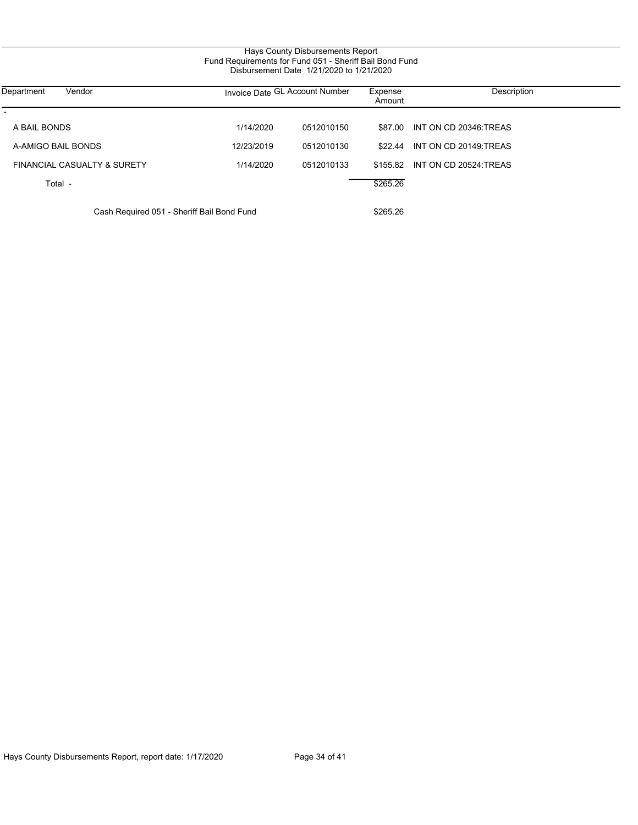| Hays County Disbursements Report                        |  |  |  |  |
|---------------------------------------------------------|--|--|--|--|
| Fund Requirements for Fund 051 - Sheriff Bail Bond Fund |  |  |  |  |
| Disbursement Date 1/21/2020 to 1/21/2020                |  |  |  |  |
|                                                         |  |  |  |  |

| Department<br>Vendor                       | Invoice Date GL Account Number |            | Expense<br>Amount | Description                    |
|--------------------------------------------|--------------------------------|------------|-------------------|--------------------------------|
| A BAIL BONDS                               | 1/14/2020                      | 0512010150 |                   | \$87.00 INT ON CD 20346:TREAS  |
| A-AMIGO BAIL BONDS                         | 12/23/2019                     | 0512010130 | \$22.44           | INT ON CD 20149:TREAS          |
| FINANCIAL CASUALTY & SURETY                | 1/14/2020                      | 0512010133 |                   | \$155.82 INT ON CD 20524:TREAS |
| Total -                                    |                                |            | \$265.26          |                                |
| Cash Required 051 - Sheriff Bail Bond Fund |                                |            | \$265.26          |                                |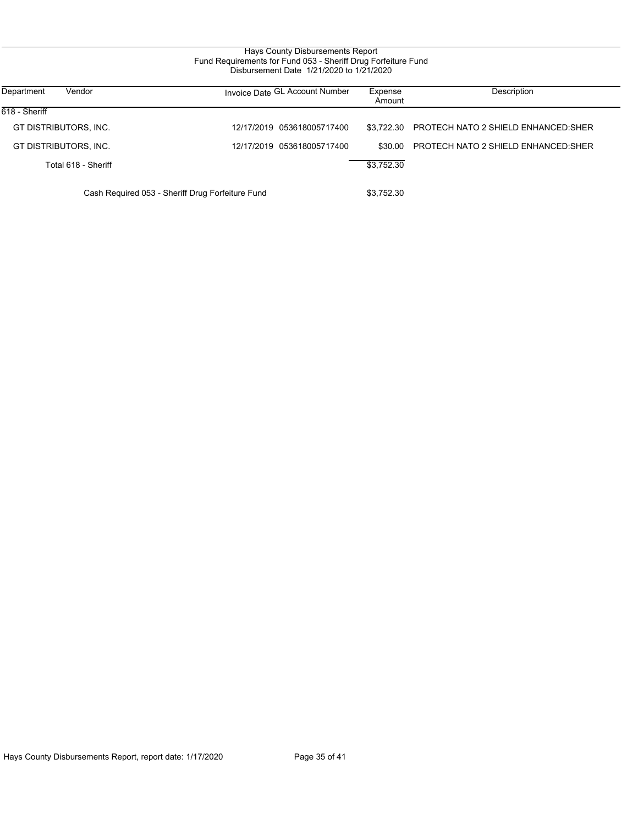# Hays County Disbursements Report Fund Requirements for Fund 053 - Sheriff Drug Forfeiture Fund Disbursement Date 1/21/2020 to 1/21/2020

| Department<br>Vendor  | Invoice Date GL Account Number                   | Expense<br>Amount | Description                                |
|-----------------------|--------------------------------------------------|-------------------|--------------------------------------------|
| 618 - Sheriff         |                                                  |                   |                                            |
| GT DISTRIBUTORS, INC. | 12/17/2019 053618005717400                       | \$3.722.30        | <b>PROTECH NATO 2 SHIELD ENHANCED:SHER</b> |
| GT DISTRIBUTORS, INC. | 12/17/2019 053618005717400                       | \$30.00           | <b>PROTECH NATO 2 SHIELD ENHANCED:SHER</b> |
| Total 618 - Sheriff   |                                                  | \$3,752.30        |                                            |
|                       | Cash Required 053 - Sheriff Drug Forfeiture Fund | \$3,752.30        |                                            |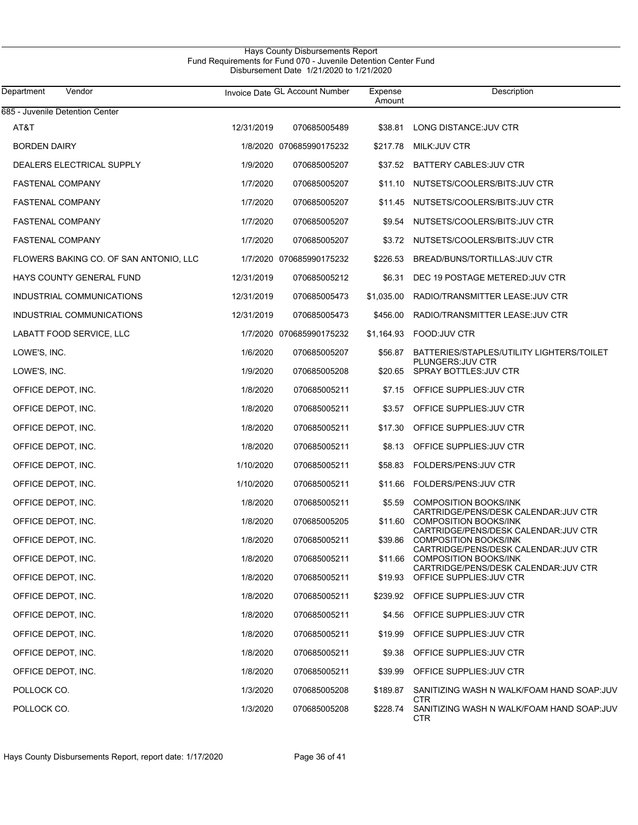# Hays County Disbursements Report Fund Requirements for Fund 070 - Juvenile Detention Center Fund Disbursement Date 1/21/2020 to 1/21/2020

| Department<br>Vendor                   |            | Invoice Date GL Account Number | Expense<br>Amount | Description                                                                                                   |
|----------------------------------------|------------|--------------------------------|-------------------|---------------------------------------------------------------------------------------------------------------|
| 685 - Juvenile Detention Center        |            |                                |                   |                                                                                                               |
| AT&T                                   | 12/31/2019 | 070685005489                   | \$38.81           | LONG DISTANCE: JUV CTR                                                                                        |
| <b>BORDEN DAIRY</b>                    |            | 1/8/2020 070685990175232       | \$217.78          | MILK:JUV CTR                                                                                                  |
| DEALERS ELECTRICAL SUPPLY              | 1/9/2020   | 070685005207                   |                   | \$37.52 BATTERY CABLES: JUV CTR                                                                               |
| <b>FASTENAL COMPANY</b>                | 1/7/2020   | 070685005207                   |                   | \$11.10 NUTSETS/COOLERS/BITS: JUV CTR                                                                         |
| <b>FASTENAL COMPANY</b>                | 1/7/2020   | 070685005207                   |                   | \$11.45 NUTSETS/COOLERS/BITS:JUV CTR                                                                          |
| <b>FASTENAL COMPANY</b>                | 1/7/2020   | 070685005207                   |                   | \$9.54 NUTSETS/COOLERS/BITS:JUV CTR                                                                           |
| <b>FASTENAL COMPANY</b>                | 1/7/2020   | 070685005207                   |                   | \$3.72 NUTSETS/COOLERS/BITS:JUV CTR                                                                           |
| FLOWERS BAKING CO. OF SAN ANTONIO, LLC |            | 1/7/2020 070685990175232       | \$226.53          | BREAD/BUNS/TORTILLAS: JUV CTR                                                                                 |
| HAYS COUNTY GENERAL FUND               | 12/31/2019 | 070685005212                   | \$6.31            | DEC 19 POSTAGE METERED: JUV CTR                                                                               |
| INDUSTRIAL COMMUNICATIONS              | 12/31/2019 | 070685005473                   | \$1,035.00        | RADIO/TRANSMITTER LEASE: JUV CTR                                                                              |
| INDUSTRIAL COMMUNICATIONS              | 12/31/2019 | 070685005473                   | \$456.00          | RADIO/TRANSMITTER LEASE: JUV CTR                                                                              |
| LABATT FOOD SERVICE, LLC               |            | 1/7/2020 070685990175232       | \$1,164.93        | <b>FOOD:JUV CTR</b>                                                                                           |
| LOWE'S, INC.                           | 1/6/2020   | 070685005207                   | \$56.87           | BATTERIES/STAPLES/UTILITY LIGHTERS/TOILET                                                                     |
| LOWE'S, INC.                           | 1/9/2020   | 070685005208                   | \$20.65           | PLUNGERS: JUV CTR<br><b>SPRAY BOTTLES: JUV CTR</b>                                                            |
| OFFICE DEPOT, INC.                     | 1/8/2020   | 070685005211                   |                   | \$7.15 OFFICE SUPPLIES: JUV CTR                                                                               |
| OFFICE DEPOT, INC.                     | 1/8/2020   | 070685005211                   | \$3.57            | OFFICE SUPPLIES: JUV CTR                                                                                      |
| OFFICE DEPOT, INC.                     | 1/8/2020   | 070685005211                   | \$17.30           | OFFICE SUPPLIES: JUV CTR                                                                                      |
| OFFICE DEPOT, INC.                     | 1/8/2020   | 070685005211                   | \$8.13            | OFFICE SUPPLIES: JUV CTR                                                                                      |
| OFFICE DEPOT, INC.                     | 1/10/2020  | 070685005211                   | \$58.83           | FOLDERS/PENS: JUV CTR                                                                                         |
| OFFICE DEPOT, INC.                     | 1/10/2020  | 070685005211                   |                   | \$11.66 FOLDERS/PENS: JUV CTR                                                                                 |
| OFFICE DEPOT, INC.                     | 1/8/2020   | 070685005211                   | \$5.59            | <b>COMPOSITION BOOKS/INK</b><br>CARTRIDGE/PENS/DESK CALENDAR: JUV CTR                                         |
| OFFICE DEPOT, INC.                     | 1/8/2020   | 070685005205                   | \$11.60           | <b>COMPOSITION BOOKS/INK</b>                                                                                  |
| OFFICE DEPOT, INC.                     | 1/8/2020   | 070685005211                   | \$39.86           | CARTRIDGE/PENS/DESK CALENDAR: JUV CTR<br><b>COMPOSITION BOOKS/INK</b><br>CARTRIDGE/PENS/DESK CALENDAR JUV CTR |
| OFFICE DEPOT, INC.                     | 1/8/2020   | 070685005211                   |                   | \$11.66 COMPOSITION BOOKS/INK                                                                                 |
| OFFICE DEPOT, INC.                     | 1/8/2020   | 070685005211                   | \$19.93           | CARTRIDGE/PENS/DESK CALENDAR: JUV CTR<br>OFFICE SUPPLIES: JUV CTR                                             |
| OFFICE DEPOT, INC.                     | 1/8/2020   | 070685005211                   |                   | \$239.92 OFFICE SUPPLIES: JUV CTR                                                                             |
| OFFICE DEPOT, INC.                     | 1/8/2020   | 070685005211                   | \$4.56            | OFFICE SUPPLIES: JUV CTR                                                                                      |
| OFFICE DEPOT, INC.                     | 1/8/2020   | 070685005211                   | \$19.99           | OFFICE SUPPLIES: JUV CTR                                                                                      |
| OFFICE DEPOT, INC.                     | 1/8/2020   | 070685005211                   | \$9.38            | OFFICE SUPPLIES: JUV CTR                                                                                      |
| OFFICE DEPOT, INC.                     | 1/8/2020   | 070685005211                   | \$39.99           | OFFICE SUPPLIES: JUV CTR                                                                                      |
| POLLOCK CO.                            | 1/3/2020   | 070685005208                   | \$189.87          | SANITIZING WASH N WALK/FOAM HAND SOAP:JUV                                                                     |
| POLLOCK CO.                            | 1/3/2020   | 070685005208                   | \$228.74          | CTR<br>SANITIZING WASH N WALK/FOAM HAND SOAP:JUV<br><b>CTR</b>                                                |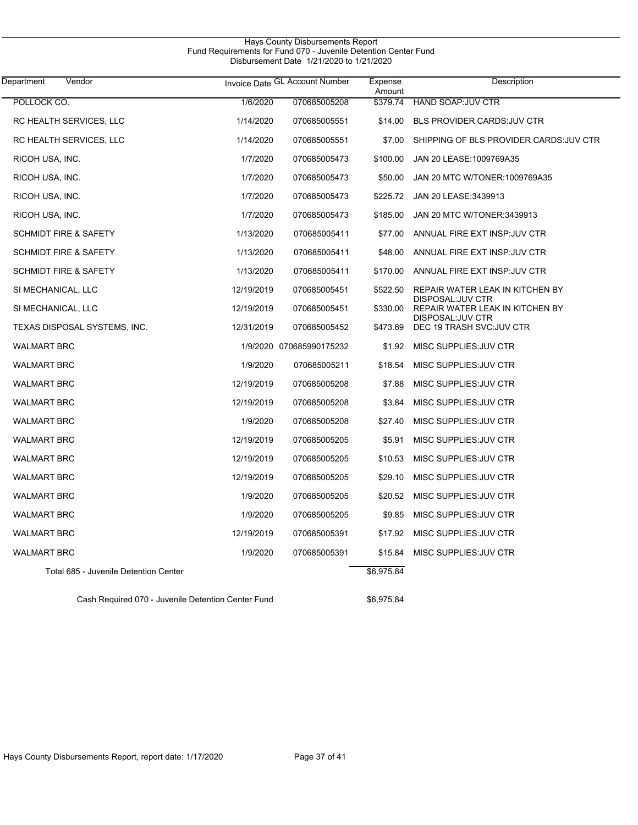| Vendor<br>Department                               |            | Invoice Date GL Account Number | Expense<br>Amount | Description                                          |
|----------------------------------------------------|------------|--------------------------------|-------------------|------------------------------------------------------|
| POLLOCK CO.                                        | 1/6/2020   | 070685005208                   | \$379.74          | <b>HAND SOAP:JUV CTR</b>                             |
| RC HEALTH SERVICES, LLC                            | 1/14/2020  | 070685005551                   | \$14.00           | <b>BLS PROVIDER CARDS: JUV CTR</b>                   |
| RC HEALTH SERVICES, LLC                            | 1/14/2020  | 070685005551                   | \$7.00            | SHIPPING OF BLS PROVIDER CARDS: JUV CTR              |
| RICOH USA, INC.                                    | 1/7/2020   | 070685005473                   | \$100.00          | JAN 20 LEASE: 1009769A35                             |
| RICOH USA, INC.                                    | 1/7/2020   | 070685005473                   | \$50.00           | JAN 20 MTC W/TONER: 1009769A35                       |
| RICOH USA, INC.                                    | 1/7/2020   | 070685005473                   | \$225.72          | JAN 20 LEASE: 3439913                                |
| RICOH USA, INC.                                    | 1/7/2020   | 070685005473                   | \$185.00          | JAN 20 MTC W/TONER:3439913                           |
| <b>SCHMIDT FIRE &amp; SAFETY</b>                   | 1/13/2020  | 070685005411                   | \$77.00           | ANNUAL FIRE EXT INSP: JUV CTR                        |
| <b>SCHMIDT FIRE &amp; SAFETY</b>                   | 1/13/2020  | 070685005411                   | \$48.00           | ANNUAL FIRE EXT INSP: JUV CTR                        |
| <b>SCHMIDT FIRE &amp; SAFETY</b>                   | 1/13/2020  | 070685005411                   | \$170.00          | ANNUAL FIRE EXT INSP: JUV CTR                        |
| SI MECHANICAL, LLC                                 | 12/19/2019 | 070685005451                   | \$522.50          | REPAIR WATER LEAK IN KITCHEN BY<br>DISPOSAL: JUV CTR |
| SI MECHANICAL, LLC                                 | 12/19/2019 | 070685005451                   | \$330.00          | REPAIR WATER LEAK IN KITCHEN BY<br>DISPOSAL: JUV CTR |
| TEXAS DISPOSAL SYSTEMS, INC.                       | 12/31/2019 | 070685005452                   | \$473.69          | DEC 19 TRASH SVC: JUV CTR                            |
| <b>WALMART BRC</b>                                 |            | 1/9/2020 070685990175232       | \$1.92            | MISC SUPPLIES: JUV CTR                               |
| <b>WALMART BRC</b>                                 | 1/9/2020   | 070685005211                   | \$18.54           | MISC SUPPLIES: JUV CTR                               |
| <b>WALMART BRC</b>                                 | 12/19/2019 | 070685005208                   | \$7.88            | MISC SUPPLIES: JUV CTR                               |
| <b>WALMART BRC</b>                                 | 12/19/2019 | 070685005208                   | \$3.84            | MISC SUPPLIES: JUV CTR                               |
| <b>WALMART BRC</b>                                 | 1/9/2020   | 070685005208                   | \$27.40           | MISC SUPPLIES: JUV CTR                               |
| <b>WALMART BRC</b>                                 | 12/19/2019 | 070685005205                   | \$5.91            | MISC SUPPLIES: JUV CTR                               |
| <b>WALMART BRC</b>                                 | 12/19/2019 | 070685005205                   | \$10.53           | MISC SUPPLIES: JUV CTR                               |
| <b>WALMART BRC</b>                                 | 12/19/2019 | 070685005205                   | \$29.10           | MISC SUPPLIES: JUV CTR                               |
| <b>WALMART BRC</b>                                 | 1/9/2020   | 070685005205                   | \$20.52           | MISC SUPPLIES: JUV CTR                               |
| <b>WALMART BRC</b>                                 | 1/9/2020   | 070685005205                   |                   | \$9.85 MISC SUPPLIES: JUV CTR                        |
| <b>WALMART BRC</b>                                 | 12/19/2019 | 070685005391                   | \$17.92           | MISC SUPPLIES: JUV CTR                               |
| <b>WALMART BRC</b>                                 | 1/9/2020   | 070685005391                   | \$15.84           | MISC SUPPLIES: JUV CTR                               |
| Total 685 - Juvenile Detention Center              |            |                                | \$6,975.84        |                                                      |
| Cash Required 070 - Juvenile Detention Center Fund |            |                                | \$6,975.84        |                                                      |

Hays County Disbursements Report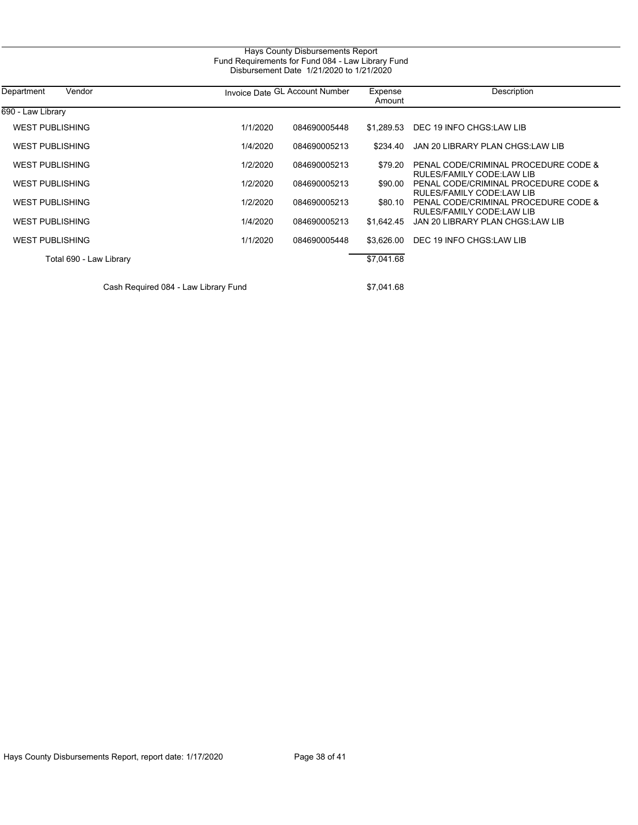| Department<br>Vendor    | Invoice Date GL Account Number |              | Expense<br>Amount | Description                                                       |  |
|-------------------------|--------------------------------|--------------|-------------------|-------------------------------------------------------------------|--|
| 690 - Law Library       |                                |              |                   |                                                                   |  |
| <b>WEST PUBLISHING</b>  | 1/1/2020                       | 084690005448 | \$1.289.53        | DEC 19 INFO CHGS:LAW LIB                                          |  |
| WEST PUBLISHING         | 1/4/2020                       | 084690005213 | \$234.40          | JAN 20 LIBRARY PLAN CHGS:LAW LIB                                  |  |
| <b>WEST PUBLISHING</b>  | 1/2/2020                       | 084690005213 | \$79.20           | PENAL CODE/CRIMINAL PROCEDURE CODE &<br>RULES/FAMILY CODE:LAW LIB |  |
| <b>WEST PUBLISHING</b>  | 1/2/2020                       | 084690005213 | \$90.00           | PENAL CODE/CRIMINAL PROCEDURE CODE &<br>RULES/FAMILY CODE:LAW LIB |  |
| WEST PUBLISHING         | 1/2/2020                       | 084690005213 | \$80.10           | PENAL CODE/CRIMINAL PROCEDURE CODE &<br>RULES/FAMILY CODE:LAW LIB |  |
| <b>WEST PUBLISHING</b>  | 1/4/2020                       | 084690005213 | \$1.642.45        | JAN 20 LIBRARY PLAN CHGS:LAW LIB                                  |  |
| <b>WEST PUBLISHING</b>  | 1/1/2020                       | 084690005448 | \$3.626.00        | DEC 19 INFO CHGS:LAW LIB                                          |  |
| Total 690 - Law Library |                                |              | \$7,041.68        |                                                                   |  |
|                         |                                |              |                   |                                                                   |  |

Cash Required 084 - Law Library Fund \$7,041.68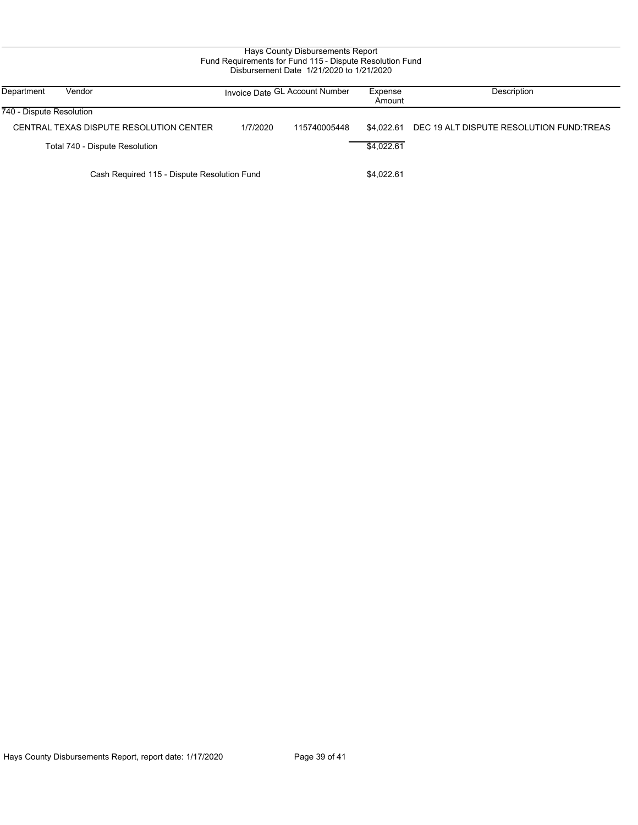| Department               | Vendor                                      |          | Invoice Date GL Account Number | Expense<br>Amount | Description                              |
|--------------------------|---------------------------------------------|----------|--------------------------------|-------------------|------------------------------------------|
| 740 - Dispute Resolution |                                             |          |                                |                   |                                          |
|                          | CENTRAL TEXAS DISPUTE RESOLUTION CENTER     | 1/7/2020 | 115740005448                   | \$4.022.61        | DEC 19 ALT DISPUTE RESOLUTION FUND:TREAS |
|                          | Total 740 - Dispute Resolution              |          |                                | \$4.022.61        |                                          |
|                          | Cash Required 115 - Dispute Resolution Fund |          |                                | \$4,022.61        |                                          |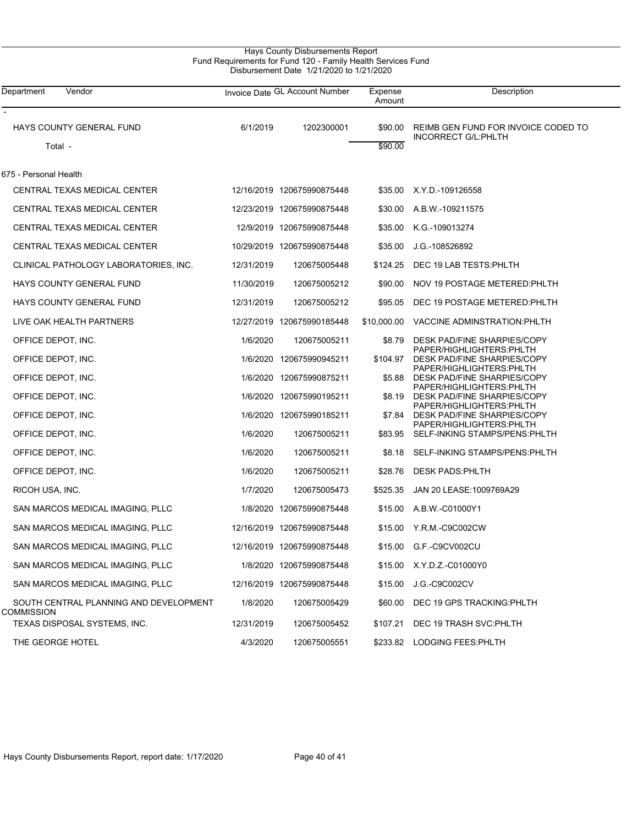# Hays County Disbursements Report Fund Requirements for Fund 120 - Family Health Services Fund Disbursement Date 1/21/2020 to 1/21/2020

 $\overline{\phantom{0}}$ 

| Department<br>Vendor                                        |            | Invoice Date GL Account Number | Expense<br>Amount  | Description                                                       |
|-------------------------------------------------------------|------------|--------------------------------|--------------------|-------------------------------------------------------------------|
| HAYS COUNTY GENERAL FUND<br>Total -                         | 6/1/2019   | 1202300001                     | \$90.00<br>\$90.00 | REIMB GEN FUND FOR INVOICE CODED TO<br><b>INCORRECT G/L:PHLTH</b> |
| 675 - Personal Health                                       |            |                                |                    |                                                                   |
| CENTRAL TEXAS MEDICAL CENTER                                |            | 12/16/2019 120675990875448     |                    | \$35.00 X.Y.D.-109126558                                          |
| CENTRAL TEXAS MEDICAL CENTER                                |            | 12/23/2019 120675990875448     | \$30.00            | A.B.W.-109211575                                                  |
| CENTRAL TEXAS MEDICAL CENTER                                |            | 12/9/2019 120675990875448      | \$35.00            | K.G.-109013274                                                    |
| CENTRAL TEXAS MEDICAL CENTER                                |            | 10/29/2019 120675990875448     | \$35.00            | J.G.-108526892                                                    |
| CLINICAL PATHOLOGY LABORATORIES, INC.                       | 12/31/2019 | 120675005448                   | \$124.25           | DEC 19 LAB TESTS: PHLTH                                           |
| HAYS COUNTY GENERAL FUND                                    | 11/30/2019 | 120675005212                   | \$90.00            | NOV 19 POSTAGE METERED: PHLTH                                     |
| HAYS COUNTY GENERAL FUND                                    | 12/31/2019 | 120675005212                   | \$95.05            | DEC 19 POSTAGE METERED: PHLTH                                     |
| LIVE OAK HEALTH PARTNERS                                    |            | 12/27/2019 120675990185448     | \$10,000.00        | VACCINE ADMINSTRATION: PHLTH                                      |
| OFFICE DEPOT, INC.                                          | 1/6/2020   | 120675005211                   | \$8.79             | DESK PAD/FINE SHARPIES/COPY                                       |
| OFFICE DEPOT, INC.                                          |            | 1/6/2020 120675990945211       | \$104.97           | PAPER/HIGHLIGHTERS:PHLTH<br>DESK PAD/FINE SHARPIES/COPY           |
| OFFICE DEPOT, INC.                                          |            | 1/6/2020 120675990875211       | \$5.88             | PAPER/HIGHLIGHTERS:PHLTH<br>DESK PAD/FINE SHARPIES/COPY           |
| OFFICE DEPOT, INC.                                          |            | 1/6/2020 120675990195211       | \$8.19             | PAPER/HIGHLIGHTERS:PHLTH<br>DESK PAD/FINE SHARPIES/COPY           |
| OFFICE DEPOT, INC.                                          |            | 1/6/2020 120675990185211       | \$7.84             | PAPER/HIGHLIGHTERS:PHLTH<br>DESK PAD/FINE SHARPIES/COPY           |
| OFFICE DEPOT, INC.                                          | 1/6/2020   | 120675005211                   | \$83.95            | PAPER/HIGHLIGHTERS:PHLTH<br>SELF-INKING STAMPS/PENS:PHLTH         |
| OFFICE DEPOT, INC.                                          | 1/6/2020   | 120675005211                   | \$8.18             | SELF-INKING STAMPS/PENS:PHLTH                                     |
| OFFICE DEPOT, INC.                                          | 1/6/2020   | 120675005211                   | \$28.76            | <b>DESK PADS:PHLTH</b>                                            |
| RICOH USA, INC.                                             | 1/7/2020   | 120675005473                   | \$525.35           | JAN 20 LEASE: 1009769A29                                          |
| SAN MARCOS MEDICAL IMAGING, PLLC                            |            | 1/8/2020 120675990875448       | \$15.00            | A.B.W.-C01000Y1                                                   |
| SAN MARCOS MEDICAL IMAGING, PLLC                            |            | 12/16/2019 120675990875448     |                    | \$15.00 Y.R.M.-C9C002CW                                           |
| SAN MARCOS MEDICAL IMAGING, PLLC                            |            | 12/16/2019 120675990875448     | \$15.00            | G.F.-C9CV002CU                                                    |
| SAN MARCOS MEDICAL IMAGING, PLLC                            |            | 1/8/2020 120675990875448       |                    | \$15.00 X.Y.D.Z.-C01000Y0                                         |
| SAN MARCOS MEDICAL IMAGING, PLLC                            |            | 12/16/2019 120675990875448     | \$15.00            | J.G.-C9C002CV                                                     |
| SOUTH CENTRAL PLANNING AND DEVELOPMENT<br><b>COMMISSION</b> | 1/8/2020   | 120675005429                   | \$60.00            | DEC 19 GPS TRACKING: PHLTH                                        |
| TEXAS DISPOSAL SYSTEMS, INC.                                | 12/31/2019 | 120675005452                   | \$107.21           | DEC 19 TRASH SVC:PHLTH                                            |
| THE GEORGE HOTEL                                            | 4/3/2020   | 120675005551                   |                    | \$233.82 LODGING FEES:PHLTH                                       |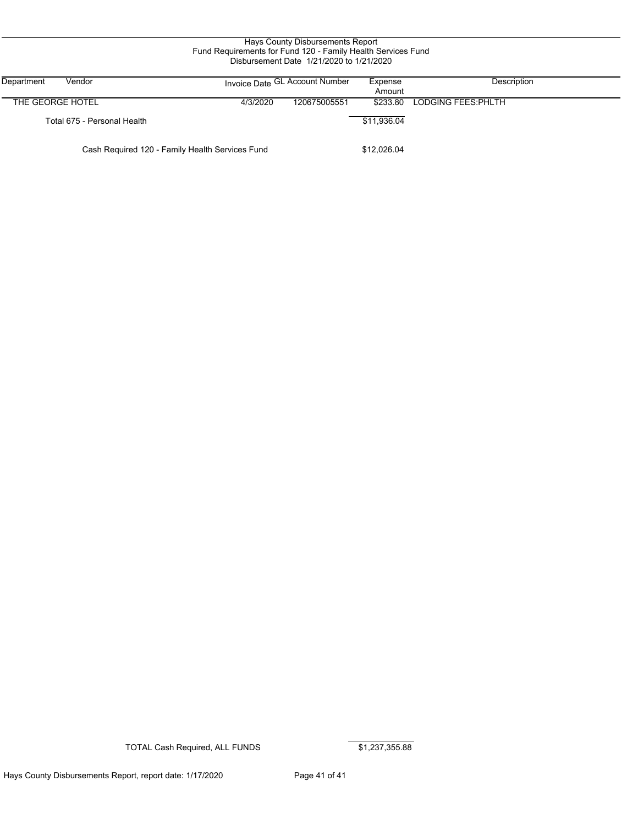| Hays County Disbursements Report<br>Fund Requirements for Fund 120 - Family Health Services Fund<br>Disbursement Date 1/21/2020 to 1/21/2020 |                             |          |                                |                   |                     |  |  |
|----------------------------------------------------------------------------------------------------------------------------------------------|-----------------------------|----------|--------------------------------|-------------------|---------------------|--|--|
| Department<br>Vendor                                                                                                                         |                             |          | Invoice Date GL Account Number | Expense<br>Amount | Description         |  |  |
| THE GEORGE HOTEL                                                                                                                             |                             | 4/3/2020 | 120675005551                   | \$233.80          | LODGING FEES: PHLTH |  |  |
|                                                                                                                                              | Total 675 - Personal Health |          |                                | \$11,936.04       |                     |  |  |
| Cash Required 120 - Family Health Services Fund                                                                                              |                             |          |                                | \$12,026.04       |                     |  |  |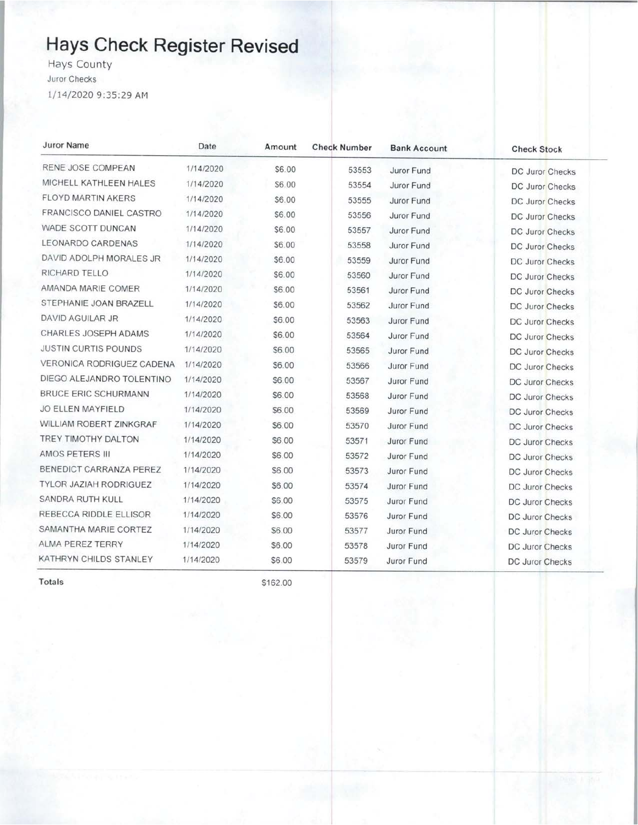# **Hays Check Register Revised**

**Hays County** Juror Checks 1/14/2020 9:35:29 AM

| <b>Juror Name</b>             | Date      | Amount | <b>Check Number</b> | <b>Bank Account</b> | <b>Check Stock</b>     |
|-------------------------------|-----------|--------|---------------------|---------------------|------------------------|
| RENE JOSE COMPEAN             | 1/14/2020 | \$6.00 | 53553               | Juror Fund          | <b>DC Juror Checks</b> |
| MICHELL KATHLEEN HALES        | 1/14/2020 | \$6.00 | 53554               | Juror Fund          | <b>DC Juror Checks</b> |
| FLOYD MARTIN AKERS            | 1/14/2020 | \$6.00 | 53555               | Juror Fund          | <b>DC Juror Checks</b> |
| FRANCISCO DANIEL CASTRO       | 1/14/2020 | \$6.00 | 53556               | Juror Fund          | <b>DC Juror Checks</b> |
| WADE SCOTT DUNCAN             | 1/14/2020 | \$6.00 | 53557               | Juror Fund          | DC Juror Checks        |
| LEONARDO CARDENAS             | 1/14/2020 | \$6.00 | 53558               | Juror Fund          | <b>DC Juror Checks</b> |
| DAVID ADOLPH MORALES JR       | 1/14/2020 | \$6.00 | 53559               | Juror Fund          | <b>DC Juror Checks</b> |
| RICHARD TELLO                 | 1/14/2020 | \$6.00 | 53560               | Juror Fund          | DC Juror Checks        |
| AMANDA MARIE COMER            | 1/14/2020 | \$6.00 | 53561               | Juror Fund          | <b>DC Juror Checks</b> |
| STEPHANIE JOAN BRAZELL        | 1/14/2020 | \$6.00 | 53562               | Juror Fund          | <b>DC Juror Checks</b> |
| DAVID AGUILAR JR              | 1/14/2020 | \$6.00 | 53563               | Juror Fund          | <b>DC Juror Checks</b> |
| CHARLES JOSEPH ADAMS          | 1/14/2020 | \$6.00 | 53564               | Juror Fund          | <b>DC Juror Checks</b> |
| <b>JUSTIN CURTIS POUNDS</b>   | 1/14/2020 | \$6.00 | 53565               | Juror Fund          | <b>DC Juror Checks</b> |
| VERONICA RODRIGUEZ CADENA     | 1/14/2020 | \$6.00 | 53566               | Juror Fund          | DC Juror Checks        |
| DIEGO ALEJANDRO TOLENTINO     | 1/14/2020 | \$6.00 | 53567               | Juror Fund          | DC Juror Checks        |
| <b>BRUCE ERIC SCHURMANN</b>   | 1/14/2020 | \$6.00 | 53568               | Juror Fund          | DC Juror Checks        |
| <b>JO ELLEN MAYFIELD</b>      | 1/14/2020 | \$6.00 | 53569               | Juror Fund          | DC Juror Checks        |
| WILLIAM ROBERT ZINKGRAF       | 1/14/2020 | \$6.00 | 53570               | Juror Fund          | <b>DC Juror Checks</b> |
| TREY TIMOTHY DALTON           | 1/14/2020 | \$6.00 | 53571               | Juror Fund          | DC Juror Checks        |
| AMOS PETERS III               | 1/14/2020 | \$6.00 | 53572               | Juror Fund          | DC Juror Checks        |
| BENEDICT CARRANZA PEREZ       | 1/14/2020 | \$6.00 | 53573               | Juror Fund          | DC Juror Checks        |
| <b>TYLOR JAZIAH RODRIGUEZ</b> | 1/14/2020 | \$6.00 | 53574               | Juror Fund          | <b>DC Juror Checks</b> |
| SANDRA RUTH KULL              | 1/14/2020 | \$6.00 | 53575               | Juror Fund          | <b>DC Juror Checks</b> |
| REBECCA RIDDLE ELLISOR        | 1/14/2020 | \$6.00 | 53576               | Juror Fund          | DC Juror Checks        |
| SAMANTHA MARIE CORTEZ         | 1/14/2020 | \$6.00 | 53577               | Juror Fund          | DC Juror Checks        |
| ALMA PEREZ TERRY              | 1/14/2020 | \$6.00 | 53578               | Juror Fund          | DC Juror Checks        |
| KATHRYN CHILDS STANLEY        | 1/14/2020 | \$6.00 | 53579               | Juror Fund          | <b>DC Juror Checks</b> |

Totals

\$162.00